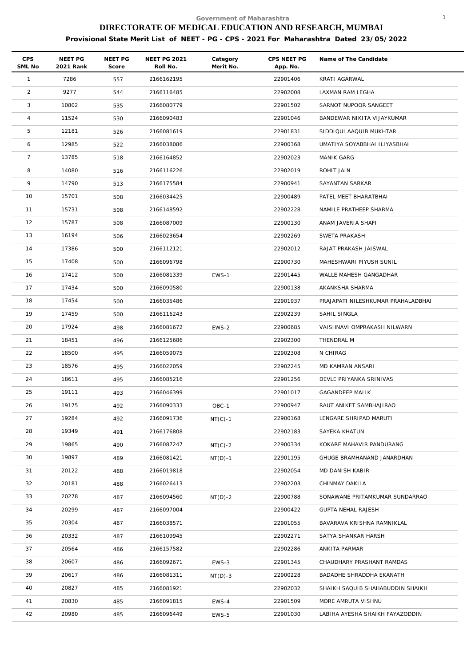| <b>CPS</b><br>SML No | NEET PG<br>2021 Rank | NEET PG<br>Score | <b>NEET PG 2021</b><br>Roll No. | Category<br>Merit No. | CPS NEET PG<br>App. No. | Name of The Candidate              |
|----------------------|----------------------|------------------|---------------------------------|-----------------------|-------------------------|------------------------------------|
| $\mathbf{1}$         | 7286                 | 557              | 2166162195                      |                       | 22901406                | KRATI AGARWAL                      |
| $\overline{2}$       | 9277                 | 544              | 2166116485                      |                       | 22902008                | LAXMAN RAM LEGHA                   |
| 3                    | 10802                | 535              | 2166080779                      |                       | 22901502                | SARNOT NUPOOR SANGEET              |
| $\overline{4}$       | 11524                | 530              | 2166090483                      |                       | 22901046                | BANDEWAR NIKITA VIJAYKUMAR         |
| 5                    | 12181                | 526              | 2166081619                      |                       | 22901831                | SIDDIQUI AAQUIB MUKHTAR            |
| 6                    | 12985                | 522              | 2166038086                      |                       | 22900368                | UMATIYA SOYABBHAI ILIYASBHAI       |
| $\overline{7}$       | 13785                | 518              | 2166164852                      |                       | 22902023                | <b>MANIK GARG</b>                  |
| 8                    | 14080                | 516              | 2166116226                      |                       | 22902019                | ROHIT JAIN                         |
| 9                    | 14790                | 513              | 2166175584                      |                       | 22900941                | SAYANTAN SARKAR                    |
| 10                   | 15701                | 508              | 2166034425                      |                       | 22900489                | PATEL MEET BHARATBHAI              |
| 11                   | 15731                | 508              | 2166148592                      |                       | 22902228                | NAMILE PRATHEEP SHARMA             |
| 12                   | 15787                | 508              | 2166087009                      |                       | 22900130                | ANAM JAVERIA SHAFI                 |
| 13                   | 16194                | 506              | 2166023654                      |                       | 22902269                | SWETA PRAKASH                      |
| 14                   | 17386                | 500              | 2166112121                      |                       | 22902012                | RAJAT PRAKASH JAISWAL              |
| 15                   | 17408                | 500              | 2166096798                      |                       | 22900730                | MAHESHWARI PIYUSH SUNIL            |
| 16                   | 17412                | 500              | 2166081339                      | EWS-1                 | 22901445                | WALLE MAHESH GANGADHAR             |
| 17                   | 17434                | 500              | 2166090580                      |                       | 22900138                | AKANKSHA SHARMA                    |
| 18                   | 17454                | 500              | 2166035486                      |                       | 22901937                | PRAJAPATI NILESHKUMAR PRAHALADBHAI |
| 19                   | 17459                | 500              | 2166116243                      |                       | 22902239                | SAHIL SINGLA                       |
| 20                   | 17924                | 498              | 2166081672                      | EWS-2                 | 22900685                | VAISHNAVI OMPRAKASH NILWARN        |
| 21                   | 18451                | 496              | 2166125686                      |                       | 22902300                | THENDRAL M                         |
| 22                   | 18500                | 495              | 2166059075                      |                       | 22902308                | N CHIRAG                           |
| 23                   | 18576                | 495              | 2166022059                      |                       | 22902245                | MD KAMRAN ANSARI                   |
| 24                   | 18611                | 495              | 2166085216                      |                       | 22901256                | DEVLE PRIYANKA SRINIVAS            |
| 25                   | 19111                | 493              | 2166046399                      |                       | 22901017                | GAGANDEEP MALIK                    |
| 26                   | 19175                | 492              | 2166090333                      | OBC-1                 | 22900947                | RAUT ANIKET SAMBHAJIRAO            |
| 27                   | 19284                | 492              | 2166091736                      | $NT(C)-1$             | 22900168                | LENGARE SHRIPAD MARUTI             |
| 28                   | 19349                | 491              | 2166176808                      |                       | 22902183                | SAYEKA KHATUN                      |
| 29                   | 19865                | 490              | 2166087247                      | $NT(C)-2$             | 22900334                | KOKARE MAHAVIR PANDURANG           |
| 30                   | 19897                | 489              | 2166081421                      | $NT(D)-1$             | 22901195                | GHUGE BRAMHANAND JANARDHAN         |
| 31                   | 20122                | 488              | 2166019818                      |                       | 22902054                | MD DANISH KABIR                    |
| 32                   | 20181                | 488              | 2166026413                      |                       | 22902203                | CHINMAY DAKLIA                     |
| 33                   | 20278                | 487              | 2166094560                      | $NT(D)-2$             | 22900788                | SONAWANE PRITAMKUMAR SUNDARRAO     |
| 34                   | 20299                | 487              | 2166097004                      |                       | 22900422                | <b>GUPTA NEHAL RAJESH</b>          |
| 35                   | 20304                | 487              | 2166038571                      |                       | 22901055                | BAVARAVA KRISHNA RAMNIKLAL         |
| 36                   | 20332                | 487              | 2166109945                      |                       | 22902271                | SATYA SHANKAR HARSH                |
| 37                   | 20564                | 486              | 2166157582                      |                       | 22902286                | ANKITA PARMAR                      |
| 38                   | 20607                | 486              | 2166092671                      | EWS-3                 | 22901345                | CHAUDHARY PRASHANT RAMDAS          |
| 39                   | 20617                | 486              | 2166081311                      | $NT(D)-3$             | 22900228                | BADADHE SHRADDHA EKANATH           |
| 40                   | 20827                | 485              | 2166081921                      |                       | 22902032                | SHAIKH SAQUIB SHAHABUDDIN SHAIKH   |
| 41                   | 20830                | 485              | 2166091815                      | EWS-4                 | 22901509                | MORE AMRUTA VISHNU                 |
| 42                   | 20980                | 485              | 2166096449                      | EWS-5                 | 22901030                | LABIHA AYESHA SHAIKH FAYAZODDIN    |
|                      |                      |                  |                                 |                       |                         |                                    |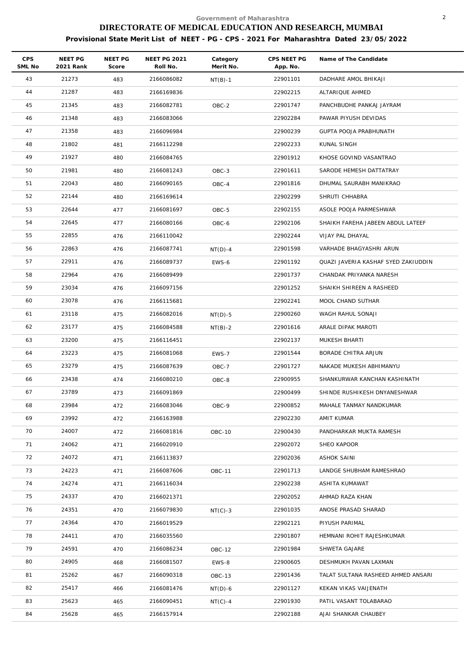| CPS<br>SML No | NEET PG<br>2021 Rank | NEET PG<br>Score | <b>NEET PG 2021</b><br>Roll No. | Category<br>Merit No. | CPS NEET PG<br>App. No. | Name of The Candidate               |
|---------------|----------------------|------------------|---------------------------------|-----------------------|-------------------------|-------------------------------------|
| 43            | 21273                | 483              | 2166086082                      | $NT(B)-1$             | 22901101                | DADHARE AMOL BHIKAJI                |
| 44            | 21287                | 483              | 2166169836                      |                       | 22902215                | ALTARIQUE AHMED                     |
| 45            | 21345                | 483              | 2166082781                      | OBC-2                 | 22901747                | PANCHBUDHE PANKAJ JAYRAM            |
| 46            | 21348                | 483              | 2166083066                      |                       | 22902284                | PAWAR PIYUSH DEVIDAS                |
| 47            | 21358                | 483              | 2166096984                      |                       | 22900239                | GUPTA POOJA PRABHUNATH              |
| 48            | 21802                | 481              | 2166112298                      |                       | 22902233                | KUNAL SINGH                         |
| 49            | 21927                | 480              | 2166084765                      |                       | 22901912                | KHOSE GOVIND VASANTRAO              |
| 50            | 21981                | 480              | 2166081243                      | OBC-3                 | 22901611                | SARODE HEMESH DATTATRAY             |
| 51            | 22043                | 480              | 2166090165                      | OBC-4                 | 22901816                | DHUMAL SAURABH MANIKRAO             |
| 52            | 22144                | 480              | 2166169614                      |                       | 22902299                | SHRUTI CHHABRA                      |
| 53            | 22644                | 477              | 2166081697                      | OBC-5                 | 22902155                | ASOLE POOJA PARMESHWAR              |
| 54            | 22645                | 477              | 2166080166                      | OBC-6                 | 22902106                | SHAIKH FAREHA JABEEN ABDUL LATEEF   |
| 55            | 22855                | 476              | 2166110042                      |                       | 22902244                | VIJAY PAL DHAYAL                    |
| 56            | 22863                | 476              | 2166087741                      | $NT(D)-4$             | 22901598                | VARHADE BHAGYASHRI ARUN             |
| 57            | 22911                | 476              | 2166089737                      | EWS-6                 | 22901192                | QUAZI JAVERIA KASHAF SYED ZAKIUDDIN |
| 58            | 22964                | 476              | 2166089499                      |                       | 22901737                | CHANDAK PRIYANKA NARESH             |
| 59            | 23034                | 476              | 2166097156                      |                       | 22901252                | SHAIKH SHIREEN A RASHEED            |
| 60            | 23078                | 476              | 2166115681                      |                       | 22902241                | MOOL CHAND SUTHAR                   |
| 61            | 23118                | 475              | 2166082016                      | $NT(D)-5$             | 22900260                | WAGH RAHUL SONAJI                   |
| 62            | 23177                | 475              | 2166084588                      | $NT(B)-2$             | 22901616                | ARALE DIPAK MAROTI                  |
| 63            | 23200                | 475              | 2166116451                      |                       | 22902137                | MUKESH BHARTI                       |
| 64            | 23223                | 475              | 2166081068                      | EWS-7                 | 22901544                | BORADE CHITRA ARJUN                 |
| 65            | 23279                | 475              | 2166087639                      | OBC-7                 | 22901727                | NAKADE MUKESH ABHIMANYU             |
| 66            | 23438                | 474              | 2166080210                      | OBC-8                 | 22900955                | SHANKURWAR KANCHAN KASHINATH        |
| 67            | 23789                | 473              | 2166091869                      |                       | 22900499                | SHINDE RUSHIKESH DNYANESHWAR        |
| 68            | 23984                | 472              | 2166083046                      | OBC-9                 | 22900852                | MAHALE TANMAY NANDKUMAR             |
| 69            | 23992                | 472              | 2166163988                      |                       | 22902230                | AMIT KUMAR                          |
| 70            | 24007                | 472              | 2166081816                      | OBC-10                | 22900430                | PANDHARKAR MUKTA RAMESH             |
| 71            | 24062                | 471              | 2166020910                      |                       | 22902072                | SHEO KAPOOR                         |
| 72            | 24072                | 471              | 2166113837                      |                       | 22902036                | <b>ASHOK SAINI</b>                  |
| 73            | 24223                | 471              | 2166087606                      | <b>OBC-11</b>         | 22901713                | LANDGE SHUBHAM RAMESHRAO            |
| 74            | 24274                | 471              | 2166116034                      |                       | 22902238                | ASHITA KUMAWAT                      |
| 75            | 24337                | 470              | 2166021371                      |                       | 22902052                | AHMAD RAZA KHAN                     |
| 76            | 24351                | 470              | 2166079830                      | $NT(C)-3$             | 22901035                | ANOSE PRASAD SHARAD                 |
| 77            | 24364                | 470              | 2166019529                      |                       | 22902121                | PIYUSH PARIMAL                      |
| 78            | 24411                | 470              | 2166035560                      |                       | 22901807                | HEMNANI ROHIT RAJESHKUMAR           |
| 79            | 24591                | 470              | 2166086234                      | OBC-12                | 22901984                | SHWETA GAJARE                       |
| 80            | 24905                | 468              | 2166081507                      | EWS-8                 | 22900605                | DESHMUKH PAVAN LAXMAN               |
| 81            | 25262                | 467              | 2166090318                      | OBC-13                | 22901436                | TALAT SULTANA RASHEED AHMED ANSARI  |
| 82            | 25417                | 466              | 2166081476                      | $NT(D)-6$             | 22901127                | KEKAN VIKAS VAIJENATH               |
| 83            | 25623                | 465              | 2166090451                      | $NT(C) - 4$           | 22901930                | PATIL VASANT TOLABARAO              |
| 84            | 25628                | 465              | 2166157914                      |                       | 22902188                | AJAI SHANKAR CHAUBEY                |
|               |                      |                  |                                 |                       |                         |                                     |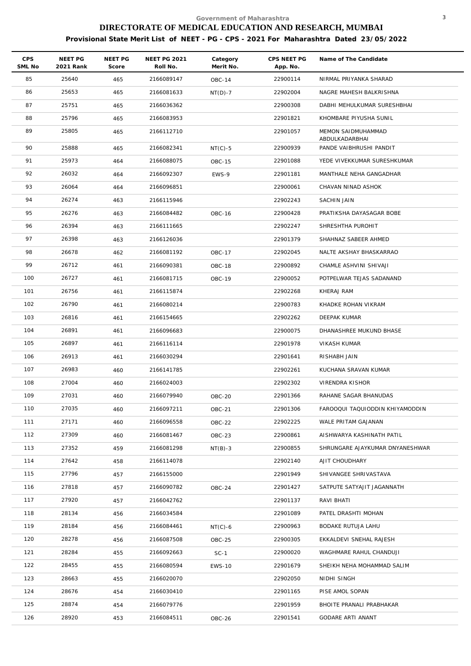| <b>CPS</b><br>SML No | NEET PG<br>2021 Rank | NEET PG<br>Score | <b>NEET PG 2021</b><br>Roll No. | Category<br>Merit No. | CPS NEET PG<br>App. No. | Name of The Candidate                |
|----------------------|----------------------|------------------|---------------------------------|-----------------------|-------------------------|--------------------------------------|
| 85                   | 25640                | 465              | 2166089147                      | <b>OBC-14</b>         | 22900114                | NIRMAL PRIYANKA SHARAD               |
| 86                   | 25653                | 465              | 2166081633                      | $NT(D)-7$             | 22902004                | NAGRE MAHESH BALKRISHNA              |
| 87                   | 25751                | 465              | 2166036362                      |                       | 22900308                | DABHI MEHULKUMAR SURESHBHAI          |
| 88                   | 25796                | 465              | 2166083953                      |                       | 22901821                | KHOMBARE PIYUSHA SUNIL               |
| 89                   | 25805                | 465              | 2166112710                      |                       | 22901057                | MEMON SAIDMUHAMMAD<br>ABDULKADARBHAI |
| 90                   | 25888                | 465              | 2166082341                      | $NT(C)-5$             | 22900939                | PANDE VAIBHRUSHI PANDIT              |
| 91                   | 25973                | 464              | 2166088075                      | <b>OBC-15</b>         | 22901088                | YEDE VIVEKKUMAR SURESHKUMAR          |
| 92                   | 26032                | 464              | 2166092307                      | EWS-9                 | 22901181                | MANTHALE NEHA GANGADHAR              |
| 93                   | 26064                | 464              | 2166096851                      |                       | 22900061                | CHAVAN NINAD ASHOK                   |
| 94                   | 26274                | 463              | 2166115946                      |                       | 22902243                | SACHIN JAIN                          |
| 95                   | 26276                | 463              | 2166084482                      | OBC-16                | 22900428                | PRATIKSHA DAYASAGAR BOBE             |
| 96                   | 26394                | 463              | 2166111665                      |                       | 22902247                | SHRESHTHA PUROHIT                    |
| 97                   | 26398                | 463              | 2166126036                      |                       | 22901379                | SHAHNAZ SABEER AHMED                 |
| 98                   | 26678                | 462              | 2166081192                      | <b>OBC-17</b>         | 22902045                | NALTE AKSHAY BHASKARRAO              |
| 99                   | 26712                | 461              | 2166090381                      | OBC-18                | 22900892                | CHAMLE ASHVINI SHIVAJI               |
| 100                  | 26727                | 461              | 2166081715                      | OBC-19                | 22900052                | POTPELWAR TEJAS SADANAND             |
| 101                  | 26756                | 461              | 2166115874                      |                       | 22902268                | KHERAJ RAM                           |
| 102                  | 26790                | 461              | 2166080214                      |                       | 22900783                | KHADKE ROHAN VIKRAM                  |
| 103                  | 26816                | 461              | 2166154665                      |                       | 22902262                | DEEPAK KUMAR                         |
| 104                  | 26891                | 461              | 2166096683                      |                       | 22900075                | DHANASHREE MUKUND BHASE              |
| 105                  | 26897                | 461              | 2166116114                      |                       | 22901978                | VIKASH KUMAR                         |
| 106                  | 26913                | 461              | 2166030294                      |                       | 22901641                | RISHABH JAIN                         |
| 107                  | 26983                | 460              | 2166141785                      |                       | 22902261                | KUCHANA SRAVAN KUMAR                 |
| 108                  | 27004                | 460              | 2166024003                      |                       | 22902302                | VIRENDRA KISHOR                      |
| 109                  | 27031                | 460              | 2166079940                      | OBC-20                | 22901366                | RAHANE SAGAR BHANUDAS                |
| 110                  | 27035                | 460              | 2166097211                      | <b>OBC-21</b>         | 22901306                | FAROOQUI TAQUIODDIN KHIYAMODDIN      |
| 111                  | 27171                | 460              | 2166096558                      | OBC-22                | 22902225                | WALE PRITAM GAJANAN                  |
| 112                  | 27309                | 460              | 2166081467                      | OBC-23                | 22900861                | AISHWARYA KASHINATH PATIL            |
| 113                  | 27352                | 459              | 2166081298                      | $NT(B)-3$             | 22900855                | SHRUNGARE AJAYKUMAR DNYANESHWAR      |
| 114                  | 27642                | 458              | 2166114078                      |                       | 22902140                | AJIT CHOUDHARY                       |
| 115                  | 27796                | 457              | 2166155000                      |                       | 22901949                | SHIVANGEE SHRIVASTAVA                |
| 116                  | 27818                | 457              | 2166090782                      | OBC-24                | 22901427                | SATPUTE SATYAJIT JAGANNATH           |
| 117                  | 27920                | 457              | 2166042762                      |                       | 22901137                | RAVI BHATI                           |
| 118                  | 28134                | 456              | 2166034584                      |                       | 22901089                | PATEL DRASHTI MOHAN                  |
| 119                  | 28184                | 456              | 2166084461                      | $NT(C)-6$             | 22900963                | BODAKE RUTUJA LAHU                   |
| 120                  | 28278                | 456              | 2166087508                      | OBC-25                | 22900305                | EKKALDEVI SNEHAL RAJESH              |
| 121                  | 28284                | 455              | 2166092663                      | $SC-1$                | 22900020                | WAGHMARE RAHUL CHANDUJI              |
| 122                  | 28455                | 455              | 2166080594                      | <b>EWS-10</b>         | 22901679                | SHEIKH NEHA MOHAMMAD SALIM           |
| 123                  | 28663                | 455              | 2166020070                      |                       | 22902050                | NIDHI SINGH                          |
| 124                  | 28676                | 454              | 2166030410                      |                       | 22901165                | PISE AMOL SOPAN                      |
| 125                  | 28874                | 454              | 2166079776                      |                       | 22901959                | BHOITE PRANALI PRABHAKAR             |
| 126                  | 28920                | 453              | 2166084511                      | OBC-26                | 22901541                | GODARE ARTI ANANT                    |
|                      |                      |                  |                                 |                       |                         |                                      |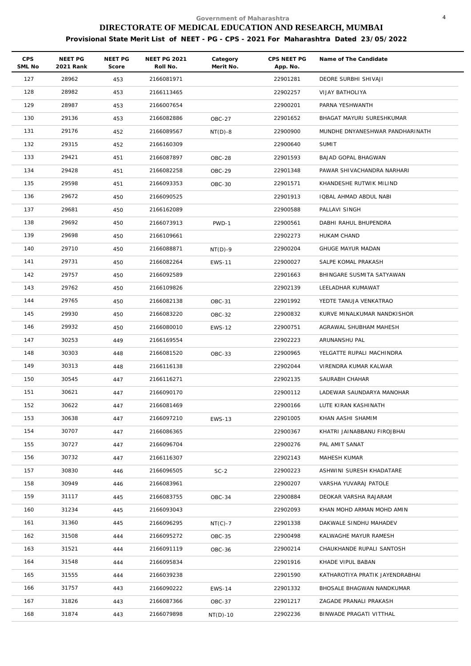| <b>CPS</b><br>SML No | NEET PG<br>2021 Rank | <b>NEET PG</b><br>Score | <b>NEET PG 2021</b><br>Roll No. | Category<br>Merit No. | CPS NEET PG<br>App. No. | Name of The Candidate           |
|----------------------|----------------------|-------------------------|---------------------------------|-----------------------|-------------------------|---------------------------------|
| 127                  | 28962                | 453                     | 2166081971                      |                       | 22901281                | DEORE SURBHI SHIVAJI            |
| 128                  | 28982                | 453                     | 2166113465                      |                       | 22902257                | VIJAY BATHOLIYA                 |
| 129                  | 28987                | 453                     | 2166007654                      |                       | 22900201                | PARNA YESHWANTH                 |
| 130                  | 29136                | 453                     | 2166082886                      | OBC-27                | 22901652                | BHAGAT MAYURI SURESHKUMAR       |
| 131                  | 29176                | 452                     | 2166089567                      | $NT(D)-8$             | 22900900                | MUNDHE DNYANESHWAR PANDHARINATH |
| 132                  | 29315                | 452                     | 2166160309                      |                       | 22900640                | <b>SUMIT</b>                    |
| 133                  | 29421                | 451                     | 2166087897                      | OBC-28                | 22901593                | BAJAD GOPAL BHAGWAN             |
| 134                  | 29428                | 451                     | 2166082258                      | OBC-29                | 22901348                | PAWAR SHIVACHANDRA NARHARI      |
| 135                  | 29598                | 451                     | 2166093353                      | OBC-30                | 22901571                | KHANDESHE RUTWIK MILIND         |
| 136                  | 29672                | 450                     | 2166090525                      |                       | 22901913                | IQBAL AHMAD ABDUL NABI          |
| 137                  | 29681                | 450                     | 2166162089                      |                       | 22900588                | PALLAVI SINGH                   |
| 138                  | 29692                | 450                     | 2166073913                      | PWD-1                 | 22900561                | DABHI RAHUL BHUPENDRA           |
| 139                  | 29698                | 450                     | 2166109661                      |                       | 22902273                | HUKAM CHAND                     |
| 140                  | 29710                | 450                     | 2166088871                      | $NT(D)-9$             | 22900204                | <b>GHUGE MAYUR MADAN</b>        |
| 141                  | 29731                | 450                     | 2166082264                      | <b>EWS-11</b>         | 22900027                | SALPE KOMAL PRAKASH             |
| 142                  | 29757                | 450                     | 2166092589                      |                       | 22901663                | BHINGARE SUSMITA SATYAWAN       |
| 143                  | 29762                | 450                     | 2166109826                      |                       | 22902139                | LEELADHAR KUMAWAT               |
| 144                  | 29765                | 450                     | 2166082138                      | OBC-31                | 22901992                | YEDTE TANUJA VENKATRAO          |
| 145                  | 29930                | 450                     | 2166083220                      | OBC-32                | 22900832                | KURVE MINALKUMAR NANDKISHOR     |
| 146                  | 29932                | 450                     | 2166080010                      | <b>EWS-12</b>         | 22900751                | AGRAWAL SHUBHAM MAHESH          |
| 147                  | 30253                | 449                     | 2166169554                      |                       | 22902223                | ARUNANSHU PAL                   |
| 148                  | 30303                | 448                     | 2166081520                      | OBC-33                | 22900965                | YELGATTE RUPALI MACHINDRA       |
| 149                  | 30313                | 448                     | 2166116138                      |                       | 22902044                | VIRENDRA KUMAR KALWAR           |
| 150                  | 30545                | 447                     | 2166116271                      |                       | 22902135                | SAURABH CHAHAR                  |
| 151                  | 30621                | 447                     | 2166090170                      |                       | 22900112                | LADEWAR SAUNDARYA MANOHAR       |
| 152                  | 30622                | 447                     | 2166081469                      |                       | 22900166                | LUTE KIRAN KASHINATH            |
| 153                  | 30638                | 447                     | 2166097210                      | <b>EWS-13</b>         | 22901005                | KHAN AASHI SHAMIM               |
| 154                  | 30707                | 447                     | 2166086365                      |                       | 22900367                | KHATRI JAINABBANU FIROJBHAI     |
| 155                  | 30727                | 447                     | 2166096704                      |                       | 22900276                | PAL AMIT SANAT                  |
| 156                  | 30732                | 447                     | 2166116307                      |                       | 22902143                | MAHESH KUMAR                    |
| 157                  | 30830                | 446                     | 2166096505                      | $SC-2$                | 22900223                | ASHWINI SURESH KHADATARE        |
| 158                  | 30949                | 446                     | 2166083961                      |                       | 22900207                | VARSHA YUVARAJ PATOLE           |
| 159                  | 31117                | 445                     | 2166083755                      | OBC-34                | 22900884                | DEOKAR VARSHA RAJARAM           |
| 160                  | 31234                | 445                     | 2166093043                      |                       | 22902093                | KHAN MOHD ARMAN MOHD AMIN       |
| 161                  | 31360                | 445                     | 2166096295                      | $NT(C)-7$             | 22901338                | DAKWALE SINDHU MAHADEV          |
| 162                  | 31508                | 444                     | 2166095272                      | OBC-35                | 22900498                | KALWAGHE MAYUR RAMESH           |
| 163                  | 31521                | 444                     | 2166091119                      | OBC-36                | 22900214                | CHAUKHANDE RUPALI SANTOSH       |
| 164                  | 31548                | 444                     | 2166095834                      |                       | 22901916                | KHADE VIPUL BABAN               |
| 165                  | 31555                | 444                     | 2166039238                      |                       | 22901590                | KATHAROTIYA PRATIK JAYENDRABHAI |
| 166                  | 31757                | 443                     | 2166090222                      | <b>EWS-14</b>         | 22901332                | BHOSALE BHAGWAN NANDKUMAR       |
| 167                  | 31826                | 443                     | 2166087366                      | OBC-37                | 22901217                | ZAGADE PRANALI PRAKASH          |
| 168                  | 31874                | 443                     | 2166079898                      | $NT(D)-10$            | 22902236                | BINWADE PRAGATI VITTHAL         |
|                      |                      |                         |                                 |                       |                         |                                 |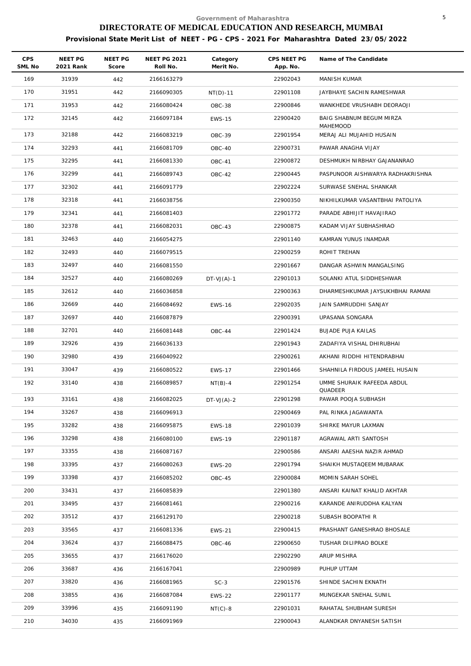| <b>CPS</b><br>SML No | NEET PG<br>2021 Rank | <b>NEET PG</b><br>Score | <b>NEET PG 2021</b><br>Roll No. | Category<br>Merit No. | CPS NEET PG<br>App. No. | Name of The Candidate                |
|----------------------|----------------------|-------------------------|---------------------------------|-----------------------|-------------------------|--------------------------------------|
| 169                  | 31939                | 442                     | 2166163279                      |                       | 22902043                | MANISH KUMAR                         |
| 170                  | 31951                | 442                     | 2166090305                      | $NT(D)-11$            | 22901108                | JAYBHAYE SACHIN RAMESHWAR            |
| 171                  | 31953                | 442                     | 2166080424                      | OBC-38                | 22900846                | WANKHEDE VRUSHABH DEORAOJI           |
| 172                  | 32145                | 442                     | 2166097184                      | <b>EWS-15</b>         | 22900420                | BAIG SHABNUM BEGUM MIRZA<br>MAHEMOOD |
| 173                  | 32188                | 442                     | 2166083219                      | OBC-39                | 22901954                | MERAJ ALI MUJAHID HUSAIN             |
| 174                  | 32293                | 441                     | 2166081709                      | OBC-40                | 22900731                | PAWAR ANAGHA VIJAY                   |
| 175                  | 32295                | 441                     | 2166081330                      | OBC-41                | 22900872                | DESHMUKH NIRBHAY GAJANANRAO          |
| 176                  | 32299                | 441                     | 2166089743                      | OBC-42                | 22900445                | PASPUNOOR AISHWARYA RADHAKRISHNA     |
| 177                  | 32302                | 441                     | 2166091779                      |                       | 22902224                | SURWASE SNEHAL SHANKAR               |
| 178                  | 32318                | 441                     | 2166038756                      |                       | 22900350                | NIKHILKUMAR VASANTBHAI PATOLIYA      |
| 179                  | 32341                | 441                     | 2166081403                      |                       | 22901772                | PARADE ABHIJIT HAVAJIRAO             |
| 180                  | 32378                | 441                     | 2166082031                      | $OBC-43$              | 22900875                | KADAM VIJAY SUBHASHRAO               |
| 181                  | 32463                | 440                     | 2166054275                      |                       | 22901140                | KAMRAN YUNUS INAMDAR                 |
| 182                  | 32493                | 440                     | 2166079515                      |                       | 22900259                | ROHIT TREHAN                         |
| 183                  | 32497                | 440                     | 2166081550                      |                       | 22901667                | DANGAR ASHWIN MANGALSING             |
| 184                  | 32527                | 440                     | 2166080269                      | $DT-VJ(A)-1$          | 22901013                | SOLANKI ATUL SIDDHESHWAR             |
| 185                  | 32612                | 440                     | 2166036858                      |                       | 22900363                | DHARMESHKUMAR JAYSUKHBHAI RAMANI     |
| 186                  | 32669                | 440                     | 2166084692                      | <b>EWS-16</b>         | 22902035                | JAIN SAMRUDDHI SANJAY                |
| 187                  | 32697                | 440                     | 2166087879                      |                       | 22900391                | UPASANA SONGARA                      |
| 188                  | 32701                | 440                     | 2166081448                      | OBC-44                | 22901424                | <b>BUJADE PUJA KAILAS</b>            |
| 189                  | 32926                | 439                     | 2166036133                      |                       | 22901943                | ZADAFIYA VISHAL DHIRUBHAI            |
| 190                  | 32980                | 439                     | 2166040922                      |                       | 22900261                | AKHANI RIDDHI HITENDRABHAI           |
| 191                  | 33047                | 439                     | 2166080522                      | <b>EWS-17</b>         | 22901466                | SHAHNILA FIRDOUS JAMEEL HUSAIN       |
| 192                  | 33140                | 438                     | 2166089857                      | $NT(B)-4$             | 22901254                | UMME SHURAIK RAFEEDA ABDUL           |
| 193                  | 33161                | 438                     | 2166082025                      | $DT-VJ(A)-2$          | 22901298                | QUADEER<br>PAWAR POOJA SUBHASH       |
| 194                  | 33267                | 438                     | 2166096913                      |                       | 22900469                | PAL RINKA JAGAWANTA                  |
| 195                  | 33282                | 438                     | 2166095875                      | <b>EWS-18</b>         | 22901039                | SHIRKE MAYUR LAXMAN                  |
| 196                  | 33298                | 438                     | 2166080100                      | <b>EWS-19</b>         | 22901187                | AGRAWAL ARTI SANTOSH                 |
| 197                  | 33355                | 438                     | 2166087167                      |                       | 22900586                | ANSARI AAESHA NAZIR AHMAD            |
| 198                  | 33395                | 437                     | 2166080263                      | <b>EWS-20</b>         | 22901794                | SHAIKH MUSTAQEEM MUBARAK             |
| 199                  | 33398                | 437                     | 2166085202                      | OBC-45                | 22900084                | MOMIN SARAH SOHEL                    |
| 200                  | 33431                | 437                     | 2166085839                      |                       | 22901380                | ANSARI KAINAT KHALID AKHTAR          |
| 201                  | 33495                | 437                     | 2166081461                      |                       | 22900216                | KARANDE ANIRUDDHA KALYAN             |
| 202                  | 33512                |                         | 2166129170                      |                       | 22900218                | SUBASH BOOPATHI R                    |
| 203                  | 33565                | 437                     | 2166081336                      |                       | 22900415                | PRASHANT GANESHRAO BHOSALE           |
| 204                  |                      | 437                     |                                 | <b>EWS-21</b>         | 22900650                |                                      |
|                      | 33624                | 437                     | 2166088475                      | OBC-46                |                         | TUSHAR DILIPRAO BOLKE                |
| 205                  | 33655                | 437                     | 2166176020                      |                       | 22902290                | ARUP MISHRA                          |
| 206                  | 33687                | 436                     | 2166167041                      |                       | 22900989                | PUHUP UTTAM                          |
| 207                  | 33820                | 436                     | 2166081965                      | $SC-3$                | 22901576                | SHINDE SACHIN EKNATH                 |
| 208                  | 33855                | 436                     | 2166087084                      | <b>EWS-22</b>         | 22901177                | MUNGEKAR SNEHAL SUNIL                |
| 209                  | 33996                | 435                     | 2166091190                      | $NT(C) - 8$           | 22901031                | RAHATAL SHUBHAM SURESH               |
| 210                  | 34030                | 435                     | 2166091969                      |                       | 22900043                | ALANDKAR DNYANESH SATISH             |
|                      |                      |                         |                                 |                       |                         |                                      |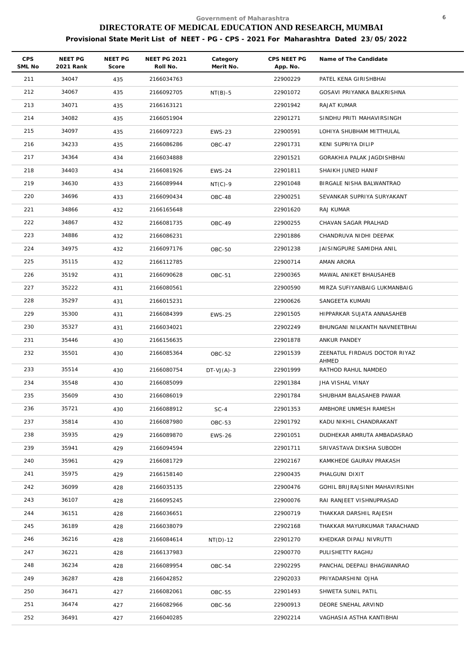| <b>CPS</b><br>SML No | NEET PG<br>2021 Rank | NEET PG<br>Score | <b>NEET PG 2021</b><br>Roll No. | Category<br>Merit No. | CPS NEET PG<br>App. No. | Name of The Candidate                  |
|----------------------|----------------------|------------------|---------------------------------|-----------------------|-------------------------|----------------------------------------|
| 211                  | 34047                | 435              | 2166034763                      |                       | 22900229                | PATEL KENA GIRISHBHAI                  |
| 212                  | 34067                | 435              | 2166092705                      | $NT(B)-5$             | 22901072                | GOSAVI PRIYANKA BALKRISHNA             |
| 213                  | 34071                | 435              | 2166163121                      |                       | 22901942                | RAJAT KUMAR                            |
| 214                  | 34082                | 435              | 2166051904                      |                       | 22901271                | SINDHU PRITI MAHAVIRSINGH              |
| 215                  | 34097                | 435              | 2166097223                      | <b>EWS-23</b>         | 22900591                | LOHIYA SHUBHAM MITTHULAL               |
| 216                  | 34233                | 435              | 2166086286                      | OBC-47                | 22901731                | KENI SUPRIYA DILIP                     |
| 217                  | 34364                | 434              | 2166034888                      |                       | 22901521                | GORAKHIA PALAK JAGDISHBHAI             |
| 218                  | 34403                | 434              | 2166081926                      | <b>EWS-24</b>         | 22901811                | SHAIKH JUNED HANIF                     |
| 219                  | 34630                | 433              | 2166089944                      | $NT(C)-9$             | 22901048                | BIRGALE NISHA BALWANTRAO               |
| 220                  | 34696                | 433              | 2166090434                      | OBC-48                | 22900251                | SEVANKAR SUPRIYA SURYAKANT             |
| 221                  | 34866                | 432              | 2166165648                      |                       | 22901620                | RAJ KUMAR                              |
| 222                  | 34867                | 432              | 2166081735                      | OBC-49                | 22900255                | CHAVAN SAGAR PRALHAD                   |
| 223                  | 34886                | 432              | 2166086231                      |                       | 22901886                | CHANDRUVA NIDHI DEEPAK                 |
| 224                  | 34975                | 432              | 2166097176                      | OBC-50                | 22901238                | JAISINGPURE SAMIDHA ANIL               |
| 225                  | 35115                | 432              | 2166112785                      |                       | 22900714                | AMAN ARORA                             |
| 226                  | 35192                | 431              | 2166090628                      | OBC-51                | 22900365                | MAWAL ANIKET BHAUSAHEB                 |
| 227                  | 35222                | 431              | 2166080561                      |                       | 22900590                | MIRZA SUFIYANBAIG LUKMANBAIG           |
| 228                  | 35297                | 431              | 2166015231                      |                       | 22900626                | SANGEETA KUMARI                        |
| 229                  | 35300                | 431              | 2166084399                      | <b>EWS-25</b>         | 22901505                | HIPPARKAR SUJATA ANNASAHEB             |
| 230                  | 35327                | 431              | 2166034021                      |                       | 22902249                | BHUNGANI NILKANTH NAVNEETBHAI          |
| 231                  | 35446                | 430              | 2166156635                      |                       | 22901878                | ANKUR PANDEY                           |
| 232                  | 35501                | 430              | 2166085364                      | OBC-52                | 22901539                | ZEENATUL FIRDAUS DOCTOR RIYAZ<br>AHMED |
| 233                  | 35514                | 430              | 2166080754                      | $DT-VJ(A)-3$          | 22901999                | RATHOD RAHUL NAMDEO                    |
| 234                  | 35548                | 430              | 2166085099                      |                       | 22901384                | JHA VISHAL VINAY                       |
| 235                  | 35609                | 430              | 2166086019                      |                       | 22901784                | SHUBHAM BALASAHEB PAWAR                |
| 236                  | 35721                | 430              | 2166088912                      | $SC-4$                | 22901353                | AMBHORE UNMESH RAMESH                  |
| 237                  | 35814                | 430              | 2166087980                      | OBC-53                | 22901792                | KADU NIKHIL CHANDRAKANT                |
| 238                  | 35935                | 429              | 2166089870                      | <b>EWS-26</b>         | 22901051                | DUDHEKAR AMRUTA AMBADASRAO             |
| 239                  | 35941                | 429              | 2166094594                      |                       | 22901711                | SRIVASTAVA DIKSHA SUBODH               |
| 240                  | 35961                | 429              | 2166081729                      |                       | 22902167                | KAMKHEDE GAURAV PRAKASH                |
| 241                  | 35975                | 429              | 2166158140                      |                       | 22900435                | PHALGUNI DIXIT                         |
| 242                  | 36099                | 428              | 2166035135                      |                       | 22900476                | GOHIL BRIJRAJSINH MAHAVIRSINH          |
| 243                  | 36107                | 428              | 2166095245                      |                       | 22900076                | RAI RANJEET VISHNUPRASAD               |
| 244                  | 36151                | 428              | 2166036651                      |                       | 22900719                | THAKKAR DARSHIL RAJESH                 |
| 245                  | 36189                | 428              | 2166038079                      |                       | 22902168                | THAKKAR MAYURKUMAR TARACHAND           |
| 246                  | 36216                | 428              | 2166084614                      | $NT(D)-12$            | 22901270                | KHEDKAR DIPALI NIVRUTTI                |
| 247                  | 36221                | 428              | 2166137983                      |                       | 22900770                | PULISHETTY RAGHU                       |
| 248                  | 36234                | 428              | 2166089954                      | OBC-54                | 22902295                | PANCHAL DEEPALI BHAGWANRAO             |
| 249                  | 36287                | 428              | 2166042852                      |                       | 22902033                | PRIYADARSHINI OJHA                     |
| 250                  | 36471                | 427              | 2166082061                      | <b>OBC-55</b>         | 22901493                | SHWETA SUNIL PATIL                     |
| 251                  | 36474                | 427              | 2166082966                      | OBC-56                | 22900913                | DEORE SNEHAL ARVIND                    |
| 252                  | 36491                | 427              | 2166040285                      |                       | 22902214                | VAGHASIA ASTHA KANTIBHAI               |
|                      |                      |                  |                                 |                       |                         |                                        |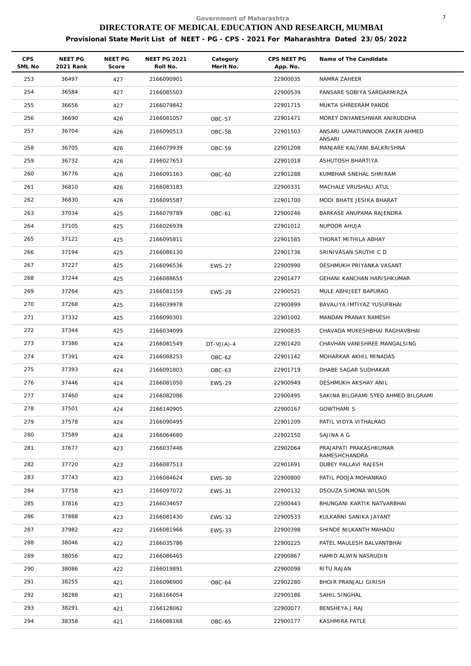| <b>CPS</b><br>SML No | NEET PG<br>2021 Rank | NEET PG<br>Score | <b>NEET PG 2021</b><br>Roll No. | Category<br>Merit No. | CPS NEET PG<br>App. No. | Name of The Candidate                    |
|----------------------|----------------------|------------------|---------------------------------|-----------------------|-------------------------|------------------------------------------|
| 253                  | 36497                | 427              | 2166090901                      |                       | 22900035                | NAMRA ZAHEER                             |
| 254                  | 36584                | 427              | 2166085503                      |                       | 22900539                | PANSARE SOBIYA SARDARMIRZA               |
| 255                  | 36656                | 427              | 2166079842                      |                       | 22901715                | MUKTA SHREERAM PANDE                     |
| 256                  | 36690                | 426              | 2166081057                      | OBC-57                | 22901471                | MOREY DNYANESHWAR ANIRUDDHA              |
| 257                  | 36704                | 426              | 2166090513                      | OBC-58                | 22901503                | ANSARI LAMATUNNOOR ZAKER AHMED<br>ANSARI |
| 258                  | 36705                | 426              | 2166079939                      | OBC-59                | 22901208                | MANJARE KALYANI BALKRISHNA               |
| 259                  | 36732                | 426              | 2166027653                      |                       | 22901018                | ASHUTOSH BHARTIYA                        |
| 260                  | 36776                | 426              | 2166091163                      | OBC-60                | 22901288                | KUMBHAR SNEHAL SHRIRAM                   |
| 261                  | 36810                | 426              | 2166083183                      |                       | 22900331                | MACHALE VRUSHALI ATUL                    |
| 262                  | 36830                | 426              | 2166095587                      |                       | 22901700                | MODI BHATE JESIKA BHARAT                 |
| 263                  | 37034                | 425              | 2166079789                      | OBC-61                | 22900246                | BARKASE ANUPAMA RAJENDRA                 |
| 264                  | 37105                | 425              | 2166026939                      |                       | 22901012                | NUPOOR AHUJA                             |
| 265                  | 37121                | 425              | 2166095811                      |                       | 22901585                | THORAT MITHILA ABHAY                     |
| 266                  | 37194                | 425              | 2166086130                      |                       | 22901736                | SRINIVASAN SRUTHI C D                    |
| 267                  | 37227                | 425              | 2166096536                      | <b>EWS-27</b>         | 22900990                | DESHMUKH PRIYANKA VASANT                 |
| 268                  | 37244                | 425              | 2166088655                      |                       | 22901477                | GEHANI KANCHAN HARISHKUMAR               |
| 269                  | 37264                | 425              | 2166081159                      | <b>EWS-28</b>         | 22900521                | MULE ABHIJEET BAPURAO                    |
| 270                  | 37268                | 425              | 2166039978                      |                       | 22900899                | BAVALIYA IMTIYAZ YUSUFBHAI               |
| 271                  | 37332                | 425              | 2166090301                      |                       | 22901002                | MANDAN PRANAY RAMESH                     |
| 272                  | 37344                | 425              | 2166034099                      |                       | 22900835                | CHAVADA MUKESHBHAI RAGHAVBHAI            |
| 273                  | 37386                | 424              | 2166081549                      | $DT-VJ(A)-4$          | 22901420                | CHAVHAN VANISHREE MANGALSING             |
| 274                  | 37391                | 424              | 2166088253                      | OBC-62                | 22901142                | MOHARKAR AKHIL MINADAS                   |
| 275                  | 37393                | 424              | 2166091803                      | OBC-63                | 22901719                | DHABE SAGAR SUDHAKAR                     |
| 276                  | 37446                | 424              | 2166081050                      | <b>EWS-29</b>         | 22900949                | DESHMUKH AKSHAY ANIL                     |
| 277                  | 37460                | 424              | 2166082086                      |                       | 22900495                | SAKINA BILGRAMI SYED AHMED BILGRAMI      |
| 278                  | 37501                | 424              | 2166140905                      |                       | 22900167                | <b>GOWTHAMI S</b>                        |
| 279                  | 37578                | 424              | 2166090495                      |                       | 22901209                | PATIL VIDYA VITHALRAO                    |
| 280                  | 37589                | 424              | 2166064680                      |                       | 22902150                | SAJINA A G                               |
| 281                  | 37677                | 423              | 2166037446                      |                       | 22902064                | PRAJAPATI PRAKASHKUMAR<br>RAMESHCHANDRA  |
| 282                  | 37720                | 423              | 2166087513                      |                       | 22901691                | DUBEY PALLAVI RAJESH                     |
| 283                  | 37743                | 423              | 2166084624                      | <b>EWS-30</b>         | 22900800                | PATIL POOJA MOHANRAO                     |
| 284                  | 37758                | 423              | 2166097072                      | <b>EWS-31</b>         | 22900132                | DSOUZA SIMONA WILSON                     |
| 285                  | 37816                | 423              | 2166034657                      |                       | 22900443                | BHUNGANI KARTIK NATVARBHAI               |
| 286                  | 37888                | 423              | 2166081430                      | EWS-32                | 22900533                | KULKARNI SANIKA JAYANT                   |
| 287                  | 37982                | 422              | 2166081966                      | EWS-33                | 22900398                | SHINDE NILKANTH MAHADU                   |
| 288                  | 38046                | 422              | 2166035786                      |                       | 22900225                | PATEL MAULESH BALVANTBHAI                |
| 289                  | 38056                | 422              | 2166086465                      |                       | 22900867                | HAMID ALWIN NASRUDIN                     |
| 290                  | 38086                | 422              | 2166019891                      |                       | 22900098                | RITU RAJAN                               |
| 291                  | 38255                | 421              | 2166096900                      | OBC-64                | 22902280                | BHOIR PRANJALI GIRISH                    |
| 292                  | 38288                | 421              | 2166166054                      |                       | 22900186                | SAHIL SINGHAL                            |
| 293                  | 38291                | 421              | 2166128062                      |                       | 22900077                | BENSHEYA J RAJ                           |
| 294                  | 38358                | 421              | 2166088168                      | OBC-65                | 22900177                | KASHMIRA PATLE                           |
|                      |                      |                  |                                 |                       |                         |                                          |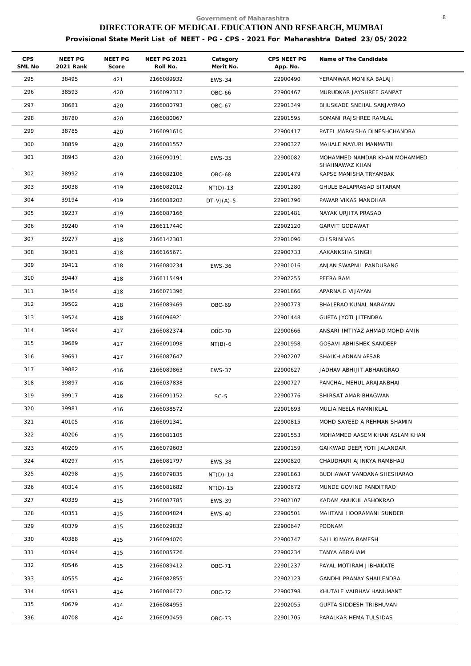| <b>CPS</b><br>SML No | <b>NEET PG</b><br>2021 Rank | NEET PG<br>Score | <b>NEET PG 2021</b><br>Roll No. | Category<br>Merit No. | CPS NEET PG<br>App. No. | Name of The Candidate                                        |
|----------------------|-----------------------------|------------------|---------------------------------|-----------------------|-------------------------|--------------------------------------------------------------|
| 295                  | 38495                       | 421              | 2166089932                      | <b>EWS-34</b>         | 22900490                | YERAMWAR MONIKA BALAJI                                       |
| 296                  | 38593                       | 420              | 2166092312                      | <b>OBC-66</b>         | 22900467                | MURUDKAR JAYSHREE GANPAT                                     |
| 297                  | 38681                       | 420              | 2166080793                      | OBC-67                | 22901349                | BHUSKADE SNEHAL SANJAYRAO                                    |
| 298                  | 38780                       | 420              | 2166080067                      |                       | 22901595                | SOMANI RAJSHREE RAMLAL                                       |
| 299                  | 38785                       | 420              | 2166091610                      |                       | 22900417                | PATEL MARGISHA DINESHCHANDRA                                 |
| 300                  | 38859                       | 420              | 2166081557                      |                       | 22900327                | MAHALE MAYURI MANMATH                                        |
| 301                  | 38943                       | 420              | 2166090191                      | <b>EWS-35</b>         | 22900082                | MOHAMMED NAMDAR KHAN MOHAMMED                                |
| 302                  | 38992                       | 419              | 2166082106                      | <b>OBC-68</b>         | 22901479                | SHAHNAWAZ KHAN<br>KAPSE MANISHA TRYAMBAK                     |
| 303                  | 39038                       | 419              | 2166082012                      | $NT(D)-13$            | 22901280                | GHULE BALAPRASAD SITARAM                                     |
| 304                  | 39194                       | 419              | 2166088202                      | $DT-VJ(A)-5$          | 22901796                | PAWAR VIKAS MANOHAR                                          |
| 305                  | 39237                       | 419              | 2166087166                      |                       | 22901481                | NAYAK URJITA PRASAD                                          |
| 306                  | 39240                       | 419              | 2166117440                      |                       | 22902120                | <b>GARVIT GODAWAT</b>                                        |
| 307                  | 39277                       | 418              | 2166142303                      |                       | 22901096                | CH SRINIVAS                                                  |
| 308                  | 39361                       | 418              | 2166165671                      |                       | 22900733                | AAKANKSHA SINGH                                              |
| 309                  | 39411                       | 418              | 2166080234                      | <b>EWS-36</b>         | 22901016                | ANJAN SWAPNIL PANDURANG                                      |
| 310                  | 39447                       | 418              | 2166115494                      |                       | 22902255                | PEERA RAM                                                    |
| 311                  | 39454                       | 418              | 2166071396                      |                       | 22901866                | APARNA G VIJAYAN                                             |
| 312                  | 39502                       | 418              | 2166089469                      | OBC-69                | 22900773                | BHALERAO KUNAL NARAYAN                                       |
| 313                  | 39524                       | 418              | 2166096921                      |                       | 22901448                | GUPTA JYOTI JITENDRA                                         |
| 314                  | 39594                       | 417              | 2166082374                      | <b>OBC-70</b>         | 22900666                | ANSARI IMTIYAZ AHMAD MOHD AMIN                               |
| 315                  | 39689                       | 417              | 2166091098                      |                       | 22901958                | GOSAVI ABHISHEK SANDEEP                                      |
| 316                  | 39691                       |                  |                                 | $NT(B)-6$             | 22902207                |                                                              |
| 317                  | 39882                       | 417              | 2166087647                      |                       |                         | SHAIKH ADNAN AFSAR                                           |
| 318                  | 39897                       | 416              | 2166089863                      | <b>EWS-37</b>         | 22900627                | JADHAV ABHIJIT ABHANGRAO<br>PANCHAL MEHUL ARAJANBHAI         |
| 319                  | 39917                       | 416              | 2166037838<br>2166091152        |                       | 22900727                | SHIRSAT AMAR BHAGWAN                                         |
|                      |                             | 416              |                                 | $SC-5$                | 22900776                |                                                              |
| 320<br>321           | 39981<br>40105              | 416              | 2166038572<br>2166091341        |                       | 22901693<br>22900815    | MULIA NEELA RAMNIKLAL<br>MOHD SAYEED A REHMAN SHAMIN         |
| 322                  | 40206                       | 416              |                                 |                       |                         |                                                              |
| 323                  | 40209                       | 415<br>415       | 2166081105<br>2166079603        |                       | 22901553<br>22900159    | MOHAMMED AASEM KHAN ASLAM KHAN<br>GAIKWAD DEEPJYOTI JALANDAR |
| 324                  | 40297                       |                  | 2166081797                      |                       | 22900820                | CHAUDHARI AJINKYA RAMBHAU                                    |
| 325                  | 40298                       | 415<br>415       | 2166079835                      | <b>EWS-38</b>         | 22901863                | BUDHAWAT VANDANA SHESHARAO                                   |
| 326                  | 40314                       | 415              | 2166081682                      | $NT(D) - 14$          | 22900672                | MUNDE GOVIND PANDITRAO                                       |
| 327                  | 40339                       | 415              | 2166087785                      | $NT(D)-15$            | 22902107                | KADAM ANUKUL ASHOKRAO                                        |
| 328                  | 40351                       | 415              | 2166084824                      | <b>EWS-39</b>         | 22900501                | MAHTANI HOORAMANI SUNDER                                     |
| 329                  | 40379                       | 415              | 2166029832                      | <b>EWS-40</b>         | 22900647                | POONAM                                                       |
| 330                  | 40388                       | 415              | 2166094070                      |                       | 22900747                | SALI KIMAYA RAMESH                                           |
| 331                  | 40394                       | 415              | 2166085726                      |                       | 22900234                | TANYA ABRAHAM                                                |
| 332                  | 40546                       |                  | 2166089412                      |                       | 22901237                | PAYAL MOTIRAM JIBHAKATE                                      |
| 333                  | 40555                       | 415              |                                 | <b>OBC-71</b>         |                         |                                                              |
| 334                  | 40591                       | 414              | 2166082855                      |                       | 22902123                | GANDHI PRANAY SHAILENDRA                                     |
|                      |                             | 414              | 2166086472                      | <b>OBC-72</b>         | 22900798                | KHUTALE VAIBHAV HANUMANT                                     |
| 335                  | 40679                       | 414              | 2166084955                      |                       | 22902055                | GUPTA SIDDESH TRIBHUVAN                                      |
| 336                  | 40708                       | 414              | 2166090459                      | <b>OBC-73</b>         | 22901705                | PARALKAR HEMA TULSIDAS                                       |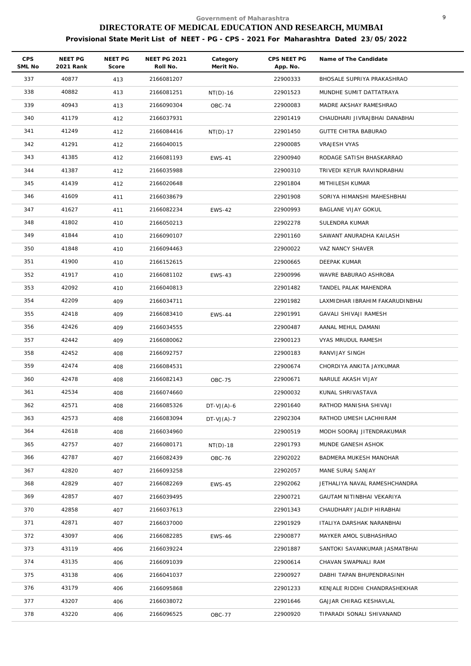| <b>CPS</b><br>SML No | NEET PG<br>2021 Rank | NEET PG<br>Score | <b>NEET PG 2021</b><br>Roll No. | Category<br>Merit No. | CPS NEET PG<br>App. No. | Name of The Candidate           |
|----------------------|----------------------|------------------|---------------------------------|-----------------------|-------------------------|---------------------------------|
| 337                  | 40877                | 413              | 2166081207                      |                       | 22900333                | BHOSALE SUPRIYA PRAKASHRAO      |
| 338                  | 40882                | 413              | 2166081251                      | $NT(D)-16$            | 22901523                | MUNDHE SUMIT DATTATRAYA         |
| 339                  | 40943                | 413              | 2166090304                      | <b>OBC-74</b>         | 22900083                | MADRE AKSHAY RAMESHRAO          |
| 340                  | 41179                | 412              | 2166037931                      |                       | 22901419                | CHAUDHARI JIVRAJBHAI DANABHAI   |
| 341                  | 41249                | 412              | 2166084416                      | $NT(D)-17$            | 22901450                | <b>GUTTE CHITRA BABURAO</b>     |
| 342                  | 41291                | 412              | 2166040015                      |                       | 22900085                | <b>VRAJESH VYAS</b>             |
| 343                  | 41385                | 412              | 2166081193                      | <b>EWS-41</b>         | 22900940                | RODAGE SATISH BHASKARRAO        |
| 344                  | 41387                | 412              | 2166035988                      |                       | 22900310                | TRIVEDI KEYUR RAVINDRABHAI      |
| 345                  | 41439                | 412              | 2166020648                      |                       | 22901804                | MITHILESH KUMAR                 |
| 346                  | 41609                | 411              | 2166038679                      |                       | 22901908                | SORIYA HIMANSHI MAHESHBHAI      |
| 347                  | 41627                | 411              | 2166082234                      | <b>EWS-42</b>         | 22900993                | BAGLANE VIJAY GOKUL             |
| 348                  | 41802                | 410              | 2166050213                      |                       | 22902278                | SULENDRA KUMAR                  |
| 349                  | 41844                | 410              | 2166090107                      |                       | 22901160                | SAWANT ANURADHA KAILASH         |
| 350                  | 41848                | 410              | 2166094463                      |                       | 22900022                | VAZ NANCY SHAVER                |
| 351                  | 41900                | 410              | 2166152615                      |                       | 22900665                | DEEPAK KUMAR                    |
| 352                  | 41917                | 410              | 2166081102                      | <b>EWS-43</b>         | 22900996                | WAVRE BABURAO ASHROBA           |
| 353                  | 42092                | 410              | 2166040813                      |                       | 22901482                | TANDEL PALAK MAHENDRA           |
| 354                  | 42209                | 409              | 2166034711                      |                       | 22901982                | LAXMIDHAR IBRAHIM FAKARUDINBHAI |
| 355                  | 42418                | 409              | 2166083410                      | <b>EWS-44</b>         | 22901991                | GAVALI SHIVAJI RAMESH           |
| 356                  | 42426                | 409              | 2166034555                      |                       | 22900487                | AANAL MEHUL DAMANI              |
| 357                  | 42442                | 409              | 2166080062                      |                       | 22900123                | VYAS MRUDUL RAMESH              |
| 358                  | 42452                | 408              | 2166092757                      |                       | 22900183                | RANVIJAY SINGH                  |
| 359                  | 42474                | 408              | 2166084531                      |                       | 22900674                | CHORDIYA ANKITA JAYKUMAR        |
| 360                  | 42478                | 408              | 2166082143                      | <b>OBC-75</b>         | 22900671                | NARULE AKASH VIJAY              |
| 361                  | 42534                | 408              | 2166074660                      |                       | 22900032                | KUNAL SHRIVASTAVA               |
| 362                  | 42571                | 408              | 2166085326                      | $DT-VJ(A)-6$          | 22901640                | RATHOD MANISHA SHIVAJI          |
| 363                  | 42573                | 408              | 2166083094                      | $DT-VJ(A)-7$          | 22902304                | RATHOD UMESH LACHHIRAM          |
| 364                  | 42618                | 408              | 2166034960                      |                       | 22900519                | MODH SOORAJ JITENDRAKUMAR       |
| 365                  | 42757                | 407              | 2166080171                      | $NT(D)-18$            | 22901793                | MUNDE GANESH ASHOK              |
| 366                  | 42787                | 407              | 2166082439                      | OBC-76                | 22902022                | BADMERA MUKESH MANOHAR          |
| 367                  | 42820                | 407              | 2166093258                      |                       | 22902057                | MANE SURAJ SANJAY               |
| 368                  | 42829                | 407              | 2166082269                      | <b>EWS-45</b>         | 22902062                | JETHALIYA NAVAL RAMESHCHANDRA   |
| 369                  | 42857                | 407              | 2166039495                      |                       | 22900721                | GAUTAM NITINBHAI VEKARIYA       |
| 370                  | 42858                | 407              | 2166037613                      |                       | 22901343                | CHAUDHARY JALDIP HIRABHAI       |
| 371                  | 42871                | 407              | 2166037000                      |                       | 22901929                | ITALIYA DARSHAK NARANBHAI       |
| 372                  | 43097                | 406              | 2166082285                      | <b>EWS-46</b>         | 22900877                | MAYKER AMOL SUBHASHRAO          |
| 373                  | 43119                | 406              | 2166039224                      |                       | 22901887                | SANTOKI SAVANKUMAR JASMATBHAI   |
| 374                  | 43135                | 406              | 2166091039                      |                       | 22900614                | CHAVAN SWAPNALI RAM             |
| 375                  | 43138                | 406              | 2166041037                      |                       | 22900927                | DABHI TAPAN BHUPENDRASINH       |
| 376                  | 43179                | 406              | 2166095868                      |                       | 22901233                | KENJALE RIDDHI CHANDRASHEKHAR   |
| 377                  | 43207                | 406              | 2166038072                      |                       | 22901646                | GAJJAR CHIRAG KESHAVLAL         |
| 378                  | 43220                | 406              | 2166096525                      | <b>OBC-77</b>         | 22900920                | TIPARADI SONALI SHIVANAND       |
|                      |                      |                  |                                 |                       |                         |                                 |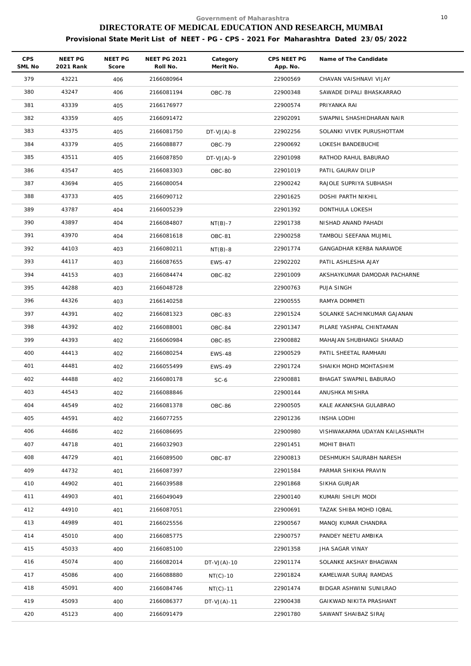| <b>CPS</b><br>SML No | NEET PG<br>2021 Rank | <b>NEET PG</b><br>Score | <b>NEET PG 2021</b><br>Roll No. | Category<br>Merit No. | CPS NEET PG<br>App. No. | Name of The Candidate          |
|----------------------|----------------------|-------------------------|---------------------------------|-----------------------|-------------------------|--------------------------------|
| 379                  | 43221                | 406                     | 2166080964                      |                       | 22900569                | CHAVAN VAISHNAVI VIJAY         |
| 380                  | 43247                | 406                     | 2166081194                      | <b>OBC-78</b>         | 22900348                | SAWADE DIPALI BHASKARRAO       |
| 381                  | 43339                | 405                     | 2166176977                      |                       | 22900574                | PRIYANKA RAI                   |
| 382                  | 43359                | 405                     | 2166091472                      |                       | 22902091                | SWAPNIL SHASHIDHARAN NAIR      |
| 383                  | 43375                | 405                     | 2166081750                      | $DT-VJ(A)-8$          | 22902256                | SOLANKI VIVEK PURUSHOTTAM      |
| 384                  | 43379                | 405                     | 2166088877                      | <b>OBC-79</b>         | 22900692                | LOKESH BANDEBUCHE              |
| 385                  | 43511                | 405                     | 2166087850                      | $DT-VJ(A)-9$          | 22901098                | RATHOD RAHUL BABURAO           |
| 386                  | 43547                | 405                     | 2166083303                      | OBC-80                | 22901019                | PATIL GAURAV DILIP             |
| 387                  | 43694                | 405                     | 2166080054                      |                       | 22900242                | RAJOLE SUPRIYA SUBHASH         |
| 388                  | 43733                | 405                     | 2166090712                      |                       | 22901625                | DOSHI PARTH NIKHIL             |
| 389                  | 43787                | 404                     | 2166005239                      |                       | 22901392                | DONTHULA LOKESH                |
| 390                  | 43897                | 404                     | 2166084807                      | $NT(B)-7$             | 22901738                | NISHAD ANAND PAHADI            |
| 391                  | 43970                | 404                     | 2166081618                      | OBC-81                | 22900258                | TAMBOLI SEEFANA MUJMIL         |
| 392                  | 44103                | 403                     | 2166080211                      | $NT(B)-8$             | 22901774                | GANGADHAR KERBA NARAWDE        |
| 393                  | 44117                | 403                     | 2166087655                      | <b>EWS-47</b>         | 22902202                | PATIL ASHLESHA AJAY            |
| 394                  | 44153                | 403                     | 2166084474                      | OBC-82                | 22901009                | AKSHAYKUMAR DAMODAR PACHARNE   |
| 395                  | 44288                | 403                     | 2166048728                      |                       | 22900763                | PUJA SINGH                     |
| 396                  | 44326                | 403                     | 2166140258                      |                       | 22900555                | RAMYA DOMMETI                  |
| 397                  | 44391                | 402                     | 2166081323                      | OBC-83                | 22901524                | SOLANKE SACHINKUMAR GAJANAN    |
| 398                  | 44392                | 402                     | 2166088001                      | OBC-84                | 22901347                | PILARE YASHPAL CHINTAMAN       |
| 399                  | 44393                | 402                     | 2166060984                      | OBC-85                | 22900882                | MAHAJAN SHUBHANGI SHARAD       |
| 400                  | 44413                | 402                     | 2166080254                      | <b>EWS-48</b>         | 22900529                | PATIL SHEETAL RAMHARI          |
| 401                  | 44481                | 402                     | 2166055499                      | <b>EWS-49</b>         | 22901724                | SHAIKH MOHD MOHTASHIM          |
| 402                  | 44488                | 402                     | 2166080178                      | $SC-6$                | 22900881                | BHAGAT SWAPNIL BABURAO         |
| 403                  | 44543                | 402                     | 2166088846                      |                       | 22900144                | ANUSHKA MISHRA                 |
| 404                  | 44549                | 402                     | 2166081378                      | OBC-86                | 22900505                | KALE AKANKSHA GULABRAO         |
| 405                  | 44591                | 402                     | 2166077255                      |                       | 22901236                | <b>INSHA LODHI</b>             |
| 406                  | 44686                | 402                     | 2166086695                      |                       | 22900980                | VISHWAKARMA UDAYAN KAILASHNATH |
| 407                  | 44718                | 401                     | 2166032903                      |                       | 22901451                | MOHIT BHATI                    |
| 408                  | 44729                | 401                     | 2166089500                      | <b>OBC-87</b>         | 22900813                | DESHMUKH SAURABH NARESH        |
| 409                  | 44732                | 401                     | 2166087397                      |                       | 22901584                | PARMAR SHIKHA PRAVIN           |
| 410                  | 44902                | 401                     | 2166039588                      |                       | 22901868                | SIKHA GURJAR                   |
| 411                  | 44903                | 401                     | 2166049049                      |                       | 22900140                | KUMARI SHILPI MODI             |
| 412                  | 44910                | 401                     | 2166087051                      |                       | 22900691                | TAZAK SHIBA MOHD IQBAL         |
| 413                  | 44989                | 401                     | 2166025556                      |                       | 22900567                | MANOJ KUMAR CHANDRA            |
| 414                  | 45010                | 400                     | 2166085775                      |                       | 22900757                | PANDEY NEETU AMBIKA            |
| 415                  | 45033                | 400                     | 2166085100                      |                       | 22901358                | JHA SAGAR VINAY                |
| 416                  | 45074                | 400                     | 2166082014                      | $DT-VJ(A)-10$         | 22901174                | SOLANKE AKSHAY BHAGWAN         |
| 417                  | 45086                | 400                     | 2166088880                      | $NT(C)-10$            | 22901824                | KAMELWAR SURAJ RAMDAS          |
| 418                  | 45091                | 400                     | 2166084746                      | $NT(C)-11$            | 22901474                | BIDGAR ASHWINI SUNILRAO        |
| 419                  | 45093                | 400                     | 2166086377                      | $DT-VJ(A)-11$         | 22900438                | GAIKWAD NIKITA PRASHANT        |
| 420                  | 45123                | 400                     | 2166091479                      |                       | 22901780                | SAWANT SHAIBAZ SIRAJ           |
|                      |                      |                         |                                 |                       |                         |                                |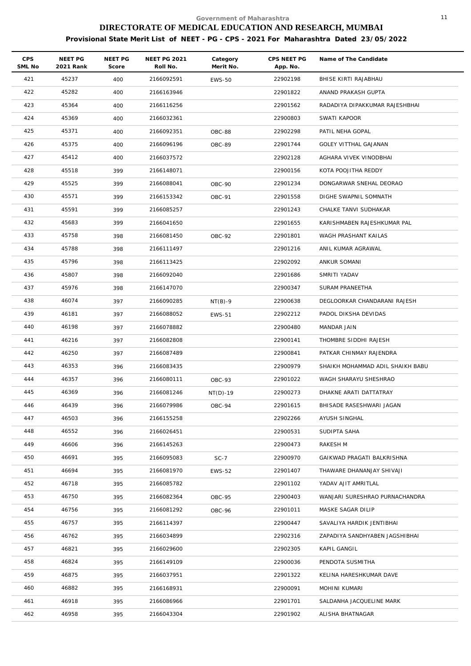| <b>CPS</b><br>SML No | NEET PG<br>2021 Rank | <b>NEET PG</b><br>Score | <b>NEET PG 2021</b><br>Roll No. | Category<br>Merit No. | CPS NEET PG<br>App. No. | Name of The Candidate            |
|----------------------|----------------------|-------------------------|---------------------------------|-----------------------|-------------------------|----------------------------------|
| 421                  | 45237                | 400                     | 2166092591                      | <b>EWS-50</b>         | 22902198                | BHISE KIRTI RAJABHAU             |
| 422                  | 45282                | 400                     | 2166163946                      |                       | 22901822                | ANAND PRAKASH GUPTA              |
| 423                  | 45364                | 400                     | 2166116256                      |                       | 22901562                | RADADIYA DIPAKKUMAR RAJESHBHAI   |
| 424                  | 45369                | 400                     | 2166032361                      |                       | 22900803                | SWATI KAPOOR                     |
| 425                  | 45371                | 400                     | 2166092351                      | OBC-88                | 22902298                | PATIL NEHA GOPAL                 |
| 426                  | 45375                | 400                     | 2166096196                      | OBC-89                | 22901744                | <b>GOLEY VITTHAL GAJANAN</b>     |
| 427                  | 45412                | 400                     | 2166037572                      |                       | 22902128                | AGHARA VIVEK VINODBHAI           |
| 428                  | 45518                | 399                     | 2166148071                      |                       | 22900156                | KOTA POOJITHA REDDY              |
| 429                  | 45525                | 399                     | 2166088041                      | <b>OBC-90</b>         | 22901234                | DONGARWAR SNEHAL DEORAO          |
| 430                  | 45571                | 399                     | 2166153342                      | OBC-91                | 22901558                | DIGHE SWAPNIL SOMNATH            |
| 431                  | 45591                | 399                     | 2166085257                      |                       | 22901243                | CHALKE TANVI SUDHAKAR            |
| 432                  | 45683                | 399                     | 2166041650                      |                       | 22901655                | KARISHMABEN RAJESHKUMAR PAL      |
| 433                  | 45758                | 398                     | 2166081450                      | OBC-92                | 22901801                | WAGH PRASHANT KAILAS             |
| 434                  | 45788                | 398                     | 2166111497                      |                       | 22901216                | ANIL KUMAR AGRAWAL               |
| 435                  | 45796                | 398                     | 2166113425                      |                       | 22902092                | ANKUR SOMANI                     |
| 436                  | 45807                | 398                     | 2166092040                      |                       | 22901686                | SMRITI YADAV                     |
| 437                  | 45976                | 398                     | 2166147070                      |                       | 22900347                | SURAM PRANEETHA                  |
| 438                  | 46074                | 397                     | 2166090285                      | $NT(B)-9$             | 22900638                | DEGLOORKAR CHANDARANI RAJESH     |
| 439                  | 46181                | 397                     | 2166088052                      | <b>EWS-51</b>         | 22902212                | PADOL DIKSHA DEVIDAS             |
| 440                  | 46198                | 397                     | 2166078882                      |                       | 22900480                | MANDAR JAIN                      |
| 441                  | 46216                | 397                     | 2166082808                      |                       | 22900141                | THOMBRE SIDDHI RAJESH            |
| 442                  | 46250                | 397                     | 2166087489                      |                       | 22900841                | PATKAR CHINMAY RAJENDRA          |
| 443                  | 46353                | 396                     | 2166083435                      |                       | 22900979                | SHAIKH MOHAMMAD ADIL SHAIKH BABU |
| 444                  | 46357                | 396                     | 2166080111                      | OBC-93                | 22901022                | WAGH SHARAYU SHESHRAO            |
| 445                  | 46369                | 396                     | 2166081246                      | $NT(D)-19$            | 22900273                | DHAKNE ARATI DATTATRAY           |
| 446                  | 46439                | 396                     | 2166079986                      | OBC-94                | 22901615                | BHISADE RASESHWARI JAGAN         |
| 447                  | 46503                | 396                     | 2166155258                      |                       | 22902266                | AYUSH SINGHAL                    |
| 448                  | 46552                | 396                     | 2166026451                      |                       | 22900531                | SUDIPTA SAHA                     |
| 449                  | 46606                | 396                     | 2166145263                      |                       | 22900473                | RAKESH M                         |
| 450                  | 46691                | 395                     | 2166095083                      | $SC-7$                | 22900970                | GAIKWAD PRAGATI BALKRISHNA       |
| 451                  | 46694                | 395                     | 2166081970                      | <b>EWS-52</b>         | 22901407                | THAWARE DHANANJAY SHIVAJI        |
| 452                  | 46718                | 395                     | 2166085782                      |                       | 22901102                | YADAV AJIT AMRITLAL              |
| 453                  | 46750                | 395                     | 2166082364                      | <b>OBC-95</b>         | 22900403                | WANJARI SURESHRAO PURNACHANDRA   |
| 454                  | 46756                | 395                     | 2166081292                      | OBC-96                | 22901011                | MASKE SAGAR DILIP                |
| 455                  | 46757                | 395                     | 2166114397                      |                       | 22900447                | SAVALIYA HARDIK JENTIBHAI        |
| 456                  | 46762                | 395                     | 2166034899                      |                       | 22902316                | ZAPADIYA SANDHYABEN JAGSHIBHAI   |
| 457                  | 46821                | 395                     | 2166029600                      |                       | 22902305                | KAPIL GANGIL                     |
| 458                  | 46824                | 395                     | 2166149109                      |                       | 22900036                | PENDOTA SUSMITHA                 |
| 459                  | 46875                | 395                     | 2166037951                      |                       | 22901322                | KELINA HARESHKUMAR DAVE          |
| 460                  | 46882                | 395                     | 2166168931                      |                       | 22900091                | MOHINI KUMARI                    |
| 461                  | 46918                | 395                     | 2166086966                      |                       | 22901701                | SALDANHA JACQUELINE MARK         |
| 462                  | 46958                | 395                     | 2166043304                      |                       | 22901902                | ALISHA BHATNAGAR                 |
|                      |                      |                         |                                 |                       |                         |                                  |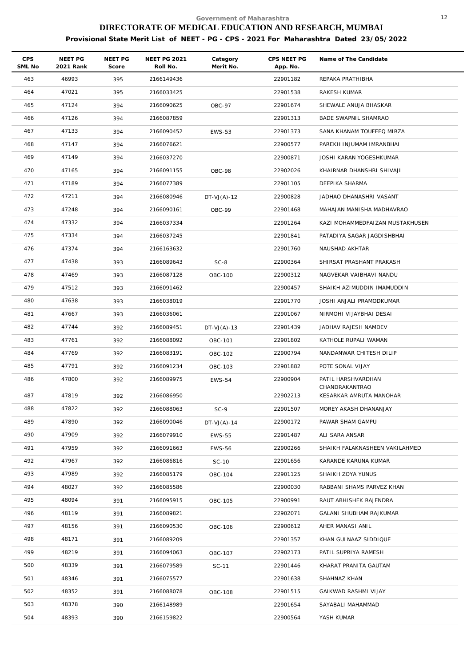| <b>CPS</b><br>SML No | NEET PG<br>2021 Rank | NEET PG<br>Score | <b>NEET PG 2021</b><br>Roll No. | Category<br>Merit No. | CPS NEET PG<br>App. No. | Name of The Candidate                     |
|----------------------|----------------------|------------------|---------------------------------|-----------------------|-------------------------|-------------------------------------------|
| 463                  | 46993                | 395              | 2166149436                      |                       | 22901182                | REPAKA PRATHIBHA                          |
| 464                  | 47021                | 395              | 2166033425                      |                       | 22901538                | RAKESH KUMAR                              |
| 465                  | 47124                | 394              | 2166090625                      | <b>OBC-97</b>         | 22901674                | SHEWALE ANUJA BHASKAR                     |
| 466                  | 47126                | 394              | 2166087859                      |                       | 22901313                | BADE SWAPNIL SHAMRAO                      |
| 467                  | 47133                | 394              | 2166090452                      | <b>EWS-53</b>         | 22901373                | SANA KHANAM TOUFEEQ MIRZA                 |
| 468                  | 47147                | 394              | 2166076621                      |                       | 22900577                | PAREKH INJUMAM IMRANBHAI                  |
| 469                  | 47149                | 394              | 2166037270                      |                       | 22900871                | JOSHI KARAN YOGESHKUMAR                   |
| 470                  | 47165                | 394              | 2166091155                      | OBC-98                | 22902026                | KHAIRNAR DHANSHRI SHIVAJI                 |
| 471                  | 47189                | 394              | 2166077389                      |                       | 22901105                | DEEPIKA SHARMA                            |
| 472                  | 47211                | 394              | 2166080946                      | $DT-VJ(A)-12$         | 22900828                | JADHAO DHANASHRI VASANT                   |
| 473                  | 47248                | 394              | 2166090161                      | OBC-99                | 22901468                | MAHAJAN MANISHA MADHAVRAO                 |
| 474                  | 47332                | 394              | 2166037334                      |                       | 22901264                | KAZI MOHAMMEDFAIZAN MUSTAKHUSEN           |
| 475                  | 47334                | 394              | 2166037245                      |                       | 22901841                | PATADIYA SAGAR JAGDISHBHAI                |
| 476                  | 47374                | 394              | 2166163632                      |                       | 22901760                | NAUSHAD AKHTAR                            |
| 477                  | 47438                | 393              | 2166089643                      | $SC-8$                | 22900364                | SHIRSAT PRASHANT PRAKASH                  |
| 478                  | 47469                | 393              | 2166087128                      | <b>OBC-100</b>        | 22900312                | NAGVEKAR VAIBHAVI NANDU                   |
| 479                  | 47512                | 393              | 2166091462                      |                       | 22900457                | SHAIKH AZIMUDDIN IMAMUDDIN                |
| 480                  | 47638                | 393              | 2166038019                      |                       | 22901770                | JOSHI ANJALI PRAMODKUMAR                  |
| 481                  | 47667                | 393              | 2166036061                      |                       | 22901067                | NIRMOHI VIJAYBHAI DESAI                   |
| 482                  | 47744                | 392              | 2166089451                      | $DT-VJ(A)-13$         | 22901439                | JADHAV RAJESH NAMDEV                      |
| 483                  | 47761                | 392              | 2166088092                      | OBC-101               | 22901802                | KATHOLE RUPALI WAMAN                      |
| 484                  | 47769                | 392              | 2166083191                      | OBC-102               | 22900794                | NANDANWAR CHITESH DILIP                   |
| 485                  | 47791                | 392              | 2166091234                      | OBC-103               | 22901882                | POTE SONAL VIJAY                          |
| 486                  | 47800                | 392              | 2166089975                      | <b>EWS-54</b>         | 22900904                | PATIL HARSHVARDHAN                        |
| 487                  | 47819                | 392              | 2166086950                      |                       | 22902213                | CHANDRAKANTRAO<br>KESARKAR AMRUTA MANOHAR |
| 488                  | 47822                | 392              | 2166088063                      | $SC-9$                | 22901507                | MOREY AKASH DHANANJAY                     |
| 489                  | 47890                | 392              | 2166090046                      | $DT-VJ(A)-14$         | 22900172                | PAWAR SHAM GAMPU                          |
| 490                  | 47909                | 392              | 2166079910                      | <b>EWS-55</b>         | 22901487                | ALI SARA ANSAR                            |
| 491                  | 47959                | 392              | 2166091663                      | <b>EWS-56</b>         | 22900266                | SHAIKH FALAKNASHEEN VAKILAHMED            |
| 492                  | 47967                | 392              | 2166086816                      | SC-10                 | 22901656                | KARANDE KARUNA KUMAR                      |
| 493                  | 47989                | 392              | 2166085179                      | OBC-104               | 22901125                | SHAIKH ZOYA YUNUS                         |
| 494                  | 48027                | 392              | 2166085586                      |                       | 22900030                | RABBANI SHAMS PARVEZ KHAN                 |
| 495                  | 48094                | 391              | 2166095915                      | OBC-105               | 22900991                | RAUT ABHISHEK RAJENDRA                    |
| 496                  | 48119                | 391              | 2166089821                      |                       | 22902071                | GALANI SHUBHAM RAJKUMAR                   |
| 497                  | 48156                | 391              | 2166090530                      | OBC-106               | 22900612                | AHER MANASI ANIL                          |
| 498                  | 48171                | 391              | 2166089209                      |                       | 22901357                | KHAN GULNAAZ SIDDIQUE                     |
| 499                  | 48219                | 391              | 2166094063                      | OBC-107               | 22902173                | PATIL SUPRIYA RAMESH                      |
| 500                  | 48339                | 391              | 2166079589                      | SC-11                 | 22901446                | KHARAT PRANITA GAUTAM                     |
| 501                  | 48346                | 391              | 2166075577                      |                       | 22901638                | SHAHNAZ KHAN                              |
| 502                  | 48352                | 391              | 2166088078                      | <b>OBC-108</b>        | 22901515                | GAIKWAD RASHMI VIJAY                      |
| 503                  | 48378                | 390              | 2166148989                      |                       | 22901654                | SAYABALI MAHAMMAD                         |
| 504                  | 48393                | 390              | 2166159822                      |                       | 22900564                | YASH KUMAR                                |
|                      |                      |                  |                                 |                       |                         |                                           |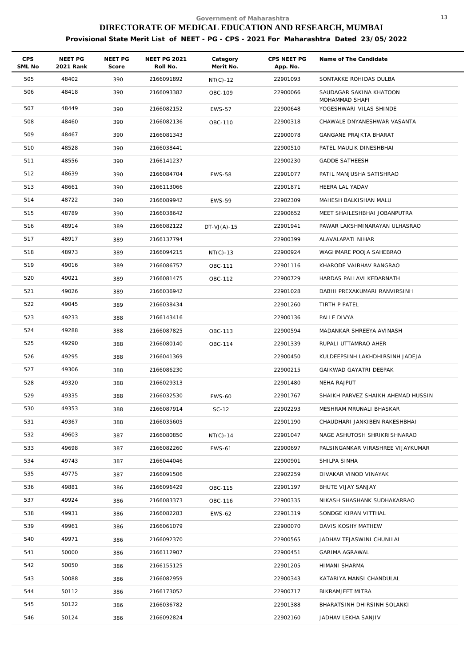| <b>CPS</b><br>SML No | NEET PG<br>2021 Rank | NEET PG<br>Score | <b>NEET PG 2021</b><br>Roll No. | Category<br>Merit No. | CPS NEET PG<br>App. No. | Name of The Candidate                     |
|----------------------|----------------------|------------------|---------------------------------|-----------------------|-------------------------|-------------------------------------------|
| 505                  | 48402                | 390              | 2166091892                      | $NT(C)-12$            | 22901093                | SONTAKKE ROHIDAS DULBA                    |
| 506                  | 48418                | 390              | 2166093382                      | OBC-109               | 22900066                | SAUDAGAR SAKINA KHATOON<br>MOHAMMAD SHAFI |
| 507                  | 48449                | 390              | 2166082152                      | <b>EWS-57</b>         | 22900648                | YOGESHWARI VILAS SHINDE                   |
| 508                  | 48460                | 390              | 2166082136                      | OBC-110               | 22900318                | CHAWALE DNYANESHWAR VASANTA               |
| 509                  | 48467                | 390              | 2166081343                      |                       | 22900078                | <b>GANGANE PRAJKTA BHARAT</b>             |
| 510                  | 48528                | 390              | 2166038441                      |                       | 22900510                | PATEL MAULIK DINESHBHAI                   |
| 511                  | 48556                | 390              | 2166141237                      |                       | 22900230                | <b>GADDE SATHEESH</b>                     |
| 512                  | 48639                | 390              | 2166084704                      | <b>EWS-58</b>         | 22901077                | PATIL MANJUSHA SATISHRAO                  |
| 513                  | 48661                | 390              | 2166113066                      |                       | 22901871                | HEERA LAL YADAV                           |
| 514                  | 48722                | 390              | 2166089942                      | <b>EWS-59</b>         | 22902309                | MAHESH BALKISHAN MALU                     |
| 515                  | 48789                | 390              | 2166038642                      |                       | 22900652                | MEET SHAILESHBHAI JOBANPUTRA              |
| 516                  | 48914                | 389              | 2166082122                      | $DT-VJ(A) - 15$       | 22901941                | PAWAR LAKSHMINARAYAN ULHASRAO             |
| 517                  | 48917                | 389              | 2166137794                      |                       | 22900399                | ALAVALAPATI NIHAR                         |
| 518                  | 48973                | 389              | 2166094215                      | $NT(C)-13$            | 22900924                | WAGHMARE POOJA SAHEBRAO                   |
| 519                  | 49016                | 389              | 2166086757                      | OBC-111               | 22901116                | KHARODE VAIBHAV RANGRAO                   |
| 520                  | 49021                | 389              | 2166081475                      | OBC-112               | 22900729                | HARDAS PALLAVI KEDARNATH                  |
| 521                  | 49026                | 389              | 2166036942                      |                       | 22901028                | DABHI PREXAKUMARI RANVIRSINH              |
| 522                  | 49045                | 389              | 2166038434                      |                       | 22901260                | TIRTH P PATEL                             |
| 523                  | 49233                | 388              | 2166143416                      |                       | 22900136                | PALLE DIVYA                               |
| 524                  | 49288                | 388              | 2166087825                      | OBC-113               | 22900594                | MADANKAR SHREEYA AVINASH                  |
| 525                  | 49290                | 388              | 2166080140                      | OBC-114               | 22901339                | RUPALI UTTAMRAO AHER                      |
| 526                  | 49295                | 388              | 2166041369                      |                       | 22900450                | KULDEEPSINH LAKHDHIRSINH JADEJA           |
| 527                  | 49306                | 388              | 2166086230                      |                       | 22900215                | GAIKWAD GAYATRI DEEPAK                    |
| 528                  | 49320                | 388              | 2166029313                      |                       | 22901480                | NEHA RAJPUT                               |
| 529                  | 49335                | 388              | 2166032530                      | <b>EWS-60</b>         | 22901767                | SHAIKH PARVEZ SHAIKH AHEMAD HUSSIN        |
| 530                  | 49353                | 388              | 2166087914                      | SC-12                 | 22902293                | MESHRAM MRUNALI BHASKAR                   |
| 531                  | 49367                | 388              | 2166035605                      |                       | 22901190                | CHAUDHARI JANKIBEN RAKESHBHAI             |
| 532                  | 49603                | 387              | 2166080850                      | $NT(C)-14$            | 22901047                | NAGE ASHUTOSH SHRIKRISHNARAO              |
| 533                  | 49698                | 387              | 2166082260                      | <b>EWS-61</b>         | 22900697                | PALSINGANKAR VIRASHREE VIJAYKUMAR         |
| 534                  | 49743                | 387              | 2166044046                      |                       | 22900901                | SHILPA SINHA                              |
| 535                  | 49775                | 387              | 2166091506                      |                       | 22902259                | DIVAKAR VINOD VINAYAK                     |
| 536                  | 49881                | 386              | 2166096429                      | OBC-115               | 22901197                | BHUTE VIJAY SANJAY                        |
| 537                  | 49924                | 386              | 2166083373                      | OBC-116               | 22900335                | NIKASH SHASHANK SUDHAKARRAO               |
| 538                  | 49931                | 386              | 2166082283                      | EWS-62                | 22901319                | SONDGE KIRAN VITTHAL                      |
| 539                  | 49961                | 386              | 2166061079                      |                       | 22900070                | DAVIS KOSHY MATHEW                        |
| 540                  | 49971                | 386              | 2166092370                      |                       | 22900565                | JADHAV TEJASWINI CHUNILAL                 |
| 541                  | 50000                | 386              | 2166112907                      |                       | 22900451                | GARIMA AGRAWAL                            |
| 542                  | 50050                | 386              | 2166155125                      |                       | 22901205                | HIMANI SHARMA                             |
| 543                  | 50088                | 386              | 2166082959                      |                       | 22900343                | KATARIYA MANSI CHANDULAL                  |
| 544                  | 50112                | 386              | 2166173052                      |                       | 22900717                | BIKRAMJEET MITRA                          |
| 545                  | 50122                | 386              | 2166036782                      |                       | 22901388                | BHARATSINH DHIRSINH SOLANKI               |
| 546                  | 50124                | 386              | 2166092824                      |                       | 22902160                | JADHAV LEKHA SANJIV                       |
|                      |                      |                  |                                 |                       |                         |                                           |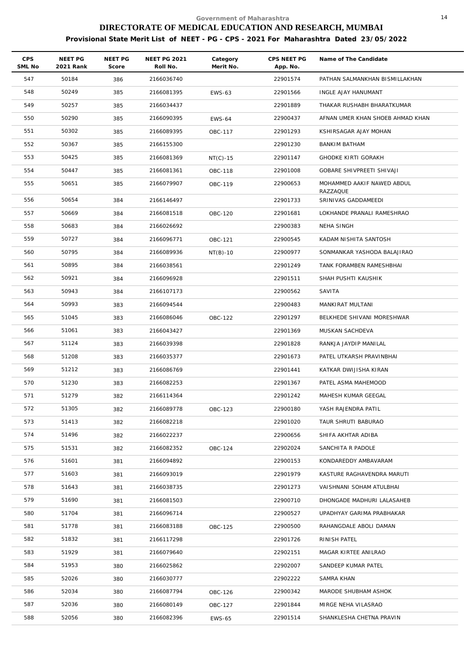| <b>CPS</b><br>SML No | NEET PG<br>2021 Rank | NEET PG<br>Score | <b>NEET PG 2021</b><br>Roll No. | Category<br>Merit No. | CPS NEET PG<br>App. No. | Name of The Candidate                  |
|----------------------|----------------------|------------------|---------------------------------|-----------------------|-------------------------|----------------------------------------|
| 547                  | 50184                | 386              | 2166036740                      |                       | 22901574                | PATHAN SALMANKHAN BISMILLAKHAN         |
| 548                  | 50249                | 385              | 2166081395                      | EWS-63                | 22901566                | INGLE AJAY HANUMANT                    |
| 549                  | 50257                | 385              | 2166034437                      |                       | 22901889                | THAKAR RUSHABH BHARATKUMAR             |
| 550                  | 50290                | 385              | 2166090395                      | <b>EWS-64</b>         | 22900437                | AFNAN UMER KHAN SHOEB AHMAD KHAN       |
| 551                  | 50302                | 385              | 2166089395                      | OBC-117               | 22901293                | KSHIRSAGAR AJAY MOHAN                  |
| 552                  | 50367                | 385              | 2166155300                      |                       | 22901230                | BANKIM BATHAM                          |
| 553                  | 50425                | 385              | 2166081369                      | $NT(C) - 15$          | 22901147                | <b>GHODKE KIRTI GORAKH</b>             |
| 554                  | 50447                | 385              | 2166081361                      | OBC-118               | 22901008                | GOBARE SHIVPREETI SHIVAJI              |
| 555                  | 50651                | 385              | 2166079907                      | OBC-119               | 22900653                | MOHAMMED AAKIF NAWED ABDUL<br>RAZZAQUE |
| 556                  | 50654                | 384              | 2166146497                      |                       | 22901733                | SRINIVAS GADDAMEEDI                    |
| 557                  | 50669                | 384              | 2166081518                      | OBC-120               | 22901681                | LOKHANDE PRANALI RAMESHRAO             |
| 558                  | 50683                | 384              | 2166026692                      |                       | 22900383                | NEHA SINGH                             |
| 559                  | 50727                | 384              | 2166096771                      | OBC-121               | 22900545                | KADAM NISHITA SANTOSH                  |
| 560                  | 50795                | 384              | 2166089936                      | $NT(B)-10$            | 22900977                | SONMANKAR YASHODA BALAJIRAO            |
| 561                  | 50895                | 384              | 2166038561                      |                       | 22901249                | TANK FORAMBEN RAMESHBHAI               |
| 562                  | 50921                | 384              | 2166096928                      |                       | 22901511                | SHAH PUSHTI KAUSHIK                    |
| 563                  | 50943                | 384              | 2166107173                      |                       | 22900562                | SAVITA                                 |
| 564                  | 50993                | 383              | 2166094544                      |                       | 22900483                | MANKIRAT MULTANI                       |
| 565                  | 51045                | 383              | 2166086046                      | OBC-122               | 22901297                | BELKHEDE SHIVANI MORESHWAR             |
| 566                  | 51061                | 383              | 2166043427                      |                       | 22901369                | MUSKAN SACHDEVA                        |
| 567                  | 51124                | 383              | 2166039398                      |                       | 22901828                | RANKJA JAYDIP MANILAL                  |
| 568                  | 51208                | 383              | 2166035377                      |                       | 22901673                | PATEL UTKARSH PRAVINBHAI               |
| 569                  | 51212                | 383              | 2166086769                      |                       | 22901441                | KATKAR DWIJISHA KIRAN                  |
| 570                  | 51230                | 383              | 2166082253                      |                       | 22901367                | PATEL ASMA MAHEMOOD                    |
| 571                  | 51279                | 382              | 2166114364                      |                       | 22901242                | MAHESH KUMAR GEEGAL                    |
| 572                  | 51305                | 382              | 2166089778                      | OBC-123               | 22900180                | YASH RAJENDRA PATIL                    |
| 573                  | 51413                | 382              | 2166082218                      |                       | 22901020                | TAUR SHRUTI BABURAO                    |
| 574                  | 51496                | 382              | 2166022237                      |                       | 22900656                | SHIFA AKHTAR ADIBA                     |
| 575                  | 51531                | 382              | 2166082352                      | OBC-124               | 22902024                | SANCHITA R PADOLE                      |
| 576                  | 51601                | 381              | 2166094892                      |                       | 22900153                | KONDAREDDY AMBAVARAM                   |
| 577                  | 51603                | 381              | 2166093019                      |                       | 22901979                | KASTURE RAGHAVENDRA MARUTI             |
| 578                  | 51643                | 381              | 2166038735                      |                       | 22901273                | VAISHNANI SOHAM ATULBHAI               |
| 579                  | 51690                | 381              | 2166081503                      |                       | 22900710                | DHONGADE MADHURI LALASAHEB             |
| 580                  | 51704                | 381              | 2166096714                      |                       | 22900527                | UPADHYAY GARIMA PRABHAKAR              |
| 581                  | 51778                | 381              | 2166083188                      | OBC-125               | 22900500                | RAHANGDALE ABOLI DAMAN                 |
| 582                  | 51832                | 381              | 2166117298                      |                       | 22901726                | RINISH PATEL                           |
| 583                  | 51929                | 381              | 2166079640                      |                       | 22902151                | MAGAR KIRTEE ANILRAO                   |
| 584                  | 51953                | 380              | 2166025862                      |                       | 22902007                | SANDEEP KUMAR PATEL                    |
| 585                  | 52026                | 380              | 2166030777                      |                       | 22902222                | SAMRA KHAN                             |
| 586                  | 52034                | 380              | 2166087794                      | OBC-126               | 22900342                | MARODE SHUBHAM ASHOK                   |
| 587                  | 52036                | 380              | 2166080149                      | OBC-127               | 22901844                | MIRGE NEHA VILASRAO                    |
| 588                  | 52056                | 380              | 2166082396                      | <b>EWS-65</b>         | 22901514                | SHANKLESHA CHETNA PRAVIN               |
|                      |                      |                  |                                 |                       |                         |                                        |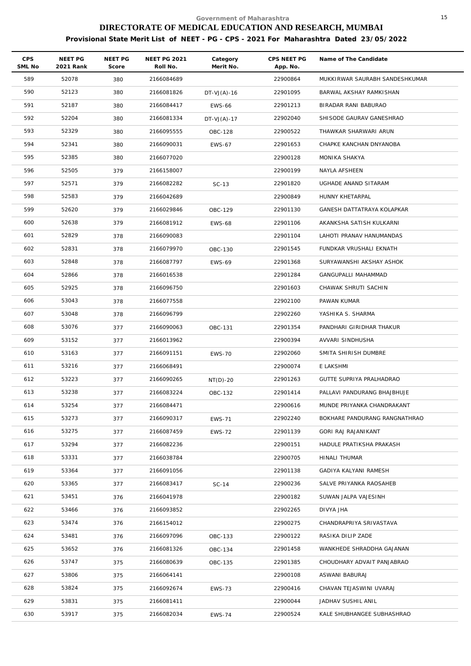| <b>CPS</b><br>SML No | NEET PG<br>2021 Rank | <b>NEET PG</b><br>Score | <b>NEET PG 2021</b><br>Roll No. | Category<br>Merit No. | CPS NEET PG<br>App. No. | Name of The Candidate          |
|----------------------|----------------------|-------------------------|---------------------------------|-----------------------|-------------------------|--------------------------------|
| 589                  | 52078                | 380                     | 2166084689                      |                       | 22900864                | MUKKIRWAR SAURABH SANDESHKUMAR |
| 590                  | 52123                | 380                     | 2166081826                      | $DT-VJ(A)-16$         | 22901095                | BARWAL AKSHAY RAMKISHAN        |
| 591                  | 52187                | 380                     | 2166084417                      | <b>EWS-66</b>         | 22901213                | BIRADAR RANI BABURAO           |
| 592                  | 52204                | 380                     | 2166081334                      | $DT-VJ(A)-17$         | 22902040                | SHISODE GAURAV GANESHRAO       |
| 593                  | 52329                | 380                     | 2166095555                      | OBC-128               | 22900522                | THAWKAR SHARWARI ARUN          |
| 594                  | 52341                | 380                     | 2166090031                      | <b>EWS-67</b>         | 22901653                | CHAPKE KANCHAN DNYANOBA        |
| 595                  | 52385                | 380                     | 2166077020                      |                       | 22900128                | MONIKA SHAKYA                  |
| 596                  | 52505                | 379                     | 2166158007                      |                       | 22900199                | NAYLA AFSHEEN                  |
| 597                  | 52571                | 379                     | 2166082282                      | $SC-13$               | 22901820                | UGHADE ANAND SITARAM           |
| 598                  | 52583                | 379                     | 2166042689                      |                       | 22900849                | HUNNY KHETARPAL                |
| 599                  | 52620                | 379                     | 2166029846                      | OBC-129               | 22901130                | GANESH DATTATRAYA KOLAPKAR     |
| 600                  | 52638                | 379                     | 2166081912                      | <b>EWS-68</b>         | 22901106                | AKANKSHA SATISH KULKARNI       |
| 601                  | 52829                | 378                     | 2166090083                      |                       | 22901104                | LAHOTI PRANAV HANUMANDAS       |
| 602                  | 52831                | 378                     | 2166079970                      | OBC-130               | 22901545                | FUNDKAR VRUSHALI EKNATH        |
| 603                  | 52848                | 378                     | 2166087797                      | <b>EWS-69</b>         | 22901368                | SURYAWANSHI AKSHAY ASHOK       |
| 604                  | 52866                | 378                     | 2166016538                      |                       | 22901284                | GANGUPALLI MAHAMMAD            |
| 605                  | 52925                | 378                     | 2166096750                      |                       | 22901603                | CHAWAK SHRUTI SACHIN           |
| 606                  | 53043                | 378                     | 2166077558                      |                       | 22902100                | PAWAN KUMAR                    |
| 607                  | 53048                | 378                     | 2166096799                      |                       | 22902260                | YASHIKA S. SHARMA              |
| 608                  | 53076                | 377                     | 2166090063                      | OBC-131               | 22901354                | PANDHARI GIRIDHAR THAKUR       |
| 609                  | 53152                | 377                     | 2166013962                      |                       | 22900394                | AVVARI SINDHUSHA               |
| 610                  | 53163                | 377                     | 2166091151                      | <b>EWS-70</b>         | 22902060                | SMITA SHIRISH DUMBRE           |
| 611                  | 53216                | 377                     | 2166068491                      |                       | 22900074                | E LAKSHMI                      |
| 612                  | 53223                | 377                     | 2166090265                      | $NT(D)-20$            | 22901263                | GUTTE SUPRIYA PRALHADRAO       |
| 613                  | 53238                | 377                     | 2166083224                      | OBC-132               | 22901414                | PALLAVI PANDURANG BHAJBHUJE    |
| 614                  | 53254                | 377                     | 2166084471                      |                       | 22900616                | MUNDE PRIYANKA CHANDRAKANT     |
| 615                  | 53273                | 377                     | 2166090317                      | <b>EWS-71</b>         | 22902240                | BOKHARE PANDURANG RANGNATHRAO  |
| 616                  | 53275                | 377                     | 2166087459                      | <b>EWS-72</b>         | 22901139                | GORI RAJ RAJANIKANT            |
| 617                  | 53294                | 377                     | 2166082236                      |                       | 22900151                | HADULE PRATIKSHA PRAKASH       |
| 618                  | 53331                | 377                     | 2166038784                      |                       | 22900705                | HINALI THUMAR                  |
| 619                  | 53364                | 377                     | 2166091056                      |                       | 22901138                | GADIYA KALYANI RAMESH          |
| 620                  | 53365                | 377                     | 2166083417                      | $SC-14$               | 22900236                | SALVE PRIYANKA RAOSAHEB        |
| 621                  | 53451                | 376                     | 2166041978                      |                       | 22900182                | SUWAN JALPA VAJESINH           |
| 622                  | 53466                | 376                     | 2166093852                      |                       | 22902265                | DIVYA JHA                      |
| 623                  | 53474                | 376                     | 2166154012                      |                       | 22900275                | CHANDRAPRIYA SRIVASTAVA        |
| 624                  | 53481                | 376                     | 2166097096                      | OBC-133               | 22900122                | RASIKA DILIP ZADE              |
| 625                  | 53652                | 376                     | 2166081326                      | OBC-134               | 22901458                | WANKHEDE SHRADDHA GAJANAN      |
| 626                  | 53747                | 375                     | 2166080639                      | OBC-135               | 22901385                | CHOUDHARY ADVAIT PANJABRAO     |
| 627                  | 53806                | 375                     | 2166064141                      |                       | 22900108                | ASWANI BABURAJ                 |
| 628                  | 53824                | 375                     | 2166092674                      | <b>EWS-73</b>         | 22900416                | CHAVAN TEJASWINI UVARAJ        |
| 629                  | 53831                | 375                     | 2166081411                      |                       | 22900044                | JADHAV SUSHIL ANIL             |
| 630                  | 53917                | 375                     | 2166082034                      | <b>EWS-74</b>         | 22900524                | KALE SHUBHANGEE SUBHASHRAO     |
|                      |                      |                         |                                 |                       |                         |                                |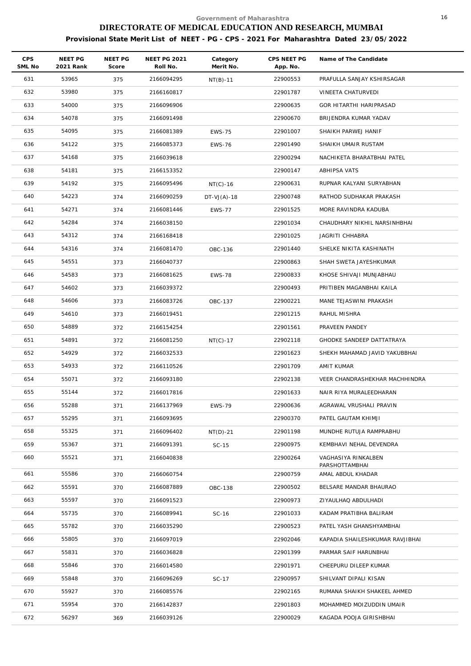| <b>CPS</b><br>SML No | NEET PG<br>2021 Rank | NEET PG<br>Score | <b>NEET PG 2021</b><br>Roll No. | Category<br>Merit No. | CPS NEET PG<br>App. No. | Name of The Candidate                 |
|----------------------|----------------------|------------------|---------------------------------|-----------------------|-------------------------|---------------------------------------|
| 631                  | 53965                | 375              | 2166094295                      | $NT(B)-11$            | 22900553                | PRAFULLA SANJAY KSHIRSAGAR            |
| 632                  | 53980                | 375              | 2166160817                      |                       | 22901787                | VINEETA CHATURVEDI                    |
| 633                  | 54000                | 375              | 2166096906                      |                       | 22900635                | GOR HITARTHI HARIPRASAD               |
| 634                  | 54078                | 375              | 2166091498                      |                       | 22900670                | BRIJENDRA KUMAR YADAV                 |
| 635                  | 54095                | 375              | 2166081389                      | <b>EWS-75</b>         | 22901007                | SHAIKH PARWEJ HANIF                   |
| 636                  | 54122                | 375              | 2166085373                      | <b>EWS-76</b>         | 22901490                | SHAIKH UMAIR RUSTAM                   |
| 637                  | 54168                | 375              | 2166039618                      |                       | 22900294                | NACHIKETA BHARATBHAI PATEL            |
| 638                  | 54181                | 375              | 2166153352                      |                       | 22900147                | ABHIPSA VATS                          |
| 639                  | 54192                | 375              | 2166095496                      | $NT(C)-16$            | 22900631                | RUPNAR KALYANI SURYABHAN              |
| 640                  | 54223                | 374              | 2166090259                      | $DT-VJ(A) - 18$       | 22900748                | RATHOD SUDHAKAR PRAKASH               |
| 641                  | 54271                | 374              | 2166081446                      | <b>EWS-77</b>         | 22901525                | MORE RAVINDRA KADUBA                  |
| 642                  | 54284                | 374              | 2166038150                      |                       | 22901034                | CHAUDHARY NIKHIL NARSINHBHAI          |
| 643                  | 54312                | 374              | 2166168418                      |                       | 22901025                | JAGRITI CHHABRA                       |
| 644                  | 54316                | 374              | 2166081470                      | OBC-136               | 22901440                | SHELKE NIKITA KASHINATH               |
| 645                  | 54551                | 373              | 2166040737                      |                       | 22900863                | SHAH SWETA JAYESHKUMAR                |
| 646                  | 54583                | 373              | 2166081625                      | <b>EWS-78</b>         | 22900833                | KHOSE SHIVAJI MUNJABHAU               |
| 647                  | 54602                | 373              | 2166039372                      |                       | 22900493                | PRITIBEN MAGANBHAI KAILA              |
| 648                  | 54606                | 373              | 2166083726                      | OBC-137               | 22900221                | MANE TEJASWINI PRAKASH                |
| 649                  | 54610                | 373              | 2166019451                      |                       | 22901215                | RAHUL MISHRA                          |
| 650                  | 54889                | 372              | 2166154254                      |                       | 22901561                | PRAVEEN PANDEY                        |
| 651                  | 54891                | 372              | 2166081250                      | $NT(C)-17$            | 22902118                | GHODKE SANDEEP DATTATRAYA             |
| 652                  | 54929                | 372              | 2166032533                      |                       | 22901623                | SHEKH MAHAMAD JAVID YAKUBBHAI         |
| 653                  | 54933                | 372              | 2166110526                      |                       | 22901709                | AMIT KUMAR                            |
| 654                  | 55071                | 372              | 2166093180                      |                       | 22902138                | VEER CHANDRASHEKHAR MACHHINDRA        |
| 655                  | 55144                | 372              | 2166017816                      |                       | 22901633                | NAIR RIYA MURALEEDHARAN               |
| 656                  | 55288                | 371              | 2166137969                      | EWS-79                | 22900636                | AGRAWAL VRUSHALI PRAVIN               |
| 657                  | 55295                | 371              | 2166093695                      |                       | 22900370                | PATEL GAUTAM KHIMJI                   |
| 658                  | 55325                | 371              | 2166096402                      | $NT(D)-21$            | 22901198                | MUNDHE RUTUJA RAMPRABHU               |
| 659                  | 55367                | 371              | 2166091391                      | $SC-15$               | 22900975                | KEMBHAVI NEHAL DEVENDRA               |
| 660                  | 55521                | 371              | 2166040838                      |                       | 22900264                | VAGHASIYA RINKALBEN<br>PARSHOTTAMBHAI |
| 661                  | 55586                | 370              | 2166060754                      |                       | 22900759                | AMAL ABDUL KHADAR                     |
| 662                  | 55591                | 370              | 2166087889                      | OBC-138               | 22900502                | BELSARE MANDAR BHAURAO                |
| 663                  | 55597                | 370              | 2166091523                      |                       | 22900973                | ZIYAULHAQ ABDULHADI                   |
| 664                  | 55735                | 370              | 2166089941                      | SC-16                 | 22901033                | KADAM PRATIBHA BALIRAM                |
| 665                  | 55782                | 370              | 2166035290                      |                       | 22900523                | PATEL YASH GHANSHYAMBHAI              |
| 666                  | 55805                | 370              | 2166097019                      |                       | 22902046                | KAPADIA SHAILESHKUMAR RAVJIBHAI       |
| 667                  | 55831                | 370              | 2166036828                      |                       | 22901399                | PARMAR SAIF HARUNBHAI                 |
| 668                  | 55846                | 370              | 2166014580                      |                       | 22901971                | CHEEPURU DILEEP KUMAR                 |
| 669                  | 55848                | 370              | 2166096269                      | SC-17                 | 22900957                | SHILVANT DIPALI KISAN                 |
| 670                  | 55927                | 370              | 2166085576                      |                       | 22902165                | RUMANA SHAIKH SHAKEEL AHMED           |
| 671                  | 55954                | 370              | 2166142837                      |                       | 22901803                | MOHAMMED MOIZUDDIN UMAIR              |
| 672                  | 56297                | 369              | 2166039126                      |                       | 22900029                | KAGADA POOJA GIRISHBHAI               |
|                      |                      |                  |                                 |                       |                         |                                       |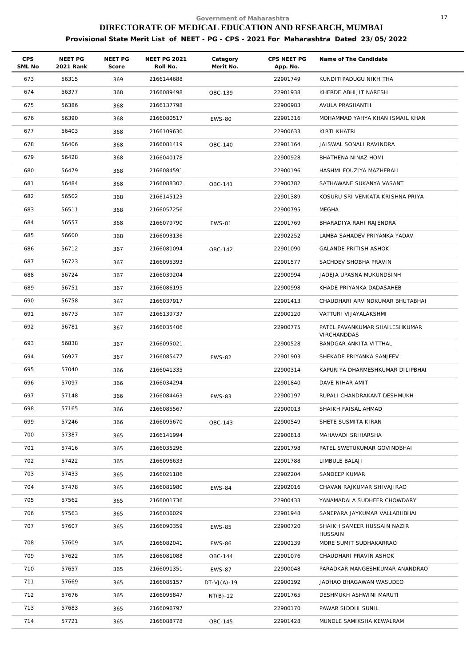| <b>CPS</b><br>SML No | NEET PG<br>2021 Rank | NEET PG<br>Score | <b>NEET PG 2021</b><br>Roll No. | Category<br>Merit No. | CPS NEET PG<br>App. No. | Name of The Candidate                         |
|----------------------|----------------------|------------------|---------------------------------|-----------------------|-------------------------|-----------------------------------------------|
| 673                  | 56315                | 369              | 2166144688                      |                       | 22901749                | KUNDITIPADUGU NIKHITHA                        |
| 674                  | 56377                | 368              | 2166089498                      | OBC-139               | 22901938                | KHERDE ABHIJIT NARESH                         |
| 675                  | 56386                | 368              | 2166137798                      |                       | 22900983                | AVULA PRASHANTH                               |
| 676                  | 56390                | 368              | 2166080517                      | <b>EWS-80</b>         | 22901316                | MOHAMMAD YAHYA KHAN ISMAIL KHAN               |
| 677                  | 56403                | 368              | 2166109630                      |                       | 22900633                | KIRTI KHATRI                                  |
| 678                  | 56406                | 368              | 2166081419                      | OBC-140               | 22901164                | JAISWAL SONALI RAVINDRA                       |
| 679                  | 56428                | 368              | 2166040178                      |                       | 22900928                | BHATHENA NINAZ HOMI                           |
| 680                  | 56479                | 368              | 2166084591                      |                       | 22900196                | HASHMI FOUZIYA MAZHERALI                      |
| 681                  | 56484                | 368              | 2166088302                      | OBC-141               | 22900782                | SATHAWANE SUKANYA VASANT                      |
| 682                  | 56502                | 368              | 2166145123                      |                       | 22901389                | KOSURU SRI VENKATA KRISHNA PRIYA              |
| 683                  | 56511                | 368              | 2166057256                      |                       | 22900795                | MEGHA                                         |
| 684                  | 56557                | 368              | 2166079790                      | <b>EWS-81</b>         | 22901769                | BHARADIYA RAHI RAJENDRA                       |
| 685                  | 56600                | 368              | 2166093136                      |                       | 22902252                | LAMBA SAHADEV PRIYANKA YADAV                  |
| 686                  | 56712                | 367              | 2166081094                      | OBC-142               | 22901090                | GALANDE PRITISH ASHOK                         |
| 687                  | 56723                | 367              | 2166095393                      |                       | 22901577                | SACHDEV SHOBHA PRAVIN                         |
| 688                  | 56724                | 367              | 2166039204                      |                       | 22900994                | JADEJA UPASNA MUKUNDSINH                      |
| 689                  | 56751                | 367              | 2166086195                      |                       | 22900998                | KHADE PRIYANKA DADASAHEB                      |
| 690                  | 56758                | 367              | 2166037917                      |                       | 22901413                | CHAUDHARI ARVINDKUMAR BHUTABHAI               |
| 691                  | 56773                | 367              | 2166139737                      |                       | 22900120                | VATTURI VIJAYALAKSHMI                         |
| 692                  | 56781                | 367              | 2166035406                      |                       | 22900775                | PATEL PAVANKUMAR SHAILESHKUMAR<br>VIRCHANDDAS |
| 693                  | 56838                | 367              | 2166095021                      |                       | 22900528                | BANDGAR ANKITA VITTHAL                        |
| 694                  | 56927                | 367              | 2166085477                      | <b>EWS-82</b>         | 22901903                | SHEKADE PRIYANKA SANJEEV                      |
| 695                  | 57040                | 366              | 2166041335                      |                       | 22900314                | KAPURIYA DHARMESHKUMAR DILIPBHAI              |
| 696                  | 57097                | 366              | 2166034294                      |                       | 22901840                | DAVE NIHAR AMIT                               |
| 697                  | 57148                | 366              | 2166084463                      | <b>EWS-83</b>         | 22900197                | RUPALI CHANDRAKANT DESHMUKH                   |
| 698                  | 57165                | 366              | 2166085567                      |                       | 22900013                | SHAIKH FAISAL AHMAD                           |
| 699                  | 57246                | 366              | 2166095670                      | OBC-143               | 22900549                | SHETE SUSMITA KIRAN                           |
| 700                  | 57387                | 365              | 2166141994                      |                       | 22900818                | MAHAVADI SRIHARSHA                            |
| 701                  | 57416                | 365              | 2166035296                      |                       | 22901798                | PATEL SWETUKUMAR GOVINDBHAI                   |
| 702                  | 57422                | 365              | 2166096633                      |                       | 22901788                | LIMBULE BALAJI                                |
| 703                  | 57433                | 365              | 2166021186                      |                       | 22902204                | SANDEEP KUMAR                                 |
| 704                  | 57478                | 365              | 2166081980                      | <b>EWS-84</b>         | 22902016                | CHAVAN RAJKUMAR SHIVAJIRAO                    |
| 705                  | 57562                | 365              | 2166001736                      |                       | 22900433                | YANAMADALA SUDHEER CHOWDARY                   |
| 706                  | 57563                | 365              | 2166036029                      |                       | 22901948                | SANEPARA JAYKUMAR VALLABHBHAI                 |
| 707                  | 57607                | 365              | 2166090359                      | <b>EWS-85</b>         | 22900720                | SHAIKH SAMEER HUSSAIN NAZIR<br><b>HUSSAIN</b> |
| 708                  | 57609                | 365              | 2166082041                      | <b>EWS-86</b>         | 22900139                | MORE SUMIT SUDHAKARRAO                        |
| 709                  | 57622                | 365              | 2166081088                      | OBC-144               | 22901076                | CHAUDHARI PRAVIN ASHOK                        |
| 710                  | 57657                | 365              | 2166091351                      | <b>EWS-87</b>         | 22900048                | PARADKAR MANGESHKUMAR ANANDRAO                |
| 711                  | 57669                | 365              | 2166085157                      | $DT-VJ(A)-19$         | 22900192                | JADHAO BHAGAWAN WASUDEO                       |
| 712                  | 57676                | 365              | 2166095847                      | $NT(B)-12$            | 22901765                | DESHMUKH ASHWINI MARUTI                       |
| 713                  | 57683                | 365              | 2166096797                      |                       | 22900170                | PAWAR SIDDHI SUNIL                            |
| 714                  | 57721                | 365              | 2166088778                      | OBC-145               | 22901428                | MUNDLE SAMIKSHA KEWALRAM                      |
|                      |                      |                  |                                 |                       |                         |                                               |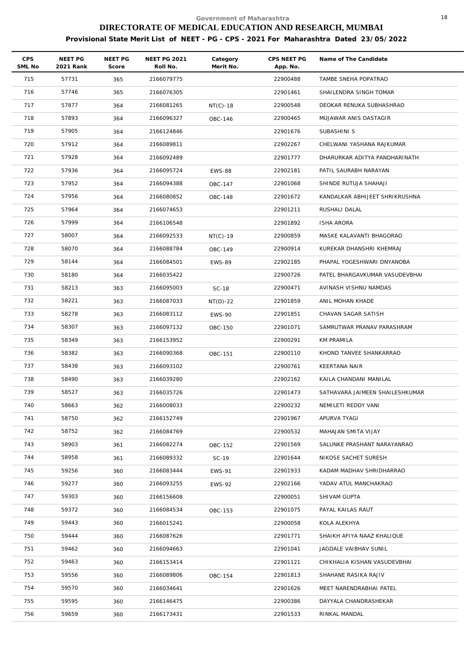| CPS<br>SML No | NEET PG<br>2021 Rank | NEET PG<br>Score | <b>NEET PG 2021</b><br>Roll No. | Category<br>Merit No. | CPS NEET PG<br>App. No. | Name of The Candidate           |
|---------------|----------------------|------------------|---------------------------------|-----------------------|-------------------------|---------------------------------|
| 715           | 57731                | 365              | 2166079775                      |                       | 22900488                | TAMBE SNEHA POPATRAO            |
| 716           | 57746                | 365              | 2166076305                      |                       | 22901461                | SHAILENDRA SINGH TOMAR          |
| 717           | 57877                | 364              | 2166081265                      | $NT(C)-18$            | 22900548                | DEOKAR RENUKA SUBHASHRAO        |
| 718           | 57893                | 364              | 2166096327                      | OBC-146               | 22900465                | MUJAWAR ANIS DASTAGIR           |
| 719           | 57905                | 364              | 2166124846                      |                       | 22901676                | SUBASHINI S                     |
| 720           | 57912                | 364              | 2166089811                      |                       | 22902267                | CHELWANI YASHANA RAJKUMAR       |
| 721           | 57928                | 364              | 2166092489                      |                       | 22901777                | DHARURKAR ADITYA PANDHARINATH   |
| 722           | 57936                | 364              | 2166095724                      | <b>EWS-88</b>         | 22902181                | PATIL SAURABH NARAYAN           |
| 723           | 57952                | 364              | 2166094388                      | OBC-147               | 22901068                | SHINDE RUTUJA SHAHAJI           |
| 724           | 57956                | 364              | 2166080852                      | OBC-148               | 22901672                | KANDALKAR ABHIJEET SHRIKRUSHNA  |
| 725           | 57964                | 364              | 2166074653                      |                       | 22901211                | RUSHALI DALAL                   |
| 726           | 57999                | 364              | 2166106548                      |                       | 22901892                | <b>ISHA ARORA</b>               |
| 727           | 58007                | 364              | 2166092533                      | NT(C)-19              | 22900859                | MASKE KALAVANTI BHAGORAO        |
| 728           | 58070                | 364              | 2166088784                      | OBC-149               | 22900914                | KUREKAR DHANSHRI KHEMRAJ        |
| 729           | 58144                | 364              | 2166084501                      | <b>EWS-89</b>         | 22902185                | PHAPAL YOGESHWARI DNYANOBA      |
| 730           | 58180                | 364              | 2166035422                      |                       | 22900726                | PATEL BHARGAVKUMAR VASUDEVBHAI  |
| 731           | 58213                | 363              | 2166095003                      | <b>SC-18</b>          | 22900471                | AVINASH VISHNU NAMDAS           |
| 732           | 58221                | 363              | 2166087033                      | $NT(D)-22$            | 22901859                | ANIL MOHAN KHADE                |
| 733           | 58278                | 363              | 2166083112                      | <b>EWS-90</b>         | 22901851                | CHAVAN SAGAR SATISH             |
| 734           | 58307                | 363              | 2166097132                      | OBC-150               | 22901071                | SAMRUTWAR PRANAV PARASHRAM      |
| 735           | 58349                | 363              | 2166153952                      |                       | 22900291                | KM PRAMILA                      |
| 736           | 58382                | 363              | 2166090368                      | OBC-151               | 22900110                | KHOND TANVEE SHANKARRAO         |
| 737           | 58438                | 363              | 2166093102                      |                       | 22900761                | <b>KEERTANA NAIR</b>            |
| 738           | 58490                | 363              | 2166039280                      |                       | 22902162                | KAILA CHANDANI MANILAL          |
| 739           | 58527                | 363              | 2166035726                      |                       | 22901473                | SATHAVARA JAIMEEN SHAILESHKUMAR |
| 740           | 58663                | 362              | 2166008033                      |                       | 22900232                | NEMILETI REDDY VANI             |
| 741           | 58750                | 362              | 2166152749                      |                       | 22901967                | APURVA TYAGI                    |
| 742           | 58752                | 362              | 2166084769                      |                       | 22900532                | MAHAJAN SMITA VIJAY             |
| 743           | 58903                | 361              | 2166082274                      | OBC-152               | 22901569                | SALUNKE PRASHANT NARAYANRAO     |
| 744           | 58958                | 361              | 2166089332                      | SC-19                 | 22901644                | NIKOSE SACHET SURESH            |
| 745           | 59256                | 360              | 2166083444                      | <b>EWS-91</b>         | 22901933                | KADAM MADHAV SHRIDHARRAO        |
| 746           | 59277                | 360              | 2166093255                      | <b>EWS-92</b>         | 22902166                | YADAV ATUL MANCHAKRAO           |
| 747           | 59303                | 360              | 2166156608                      |                       | 22900051                | SHIVAM GUPTA                    |
| 748           | 59372                | 360              | 2166084534                      | OBC-153               | 22901075                | PAYAL KAILAS RAUT               |
| 749           | 59443                | 360              | 2166015241                      |                       | 22900058                | KOLA ALEKHYA                    |
| 750           | 59444                | 360              | 2166087626                      |                       | 22901771                | SHAIKH AFIYA NAAZ KHALIQUE      |
| 751           | 59462                | 360              | 2166094663                      |                       | 22901041                | JAGDALE VAIBHAV SUNIL           |
| 752           | 59463                | 360              | 2166153414                      |                       | 22901121                | CHIKHALIA KISHAN VASUDEVBHAI    |
| 753           | 59556                | 360              | 2166089806                      | OBC-154               | 22901813                | SHAHANE RASIKA RAJIV            |
| 754           | 59570                | 360              | 2166034641                      |                       | 22901626                | MEET NARENDRABHAI PATEL         |
| 755           | 59595                | 360              | 2166146475                      |                       | 22900386                | DAYYALA CHANDRASHEKAR           |
| 756           | 59659                | 360              | 2166173431                      |                       | 22901533                | RINKAL MANDAL                   |
|               |                      |                  |                                 |                       |                         |                                 |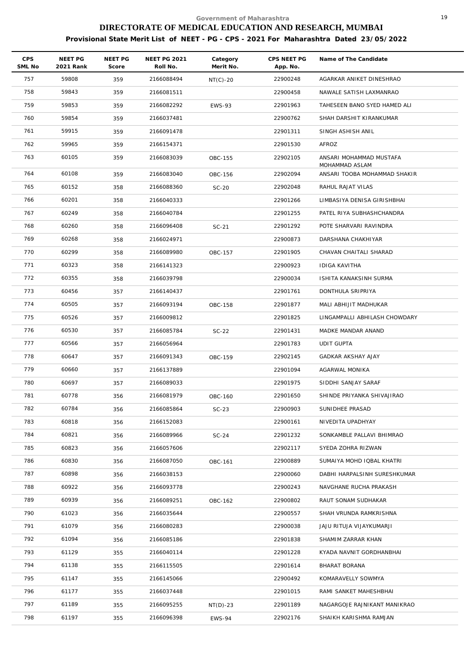| <b>CPS</b><br>SML No | NEET PG<br>2021 Rank | NEET PG<br>Score | <b>NEET PG 2021</b><br>Roll No. | Category<br>Merit No. | CPS NEET PG<br>App. No. | Name of The Candidate                          |
|----------------------|----------------------|------------------|---------------------------------|-----------------------|-------------------------|------------------------------------------------|
| 757                  | 59808                | 359              | 2166088494                      | $NT(C)-20$            | 22900248                | AGARKAR ANIKET DINESHRAO                       |
| 758                  | 59843                | 359              | 2166081511                      |                       | 22900458                | NAWALE SATISH LAXMANRAO                        |
| 759                  | 59853                | 359              | 2166082292                      | <b>EWS-93</b>         | 22901963                | TAHESEEN BANO SYED HAMED ALI                   |
| 760                  | 59854                | 359              | 2166037481                      |                       | 22900762                | SHAH DARSHIT KIRANKUMAR                        |
| 761                  | 59915                | 359              | 2166091478                      |                       | 22901311                | SINGH ASHISH ANIL                              |
| 762                  | 59965                | 359              | 2166154371                      |                       | 22901530                | AFROZ                                          |
| 763                  | 60105                | 359              | 2166083039                      | OBC-155               | 22902105                | ANSARI MOHAMMAD MUSTAFA                        |
| 764                  | 60108                | 359              | 2166083040                      | OBC-156               | 22902094                | MOHAMMAD ASLAM<br>ANSARI TOOBA MOHAMMAD SHAKIR |
| 765                  | 60152                | 358              | 2166088360                      | $SC-20$               | 22902048                | RAHUL RAJAT VILAS                              |
| 766                  | 60201                | 358              | 2166040333                      |                       | 22901266                | LIMBASIYA DENISA GIRISHBHAI                    |
| 767                  | 60249                | 358              | 2166040784                      |                       | 22901255                | PATEL RIYA SUBHASHCHANDRA                      |
| 768                  | 60260                | 358              | 2166096408                      | $SC-21$               | 22901292                | POTE SHARVARI RAVINDRA                         |
| 769                  | 60268                | 358              | 2166024971                      |                       | 22900873                | DARSHANA CHAKHIYAR                             |
| 770                  | 60299                | 358              | 2166089980                      | OBC-157               | 22901905                | CHAVAN CHAITALI SHARAD                         |
| 771                  | 60323                | 358              | 2166141323                      |                       | 22900923                | IDIGA KAVITHA                                  |
| 772                  | 60355                | 358              | 2166039798                      |                       | 22900034                | ISHITA KANAKSINH SURMA                         |
| 773                  | 60456                | 357              | 2166140437                      |                       | 22901761                | DONTHULA SRIPRIYA                              |
| 774                  | 60505                | 357              | 2166093194                      | OBC-158               | 22901877                | MALI ABHIJIT MADHUKAR                          |
| 775                  | 60526                | 357              | 2166009812                      |                       | 22901825                | LINGAMPALLI ABHILASH CHOWDARY                  |
| 776                  | 60530                | 357              | 2166085784                      | $SC-22$               | 22901431                | MADKE MANDAR ANAND                             |
| 777                  | 60566                | 357              | 2166056964                      |                       | 22901783                | <b>UDIT GUPTA</b>                              |
| 778                  | 60647                | 357              | 2166091343                      | OBC-159               | 22902145                | GADKAR AKSHAY AJAY                             |
| 779                  | 60660                | 357              | 2166137889                      |                       | 22901094                | AGARWAL MONIKA                                 |
| 780                  | 60697                | 357              | 2166089033                      |                       | 22901975                | SIDDHI SANJAY SARAF                            |
| 781                  | 60778                | 356              | 2166081979                      | OBC-160               | 22901650                | SHINDE PRIYANKA SHIVAJIRAO                     |
| 782                  | 60784                | 356              | 2166085864                      | $SC-23$               | 22900903                | SUNIDHEE PRASAD                                |
| 783                  | 60818                | 356              | 2166152083                      |                       | 22900161                | NIVEDITA UPADHYAY                              |
| 784                  | 60821                | 356              | 2166089966                      | $SC-24$               | 22901232                | SONKAMBLE PALLAVI BHIMRAO                      |
| 785                  | 60823                | 356              | 2166057606                      |                       | 22902117                | SYEDA ZOHRA RIZWAN                             |
| 786                  | 60830                | 356              | 2166087050                      | OBC-161               | 22900889                | SUMAIYA MOHD IQBAL KHATRI                      |
| 787                  | 60898                | 356              | 2166038153                      |                       | 22900060                | DABHI HARPALSINH SURESHKUMAR                   |
| 788                  | 60922                | 356              | 2166093778                      |                       | 22900243                | NAVGHANE RUCHA PRAKASH                         |
| 789                  | 60939                | 356              | 2166089251                      | OBC-162               | 22900802                | RAUT SONAM SUDHAKAR                            |
| 790                  | 61023                | 356              | 2166035644                      |                       | 22900557                | SHAH VRUNDA RAMKRISHNA                         |
| 791                  | 61079                | 356              | 2166080283                      |                       | 22900038                | JAJU RITUJA VIJAYKUMARJI                       |
| 792                  | 61094                | 356              | 2166085186                      |                       | 22901838                | SHAMIM ZARRAR KHAN                             |
| 793                  | 61129                | 355              | 2166040114                      |                       | 22901228                | KYADA NAVNIT GORDHANBHAI                       |
| 794                  | 61138                | 355              | 2166115505                      |                       | 22901614                | BHARAT BORANA                                  |
| 795                  | 61147                | 355              | 2166145066                      |                       | 22900492                | KOMARAVELLY SOWMYA                             |
| 796                  | 61177                | 355              | 2166037448                      |                       | 22901015                | RAMI SANKET MAHESHBHAI                         |
| 797                  | 61189                | 355              | 2166095255                      | $NT(D)-23$            | 22901189                | NAGARGOJE RAJNIKANT MANIKRAO                   |
| 798                  | 61197                | 355              | 2166096398                      | EWS-94                | 22902176                | SHAIKH KARISHMA RAMJAN                         |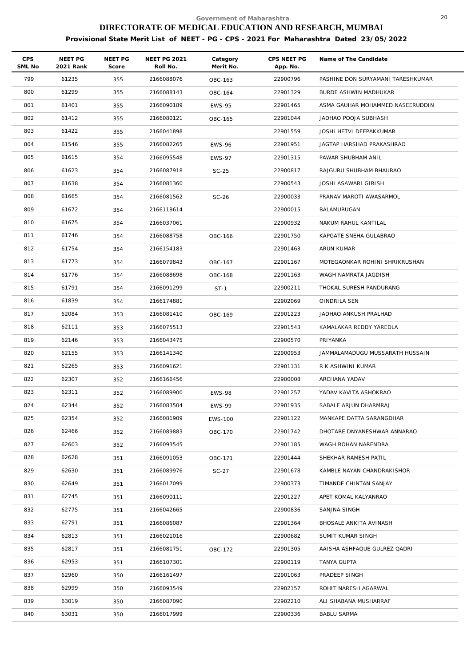| <b>CPS</b><br>SML No | NEET PG<br>2021 Rank | <b>NEET PG</b><br>Score | <b>NEET PG 2021</b><br>Roll No. | Category<br>Merit No. | CPS NEET PG<br>App. No. | Name of The Candidate             |
|----------------------|----------------------|-------------------------|---------------------------------|-----------------------|-------------------------|-----------------------------------|
| 799                  | 61235                | 355                     | 2166088076                      | OBC-163               | 22900796                | PASHINE DON SURYAMANI TARESHKUMAR |
| 800                  | 61299                | 355                     | 2166088143                      | OBC-164               | 22901329                | BURDE ASHWIN MADHUKAR             |
| 801                  | 61401                | 355                     | 2166090189                      | <b>EWS-95</b>         | 22901465                | ASMA GAUHAR MOHAMMED NASEERUDDIN  |
| 802                  | 61412                | 355                     | 2166080121                      | OBC-165               | 22901044                | JADHAO POOJA SUBHASH              |
| 803                  | 61422                | 355                     | 2166041898                      |                       | 22901559                | JOSHI HETVI DEEPAKKUMAR           |
| 804                  | 61546                | 355                     | 2166082265                      | <b>EWS-96</b>         | 22901951                | JAGTAP HARSHAD PRAKASHRAO         |
| 805                  | 61615                | 354                     | 2166095548                      | <b>EWS-97</b>         | 22901315                | PAWAR SHUBHAM ANIL                |
| 806                  | 61623                | 354                     | 2166087918                      | $SC-25$               | 22900817                | RAJGURU SHUBHAM BHAURAO           |
| 807                  | 61638                | 354                     | 2166081360                      |                       | 22900543                | JOSHI ASAWARI GIRISH              |
| 808                  | 61665                | 354                     | 2166081562                      | $SC-26$               | 22900033                | PRANAV MAROTI AWASARMOL           |
| 809                  | 61672                | 354                     | 2166118614                      |                       | 22900015                | BALAMURUGAN                       |
| 810                  | 61675                | 354                     | 2166037061                      |                       | 22900932                | NAKUM RAHUL KANTILAL              |
| 811                  | 61746                | 354                     | 2166088758                      | OBC-166               | 22901750                | KAPGATE SNEHA GULABRAO            |
| 812                  | 61754                | 354                     | 2166154183                      |                       | 22901463                | ARUN KUMAR                        |
| 813                  | 61773                | 354                     | 2166079843                      | OBC-167               | 22901167                | MOTEGAONKAR ROHINI SHRIKRUSHAN    |
| 814                  | 61776                | 354                     | 2166088698                      | OBC-168               | 22901163                | WAGH NAMRATA JAGDISH              |
| 815                  | 61791                | 354                     | 2166091299                      | $ST-1$                | 22900211                | THOKAL SURESH PANDURANG           |
| 816                  | 61839                | 354                     | 2166174881                      |                       | 22902069                | OINDRILA SEN                      |
| 817                  | 62084                | 353                     | 2166081410                      | OBC-169               | 22901223                | JADHAO ANKUSH PRALHAD             |
| 818                  | 62111                | 353                     | 2166075513                      |                       | 22901543                | KAMALAKAR REDDY YAREDLA           |
| 819                  | 62146                | 353                     | 2166043475                      |                       | 22900570                | PRIYANKA                          |
| 820                  | 62155                | 353                     | 2166141340                      |                       | 22900953                | JAMMALAMADUGU MUSSARATH HUSSAIN   |
| 821                  | 62265                | 353                     | 2166091621                      |                       | 22901131                | R K ASHWINI KUMAR                 |
| 822                  | 62307                | 352                     | 2166166456                      |                       | 22900008                | ARCHANA YADAV                     |
| 823                  | 62311                | 352                     | 2166089900                      | <b>EWS-98</b>         | 22901257                | YADAV KAVITA ASHOKRAO             |
| 824                  | 62344                | 352                     | 2166083504                      | <b>EWS-99</b>         | 22901935                | SABALE ARJUN DHARMRAJ             |
| 825                  | 62354                | 352                     | 2166081909                      | <b>EWS-100</b>        | 22901122                | MANKAPE DATTA SARANGDHAR          |
| 826                  | 62466                | 352                     | 2166089883                      | OBC-170               | 22901742                | DHOTARE DNYANESHWAR ANNARAO       |
| 827                  | 62603                | 352                     | 2166093545                      |                       | 22901185                | WAGH ROHAN NARENDRA               |
| 828                  | 62628                | 351                     | 2166091053                      | OBC-171               | 22901444                | SHEKHAR RAMESH PATIL              |
| 829                  | 62630                | 351                     | 2166089976                      | $SC-27$               | 22901678                | KAMBLE NAYAN CHANDRAKISHOR        |
| 830                  | 62649                | 351                     | 2166017099                      |                       | 22900373                | TIMANDE CHINTAN SANJAY            |
| 831                  | 62745                | 351                     | 2166090111                      |                       | 22901227                | APET KOMAL KALYANRAO              |
| 832                  | 62775                | 351                     | 2166042665                      |                       | 22900836                | SANJNA SINGH                      |
| 833                  | 62791                | 351                     | 2166086087                      |                       | 22901364                | BHOSALE ANKITA AVINASH            |
| 834                  | 62813                | 351                     | 2166021016                      |                       | 22900682                | SUMIT KUMAR SINGH                 |
| 835                  | 62817                | 351                     | 2166081751                      | OBC-172               | 22901305                | AAISHA ASHFAQUE GULREZ QADRI      |
| 836                  | 62953                | 351                     | 2166107301                      |                       | 22900119                | TANYA GUPTA                       |
| 837                  | 62960                | 350                     | 2166161497                      |                       | 22901063                | PRADEEP SINGH                     |
| 838                  | 62999                | 350                     | 2166093549                      |                       | 22902157                | ROHIT NARESH AGARWAL              |
| 839                  | 63019                | 350                     | 2166087090                      |                       | 22902210                | ALI SHABANA MUSHARRAF             |
| 840                  | 63031                | 350                     | 2166017999                      |                       | 22900336                | <b>BABLU SARMA</b>                |
|                      |                      |                         |                                 |                       |                         |                                   |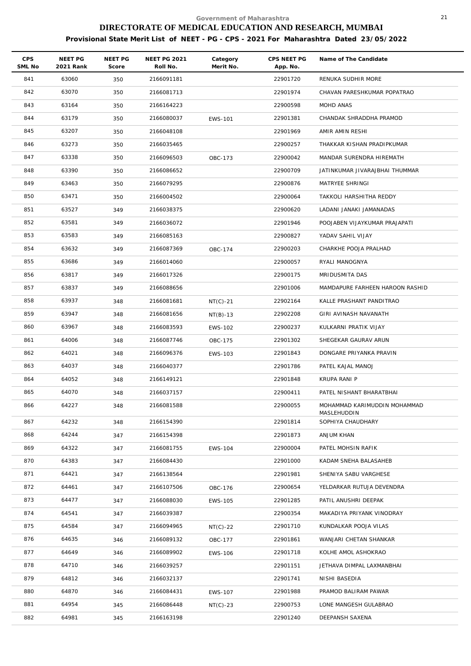| <b>CPS</b><br>SML No | NEET PG<br>2021 Rank | NEET PG<br>Score | <b>NEET PG 2021</b><br>Roll No. | Category<br>Merit No. | CPS NEET PG<br>App. No. | Name of The Candidate                       |
|----------------------|----------------------|------------------|---------------------------------|-----------------------|-------------------------|---------------------------------------------|
| 841                  | 63060                | 350              | 2166091181                      |                       | 22901720                | RENUKA SUDHIR MORE                          |
| 842                  | 63070                | 350              | 2166081713                      |                       | 22901974                | CHAVAN PARESHKUMAR POPATRAO                 |
| 843                  | 63164                | 350              | 2166164223                      |                       | 22900598                | MOHD ANAS                                   |
| 844                  | 63179                | 350              | 2166080037                      | <b>EWS-101</b>        | 22901381                | CHANDAK SHRADDHA PRAMOD                     |
| 845                  | 63207                | 350              | 2166048108                      |                       | 22901969                | AMIR AMIN RESHI                             |
| 846                  | 63273                | 350              | 2166035465                      |                       | 22900257                | THAKKAR KISHAN PRADIPKUMAR                  |
| 847                  | 63338                | 350              | 2166096503                      | OBC-173               | 22900042                | MANDAR SURENDRA HIREMATH                    |
| 848                  | 63390                | 350              | 2166086652                      |                       | 22900709                | JATINKUMAR JIVARAJBHAI THUMMAR              |
| 849                  | 63463                | 350              | 2166079295                      |                       | 22900876                | MATRYEE SHRINGI                             |
| 850                  | 63471                | 350              | 2166004502                      |                       | 22900064                | TAKKOLI HARSHITHA REDDY                     |
| 851                  | 63527                | 349              | 2166038375                      |                       | 22900620                | LADANI JANAKI JAMANADAS                     |
| 852                  | 63581                | 349              | 2166036072                      |                       | 22901946                | POOJABEN VIJAYKUMAR PRAJAPATI               |
| 853                  | 63583                | 349              | 2166085163                      |                       | 22900827                | YADAV SAHIL VIJAY                           |
| 854                  | 63632                | 349              | 2166087369                      | OBC-174               | 22900203                | CHARKHE POOJA PRALHAD                       |
| 855                  | 63686                | 349              | 2166014060                      |                       | 22900057                | RYALI MANOGNYA                              |
| 856                  | 63817                | 349              | 2166017326                      |                       | 22900175                | MRIDUSMITA DAS                              |
| 857                  | 63837                | 349              | 2166088656                      |                       | 22901006                | MAMDAPURE FARHEEN HAROON RASHID             |
| 858                  | 63937                | 348              | 2166081681                      | $NT(C)-21$            | 22902164                | KALLE PRASHANT PANDITRAO                    |
| 859                  | 63947                | 348              | 2166081656                      | $NT(B)-13$            | 22902208                | GIRI AVINASH NAVANATH                       |
| 860                  | 63967                | 348              | 2166083593                      | <b>EWS-102</b>        | 22900237                | KULKARNI PRATIK VIJAY                       |
| 861                  | 64006                | 348              | 2166087746                      | OBC-175               | 22901302                | SHEGEKAR GAURAV ARUN                        |
| 862                  | 64021                | 348              | 2166096376                      | EWS-103               | 22901843                | DONGARE PRIYANKA PRAVIN                     |
| 863                  | 64037                | 348              | 2166040377                      |                       | 22901786                | PATEL KAJAL MANOJ                           |
| 864                  | 64052                | 348              | 2166149121                      |                       | 22901848                | KRUPA RANI P                                |
| 865                  | 64070                | 348              | 2166037157                      |                       | 22900411                | PATEL NISHANT BHARATBHAI                    |
| 866                  | 64227                | 348              | 2166081588                      |                       | 22900055                | MOHAMMAD KARIMUDDIN MOHAMMAD<br>MASLEHUDDIN |
| 867                  | 64232                | 348              | 2166154390                      |                       | 22901814                | SOPHIYA CHAUDHARY                           |
| 868                  | 64244                | 347              | 2166154398                      |                       | 22901873                | ANJUM KHAN                                  |
| 869                  | 64322                | 347              | 2166081755                      | <b>EWS-104</b>        | 22900004                | PATEL MOHSIN RAFIK                          |
| 870                  | 64383                | 347              | 2166084430                      |                       | 22901000                | KADAM SNEHA BALASAHEB                       |
| 871                  | 64421                | 347              | 2166138564                      |                       | 22901981                | SHENIYA SABU VARGHESE                       |
| 872                  | 64461                | 347              | 2166107506                      | OBC-176               | 22900654                | YELDARKAR RUTUJA DEVENDRA                   |
| 873                  | 64477                | 347              | 2166088030                      | EWS-105               | 22901285                | PATIL ANUSHRI DEEPAK                        |
| 874                  | 64541                | 347              | 2166039387                      |                       | 22900354                | MAKADIYA PRIYANK VINODRAY                   |
| 875                  | 64584                | 347              | 2166094965                      | $NT(C)-22$            | 22901710                | KUNDALKAR POOJA VILAS                       |
| 876                  | 64635                | 346              | 2166089132                      | OBC-177               | 22901861                | WANJARI CHETAN SHANKAR                      |
| 877                  | 64649                | 346              | 2166089902                      | EWS-106               | 22901718                | KOLHE AMOL ASHOKRAO                         |
| 878                  | 64710                | 346              | 2166039257                      |                       | 22901151                | JETHAVA DIMPAL LAXMANBHAI                   |
| 879                  | 64812                | 346              | 2166032137                      |                       | 22901741                | NISHI BASEDIA                               |
| 880                  | 64870                | 346              | 2166084431                      | <b>EWS-107</b>        | 22901988                | PRAMOD BALIRAM PAWAR                        |
| 881                  | 64954                | 345              | 2166086448                      | $NT(C)-23$            | 22900753                | LONE MANGESH GULABRAO                       |
| 882                  | 64981                | 345              | 2166163198                      |                       | 22901240                | DEEPANSH SAXENA                             |
|                      |                      |                  |                                 |                       |                         |                                             |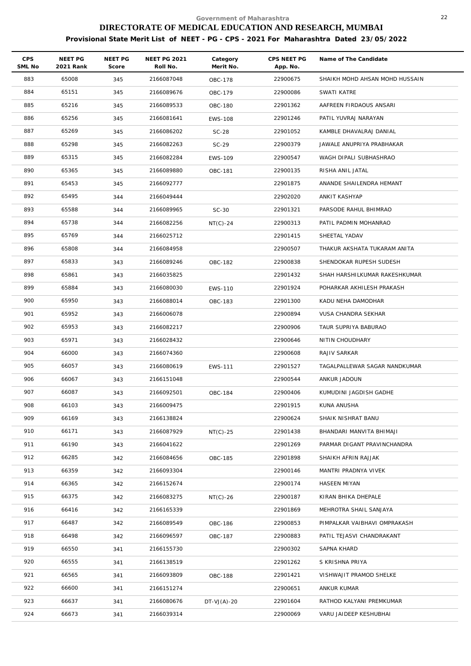| <b>CPS</b><br>SML No | <b>NEET PG</b><br>2021 Rank | NEET PG<br>Score | <b>NEET PG 2021</b><br>Roll No. | Category<br>Merit No. | CPS NEET PG<br>App. No. | Name of The Candidate          |
|----------------------|-----------------------------|------------------|---------------------------------|-----------------------|-------------------------|--------------------------------|
| 883                  | 65008                       | 345              | 2166087048                      | OBC-178               | 22900675                | SHAIKH MOHD AHSAN MOHD HUSSAIN |
| 884                  | 65151                       | 345              | 2166089676                      | OBC-179               | 22900086                | SWATI KATRE                    |
| 885                  | 65216                       | 345              | 2166089533                      | <b>OBC-180</b>        | 22901362                | AAFREEN FIRDAOUS ANSARI        |
| 886                  | 65256                       | 345              | 2166081641                      | EWS-108               | 22901246                | PATIL YUVRAJ NARAYAN           |
| 887                  | 65269                       | 345              | 2166086202                      | $SC-28$               | 22901052                | KAMBLE DHAVALRAJ DANIAL        |
| 888                  | 65298                       | 345              | 2166082263                      | $SC-29$               | 22900379                | JAWALE ANUPRIYA PRABHAKAR      |
| 889                  | 65315                       | 345              | 2166082284                      | <b>EWS-109</b>        | 22900547                | WAGH DIPALI SUBHASHRAO         |
| 890                  | 65365                       | 345              | 2166089880                      | OBC-181               | 22900135                | RISHA ANIL JATAL               |
| 891                  | 65453                       | 345              | 2166092777                      |                       | 22901875                | ANANDE SHAILENDRA HEMANT       |
| 892                  | 65495                       | 344              | 2166049444                      |                       | 22902020                | ANKIT KASHYAP                  |
| 893                  | 65588                       | 344              | 2166089965                      | $SC-30$               | 22901321                | PARSODE RAHUL BHIMRAO          |
| 894                  | 65738                       | 344              | 2166082256                      | $NT(C)-24$            | 22900313                | PATIL PADMIN MOHANRAO          |
| 895                  | 65769                       | 344              | 2166025712                      |                       | 22901415                | SHEETAL YADAV                  |
| 896                  | 65808                       | 344              | 2166084958                      |                       | 22900507                | THAKUR AKSHATA TUKARAM ANITA   |
| 897                  | 65833                       | 343              | 2166089246                      | OBC-182               | 22900838                | SHENDOKAR RUPESH SUDESH        |
| 898                  | 65861                       | 343              | 2166035825                      |                       | 22901432                | SHAH HARSHILKUMAR RAKESHKUMAR  |
| 899                  | 65884                       | 343              | 2166080030                      | <b>EWS-110</b>        | 22901924                | POHARKAR AKHILESH PRAKASH      |
| 900                  | 65950                       | 343              | 2166088014                      | OBC-183               | 22901300                | KADU NEHA DAMODHAR             |
| 901                  | 65952                       | 343              | 2166006078                      |                       | 22900894                | VUSA CHANDRA SEKHAR            |
| 902                  | 65953                       | 343              | 2166082217                      |                       | 22900906                | TAUR SUPRIYA BABURAO           |
| 903                  | 65971                       | 343              | 2166028432                      |                       | 22900646                | NITIN CHOUDHARY                |
| 904                  | 66000                       | 343              | 2166074360                      |                       | 22900608                | RAJIV SARKAR                   |
| 905                  | 66057                       | 343              | 2166080619                      | EWS-111               | 22901527                | TAGALPALLEWAR SAGAR NANDKUMAR  |
| 906                  | 66067                       | 343              | 2166151048                      |                       | 22900544                | ANKUR JADOUN                   |
| 907                  | 66087                       | 343              | 2166092501                      | OBC-184               | 22900406                | KUMUDINI JAGDISH GADHE         |
| 908                  | 66103                       | 343              | 2166009475                      |                       | 22901915                | KUNA ANUSHA                    |
| 909                  | 66169                       | 343              | 2166138824                      |                       | 22900624                | SHAIK NISHRAT BANU             |
| 910                  | 66171                       | 343              | 2166087929                      | $NT(C) - 25$          | 22901438                | BHANDARI MANVITA BHIMAJI       |
| 911                  | 66190                       | 343              | 2166041622                      |                       | 22901269                | PARMAR DIGANT PRAVINCHANDRA    |
| 912                  | 66285                       | 342              | 2166084656                      | OBC-185               | 22901898                | SHAIKH AFRIN RAJJAK            |
| 913                  | 66359                       | 342              | 2166093304                      |                       | 22900146                | MANTRI PRADNYA VIVEK           |
| 914                  | 66365                       | 342              | 2166152674                      |                       | 22900174                | HASEEN MIYAN                   |
| 915                  | 66375                       | 342              | 2166083275                      | $NT(C)-26$            | 22900187                | KIRAN BHIKA DHEPALE            |
| 916                  | 66416                       | 342              | 2166165339                      |                       | 22901869                | MEHROTRA SHAIL SANJAYA         |
| 917                  | 66487                       | 342              | 2166089549                      | OBC-186               | 22900853                | PIMPALKAR VAIBHAVI OMPRAKASH   |
| 918                  | 66498                       | 342              | 2166096597                      | OBC-187               | 22900883                | PATIL TEJASVI CHANDRAKANT      |
| 919                  | 66550                       | 341              | 2166155730                      |                       | 22900302                | SAPNA KHARD                    |
| 920                  | 66555                       | 341              | 2166138519                      |                       | 22901262                | S KRISHNA PRIYA                |
| 921                  | 66565                       | 341              | 2166093809                      | <b>OBC-188</b>        | 22901421                | VISHWAJIT PRAMOD SHELKE        |
| 922                  | 66600                       | 341              | 2166151274                      |                       | 22900651                | ANKUR KUMAR                    |
| 923                  | 66637                       | 341              | 2166080676                      | $DT-VJ(A)-20$         | 22901604                | RATHOD KALYANI PREMKUMAR       |
| 924                  | 66673                       | 341              | 2166039314                      |                       | 22900069                | VARU JAIDEEP KESHUBHAI         |
|                      |                             |                  |                                 |                       |                         |                                |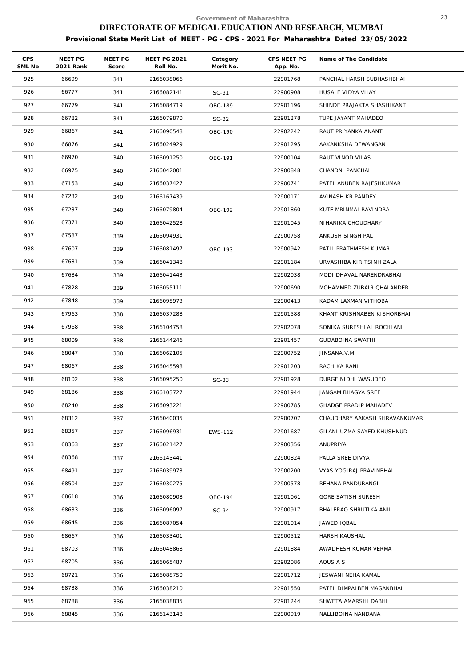| <b>CPS</b><br>SML No | NEET PG<br>2021 Rank | NEET PG<br>Score | <b>NEET PG 2021</b><br>Roll No. | Category<br>Merit No. | CPS NEET PG<br>App. No. | Name of The Candidate          |
|----------------------|----------------------|------------------|---------------------------------|-----------------------|-------------------------|--------------------------------|
| 925                  | 66699                | 341              | 2166038066                      |                       | 22901768                | PANCHAL HARSH SUBHASHBHAI      |
| 926                  | 66777                | 341              | 2166082141                      | $SC-31$               | 22900908                | HUSALE VIDYA VIJAY             |
| 927                  | 66779                | 341              | 2166084719                      | OBC-189               | 22901196                | SHINDE PRAJAKTA SHASHIKANT     |
| 928                  | 66782                | 341              | 2166079870                      | $SC-32$               | 22901278                | TUPE JAYANT MAHADEO            |
| 929                  | 66867                | 341              | 2166090548                      | OBC-190               | 22902242                | RAUT PRIYANKA ANANT            |
| 930                  | 66876                | 341              | 2166024929                      |                       | 22901295                | AAKANKSHA DEWANGAN             |
| 931                  | 66970                | 340              | 2166091250                      | OBC-191               | 22900104                | RAUT VINOD VILAS               |
| 932                  | 66975                | 340              | 2166042001                      |                       | 22900848                | CHANDNI PANCHAL                |
| 933                  | 67153                | 340              | 2166037427                      |                       | 22900741                | PATEL ANUBEN RAJESHKUMAR       |
| 934                  | 67232                | 340              | 2166167439                      |                       | 22900171                | AVINASH KR PANDEY              |
| 935                  | 67237                | 340              | 2166079804                      | OBC-192               | 22901860                | KUTE MRINMAI RAVINDRA          |
| 936                  | 67371                | 340              | 2166042528                      |                       | 22901045                | NIHARIKA CHOUDHARY             |
| 937                  | 67587                | 339              | 2166094931                      |                       | 22900758                | ANKUSH SINGH PAL               |
| 938                  | 67607                | 339              | 2166081497                      | OBC-193               | 22900942                | PATIL PRATHMESH KUMAR          |
| 939                  | 67681                | 339              | 2166041348                      |                       | 22901184                | URVASHIBA KIRITSINH ZALA       |
| 940                  | 67684                | 339              | 2166041443                      |                       | 22902038                | MODI DHAVAL NARENDRABHAI       |
| 941                  | 67828                | 339              | 2166055111                      |                       | 22900690                | MOHAMMED ZUBAIR QHALANDER      |
| 942                  | 67848                | 339              | 2166095973                      |                       | 22900413                | KADAM LAXMAN VITHOBA           |
| 943                  | 67963                | 338              | 2166037288                      |                       | 22901588                | KHANT KRISHNABEN KISHORBHAI    |
| 944                  | 67968                | 338              | 2166104758                      |                       | 22902078                | SONIKA SURESHLAL ROCHLANI      |
| 945                  | 68009                | 338              | 2166144246                      |                       | 22901457                | <b>GUDABOINA SWATHI</b>        |
| 946                  | 68047                | 338              | 2166062105                      |                       | 22900752                | JINSANA.V.M                    |
| 947                  | 68067                | 338              | 2166045598                      |                       | 22901203                | RACHIKA RANI                   |
| 948                  | 68102                | 338              | 2166095250                      | $SC-33$               | 22901928                | DURGE NIDHI WASUDEO            |
| 949                  | 68186                | 338              | 2166103727                      |                       | 22901944                | JANGAM BHAGYA SREE             |
| 950                  | 68240                | 338              | 2166093221                      |                       | 22900785                | <b>GHADGE PRADIP MAHADEV</b>   |
| 951                  | 68312                | 337              | 2166040035                      |                       | 22900707                | CHAUDHARY AAKASH SHRAVANKUMAR  |
| 952                  | 68357                | 337              | 2166096931                      | EWS-112               | 22901687                | GILANI UZMA SAYED KHUSHNUD     |
| 953                  | 68363                | 337              | 2166021427                      |                       | 22900356                | ANUPRIYA                       |
| 954                  | 68368                | 337              | 2166143441                      |                       | 22900824                | PALLA SREE DIVYA               |
| 955                  | 68491                | 337              | 2166039973                      |                       | 22900200                | <b>VYAS YOGIRAJ PRAVINBHAI</b> |
| 956                  | 68504                | 337              | 2166030275                      |                       | 22900578                | REHANA PANDURANGI              |
| 957                  | 68618                | 336              | 2166080908                      | OBC-194               | 22901061                | GORE SATISH SURESH             |
| 958                  | 68633                | 336              | 2166096097                      | $SC-34$               | 22900917                | BHALERAO SHRUTIKA ANIL         |
| 959                  | 68645                | 336              | 2166087054                      |                       | 22901014                | JAWED IQBAL                    |
| 960                  | 68667                | 336              | 2166033401                      |                       | 22900512                | HARSH KAUSHAL                  |
| 961                  | 68703                | 336              | 2166048868                      |                       | 22901884                | AWADHESH KUMAR VERMA           |
| 962                  | 68705                | 336              | 2166065487                      |                       | 22902086                | AOUS A S                       |
| 963                  | 68721                | 336              | 2166088750                      |                       | 22901712                | JESWANI NEHA KAMAL             |
| 964                  | 68738                | 336              | 2166038210                      |                       | 22901550                | PATEL DIMPALBEN MAGANBHAI      |
| 965                  | 68788                | 336              | 2166038835                      |                       | 22901244                | SHWETA AMARSHI DABHI           |
| 966                  | 68845                | 336              | 2166143148                      |                       | 22900919                | NALLIBOINA NANDANA             |
|                      |                      |                  |                                 |                       |                         |                                |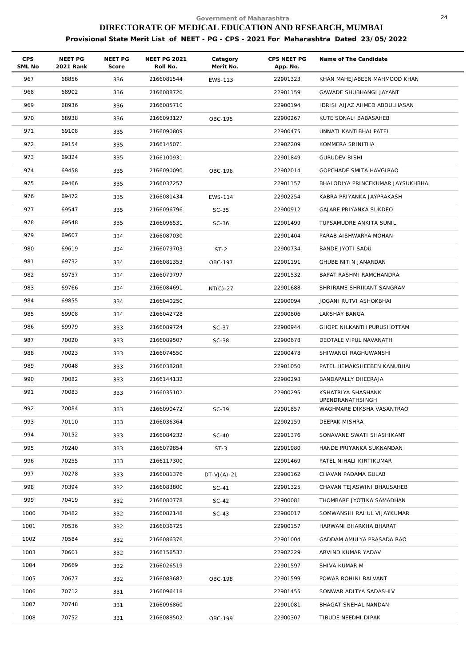| <b>CPS</b><br>SML No | NEET PG<br>2021 Rank | NEET PG<br>Score | <b>NEET PG 2021</b><br>Roll No. | Category<br>Merit No. | CPS NEET PG<br>App. No. | Name of The Candidate                         |
|----------------------|----------------------|------------------|---------------------------------|-----------------------|-------------------------|-----------------------------------------------|
| 967                  | 68856                | 336              | 2166081544                      | EWS-113               | 22901323                | KHAN MAHEJABEEN MAHMOOD KHAN                  |
| 968                  | 68902                | 336              | 2166088720                      |                       | 22901159                | GAWADE SHUBHANGI JAYANT                       |
| 969                  | 68936                | 336              | 2166085710                      |                       | 22900194                | IDRISI AIJAZ AHMED ABDULHASAN                 |
| 970                  | 68938                | 336              | 2166093127                      | OBC-195               | 22900267                | KUTE SONALI BABASAHEB                         |
| 971                  | 69108                | 335              | 2166090809                      |                       | 22900475                | UNNATI KANTIBHAI PATEL                        |
| 972                  | 69154                | 335              | 2166145071                      |                       | 22902209                | KOMMERA SRINITHA                              |
| 973                  | 69324                | 335              | 2166100931                      |                       | 22901849                | <b>GURUDEV BISHI</b>                          |
| 974                  | 69458                | 335              | 2166090090                      | OBC-196               | 22902014                | GOPCHADE SMITA HAVGIRAO                       |
| 975                  | 69466                | 335              | 2166037257                      |                       | 22901157                | BHALODIYA PRINCEKUMAR JAYSUKHBHAI             |
| 976                  | 69472                | 335              | 2166081434                      | EWS-114               | 22902254                | KABRA PRIYANKA JAYPRAKASH                     |
| 977                  | 69547                | 335              | 2166096796                      | $SC-35$               | 22900912                | GAJARE PRIYANKA SUKDEO                        |
| 978                  | 69548                | 335              | 2166096531                      | $SC-36$               | 22901499                | TUPSAMUDRE ANKITA SUNIL                       |
| 979                  | 69607                | 334              | 2166087030                      |                       | 22901404                | PARAB AISHWARYA MOHAN                         |
| 980                  | 69619                | 334              | 2166079703                      | $ST-2$                | 22900734                | BANDE JYOTI SADU                              |
| 981                  | 69732                | 334              | 2166081353                      | OBC-197               | 22901191                | GHUBE NITIN JANARDAN                          |
| 982                  | 69757                | 334              | 2166079797                      |                       | 22901532                | BAPAT RASHMI RAMCHANDRA                       |
| 983                  | 69766                | 334              | 2166084691                      | $NT(C)-27$            | 22901688                | SHRIRAME SHRIKANT SANGRAM                     |
| 984                  | 69855                | 334              | 2166040250                      |                       | 22900094                | JOGANI RUTVI ASHOKBHAI                        |
| 985                  | 69908                | 334              | 2166042728                      |                       | 22900806                | LAKSHAY BANGA                                 |
| 986                  | 69979                | 333              | 2166089724                      | $SC-37$               | 22900944                | GHOPE NILKANTH PURUSHOTTAM                    |
| 987                  | 70020                | 333              | 2166089507                      | $SC-38$               | 22900678                | DEOTALE VIPUL NAVANATH                        |
| 988                  | 70023                | 333              | 2166074550                      |                       | 22900478                | SHIWANGI RAGHUWANSHI                          |
| 989                  | 70048                | 333              | 2166038288                      |                       | 22901050                | PATEL HEMAKSHEEBEN KANUBHAI                   |
| 990                  | 70082                | 333              | 2166144132                      |                       | 22900298                | BANDAPALLY DHEERAJA                           |
| 991                  | 70083                | 333              | 2166035102                      |                       | 22900295                | KSHATRIYA SHASHANK                            |
| 992                  | 70084                | 333              | 2166090472                      | $SC-39$               | 22901857                | UPENDRANATHSINGH<br>WAGHMARE DIKSHA VASANTRAO |
| 993                  | 70110                | 333              | 2166036364                      |                       | 22902159                | DEEPAK MISHRA                                 |
| 994                  | 70152                | 333              | 2166084232                      | $SC-40$               | 22901376                | SONAVANE SWATI SHASHIKANT                     |
| 995                  | 70240                | 333              | 2166079854                      | $ST-3$                | 22901980                | HANDE PRIYANKA SUKNANDAN                      |
| 996                  | 70255                | 333              | 2166117300                      |                       | 22901469                | PATEL NIHALI KIRTIKUMAR                       |
| 997                  | 70278                | 333              | 2166081376                      | $DT-VJ(A)-21$         | 22900162                | CHAVAN PADAMA GULAB                           |
| 998                  | 70394                | 332              | 2166083800                      | SC-41                 | 22901325                | CHAVAN TEJASWINI BHAUSAHEB                    |
| 999                  | 70419                | 332              | 2166080778                      | $SC-42$               | 22900081                | THOMBARE JYOTIKA SAMADHAN                     |
| 1000                 | 70482                | 332              | 2166082148                      | $SC-43$               | 22900017                | SOMWANSHI RAHUL VIJAYKUMAR                    |
| 1001                 | 70536                | 332              | 2166036725                      |                       | 22900157                | HARWANI BHARKHA BHARAT                        |
| 1002                 | 70584                | 332              | 2166086376                      |                       | 22901004                | GADDAM AMULYA PRASADA RAO                     |
| 1003                 | 70601                | 332              | 2166156532                      |                       | 22902229                | ARVIND KUMAR YADAV                            |
| 1004                 | 70669                | 332              | 2166026519                      |                       | 22901597                | SHIVA KUMAR M                                 |
| 1005                 | 70677                | 332              | 2166083682                      | OBC-198               | 22901599                | POWAR ROHINI BALVANT                          |
| 1006                 | 70712                | 331              | 2166096418                      |                       | 22901455                | SONWAR ADITYA SADASHIV                        |
| 1007                 | 70748                | 331              | 2166096860                      |                       | 22901081                | BHAGAT SNEHAL NANDAN                          |
| 1008                 | 70752                | 331              | 2166088502                      | OBC-199               | 22900307                | TIBUDE NEEDHI DIPAK                           |
|                      |                      |                  |                                 |                       |                         |                                               |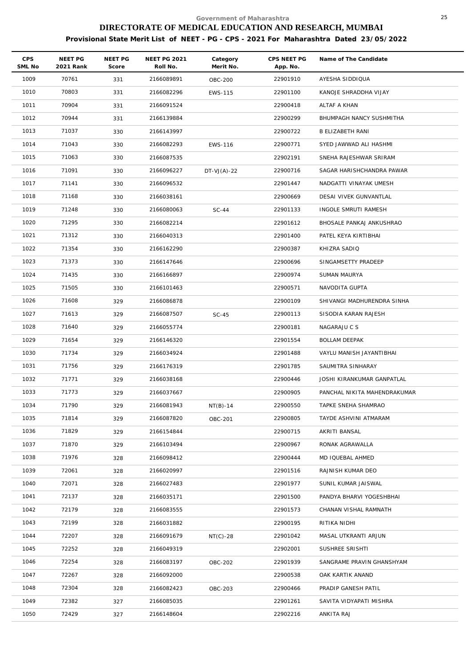| <b>CPS</b><br>SML No | NEET PG<br>2021 Rank | NEET PG<br>Score | <b>NEET PG 2021</b><br>Roll No. | Category<br>Merit No. | CPS NEET PG<br>App. No. | Name of The Candidate        |
|----------------------|----------------------|------------------|---------------------------------|-----------------------|-------------------------|------------------------------|
| 1009                 | 70761                | 331              | 2166089891                      | <b>OBC-200</b>        | 22901910                | AYESHA SIDDIQUA              |
| 1010                 | 70803                | 331              | 2166082296                      | EWS-115               | 22901100                | KANOJE SHRADDHA VIJAY        |
| 1011                 | 70904                | 331              | 2166091524                      |                       | 22900418                | ALTAF A KHAN                 |
| 1012                 | 70944                | 331              | 2166139884                      |                       | 22900299                | BHUMPAGH NANCY SUSHMITHA     |
| 1013                 | 71037                | 330              | 2166143997                      |                       | 22900722                | <b>B ELIZABETH RANI</b>      |
| 1014                 | 71043                | 330              | 2166082293                      | EWS-116               | 22900771                | SYED JAWWAD ALI HASHMI       |
| 1015                 | 71063                | 330              | 2166087535                      |                       | 22902191                | SNEHA RAJESHWAR SRIRAM       |
| 1016                 | 71091                | 330              | 2166096227                      | $DT-VJ(A)-22$         | 22900716                | SAGAR HARISHCHANDRA PAWAR    |
| 1017                 | 71141                | 330              | 2166096532                      |                       | 22901447                | NADGATTI VINAYAK UMESH       |
| 1018                 | 71168                | 330              | 2166038161                      |                       | 22900669                | DESAI VIVEK GUNVANTLAL       |
| 1019                 | 71248                | 330              | 2166080063                      | $SC-44$               | 22901133                | INGOLE SMRUTI RAMESH         |
| 1020                 | 71295                | 330              | 2166082214                      |                       | 22901612                | BHOSALE PANKAJ ANKUSHRAO     |
| 1021                 | 71312                | 330              | 2166040313                      |                       | 22901400                | PATEL KEYA KIRTIBHAI         |
| 1022                 | 71354                | 330              | 2166162290                      |                       | 22900387                | KHIZRA SADIQ                 |
| 1023                 | 71373                | 330              | 2166147646                      |                       | 22900696                | SINGAMSETTY PRADEEP          |
| 1024                 | 71435                | 330              | 2166166897                      |                       | 22900974                | SUMAN MAURYA                 |
| 1025                 | 71505                | 330              | 2166101463                      |                       | 22900571                | NAVODITA GUPTA               |
| 1026                 | 71608                | 329              | 2166086878                      |                       | 22900109                | SHIVANGI MADHURENDRA SINHA   |
| 1027                 | 71613                | 329              | 2166087507                      | $SC-45$               | 22900113                | SISODIA KARAN RAJESH         |
| 1028                 | 71640                | 329              | 2166055774                      |                       | 22900181                | NAGARAJU C S                 |
| 1029                 | 71654                | 329              | 2166146320                      |                       | 22901554                | <b>BOLLAM DEEPAK</b>         |
| 1030                 | 71734                | 329              | 2166034924                      |                       | 22901488                | VAYLU MANISH JAYANTIBHAI     |
| 1031                 | 71756                | 329              | 2166176319                      |                       | 22901785                | SAUMITRA SINHARAY            |
| 1032                 | 71771                | 329              | 2166038168                      |                       | 22900446                | JOSHI KIRANKUMAR GANPATLAL   |
| 1033                 | 71773                | 329              | 2166037667                      |                       | 22900905                | PANCHAL NIKITA MAHENDRAKUMAR |
| 1034                 | 71790                | 329              | 2166081943                      | $NT(B)-14$            | 22900550                | TAPKE SNEHA SHAMRAO          |
| 1035                 | 71814                | 329              | 2166087820                      | OBC-201               | 22900805                | TAYDE ASHVINI ATMARAM        |
| 1036                 | 71829                | 329              | 2166154844                      |                       | 22900715                | AKRITI BANSAL                |
| 1037                 | 71870                | 329              | 2166103494                      |                       | 22900967                | RONAK AGRAWALLA              |
| 1038                 | 71976                | 328              | 2166098412                      |                       | 22900444                | MD IQUEBAL AHMED             |
| 1039                 | 72061                | 328              | 2166020997                      |                       | 22901516                | RAJNISH KUMAR DEO            |
| 1040                 | 72071                | 328              | 2166027483                      |                       | 22901977                | SUNIL KUMAR JAISWAL          |
| 1041                 | 72137                | 328              | 2166035171                      |                       | 22901500                | PANDYA BHARVI YOGESHBHAI     |
| 1042                 | 72179                | 328              | 2166083555                      |                       | 22901573                | CHANAN VISHAL RAMNATH        |
| 1043                 | 72199                | 328              | 2166031882                      |                       | 22900195                | RITIKA NIDHI                 |
| 1044                 | 72207                | 328              | 2166091679                      | $NT(C) - 28$          | 22901042                | MASAL UTKRANTI ARJUN         |
| 1045                 | 72252                | 328              | 2166049319                      |                       | 22902001                | SUSHREE SRISHTI              |
| 1046                 | 72254                | 328              | 2166083197                      | OBC-202               | 22901939                | SANGRAME PRAVIN GHANSHYAM    |
| 1047                 | 72267                | 328              | 2166092000                      |                       | 22900538                | OAK KARTIK ANAND             |
| 1048                 | 72304                | 328              | 2166082423                      | OBC-203               | 22900466                | PRADIP GANESH PATIL          |
| 1049                 | 72382                | 327              | 2166085035                      |                       | 22901261                | SAVITA VIDYAPATI MISHRA      |
| 1050                 | 72429                | 327              | 2166148604                      |                       | 22902216                | ANKITA RAJ                   |
|                      |                      |                  |                                 |                       |                         |                              |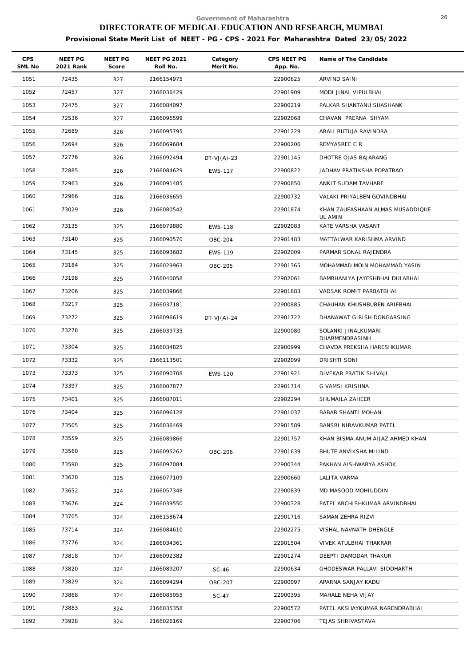| <b>CPS</b><br>SML No | NEET PG<br>2021 Rank | <b>NEET PG</b><br>Score | <b>NEET PG 2021</b><br>Roll No. | Category<br>Merit No. | CPS NEET PG<br>App. No. | Name of The Candidate                        |
|----------------------|----------------------|-------------------------|---------------------------------|-----------------------|-------------------------|----------------------------------------------|
| 1051                 | 72435                | 327                     | 2166154975                      |                       | 22900625                | ARVIND SAINI                                 |
| 1052                 | 72457                | 327                     | 2166036429                      |                       | 22901909                | MODI JINAL VIPULBHAI                         |
| 1053                 | 72475                | 327                     | 2166084097                      |                       | 22900219                | PALKAR SHANTANU SHASHANK                     |
| 1054                 | 72536                | 327                     | 2166096599                      |                       | 22902068                | CHAVAN PRERNA SHYAM                          |
| 1055                 | 72689                | 326                     | 2166095795                      |                       | 22901229                | ARALI RUTUJA RAVINDRA                        |
| 1056                 | 72694                | 326                     | 2166069684                      |                       | 22900206                | REMYASREE C R                                |
| 1057                 | 72776                | 326                     | 2166092494                      | $DT-VJ(A)-23$         | 22901145                | DHOTRE OJAS BAJARANG                         |
| 1058                 | 72885                | 326                     | 2166084629                      | <b>EWS-117</b>        | 22900822                | JADHAV PRATIKSHA POPATRAO                    |
| 1059                 | 72963                | 326                     | 2166091485                      |                       | 22900850                | ANKIT SUDAM TAVHARE                          |
| 1060                 | 72966                | 326                     | 2166036659                      |                       | 22900732                | VALAKI PRIYALBEN GOVINDBHAI                  |
| 1061                 | 73029                | 326                     | 2166080542                      |                       | 22901874                | KHAN ZAUFASHAAN ALMAS MUSADDIQUE<br>UL AMIN  |
| 1062                 | 73135                | 325                     | 2166079880                      | <b>EWS-118</b>        | 22902083                | KATE VARSHA VASANT                           |
| 1063                 | 73140                | 325                     | 2166090570                      | OBC-204               | 22901483                | MATTALWAR KARISHMA ARVIND                    |
| 1064                 | 73145                | 325                     | 2166093682                      | EWS-119               | 22902009                | PARMAR SONAL RAJENDRA                        |
| 1065                 | 73184                | 325                     | 2166029963                      | OBC-205               | 22901365                | MOHAMMAD MOIN MOHAMMAD YASIN                 |
| 1066                 | 73198                | 325                     | 2166040058                      |                       | 22902061                | BAMBHANIYA JAYESHBHAI DULABHAI               |
| 1067                 | 73206                | 325                     | 2166039866                      |                       | 22901883                | VADSAK ROMIT PARBATBHAI                      |
| 1068                 | 73217                | 325                     | 2166037181                      |                       | 22900885                | CHAUHAN KHUSHBUBEN ARIFBHAI                  |
| 1069                 | 73272                | 325                     | 2166096619                      | $DT-VJ(A)-24$         | 22901722                | DHANAWAT GIRISH DONGARSING                   |
| 1070                 | 73278                | 325                     | 2166039735                      |                       | 22900080                | SOLANKI JINALKUMARI                          |
| 1071                 | 73304                | 325                     | 2166034825                      |                       | 22900999                | DHARMENDRASINH<br>CHAVDA PREKSHA HARESHKUMAR |
| 1072                 | 73332                | 325                     | 2166113501                      |                       | 22902099                | DRISHTI SONI                                 |
| 1073                 | 73373                | 325                     | 2166090708                      | <b>EWS-120</b>        | 22901921                | DIVEKAR PRATIK SHIVAJI                       |
| 1074                 | 73397                | 325                     | 2166007877                      |                       | 22901714                | G VAMSI KRISHNA                              |
| 1075                 | 73401                | 325                     | 2166087011                      |                       | 22902294                | SHUMAILA ZAHEER                              |
| 1076                 | 73404                | 325                     | 2166096128                      |                       | 22901037                | BABAR SHANTI MOHAN                           |
| 1077                 | 73505                | 325                     | 2166036469                      |                       | 22901589                | BANSRI NIRAVKUMAR PATEL                      |
| 1078                 | 73559                | 325                     | 2166089866                      |                       | 22901757                | KHAN BISMA ANUM AIJAZ AHMED KHAN             |
| 1079                 | 73560                | 325                     | 2166095262                      | OBC-206               | 22901639                | BHUTE ANVIKSHA MILIND                        |
| 1080                 | 73590                | 325                     | 2166097084                      |                       | 22900344                | PAKHAN AISHWARYA ASHOK                       |
| 1081                 | 73620                | 325                     | 2166077109                      |                       | 22900660                | LALITA VARMA                                 |
| 1082                 | 73652                | 324                     | 2166057348                      |                       | 22900839                | MD MASOOD MOHIUDDIN                          |
| 1083                 | 73676                | 324                     | 2166039550                      |                       | 22900328                | PATEL ARCHISHKUMAR ARVINDBHAI                |
| 1084                 | 73705                | 324                     | 2166158674                      |                       | 22901716                | SAMAN ZEHRA RIZVI                            |
| 1085                 | 73714                | 324                     | 2166084610                      |                       | 22902275                | VISHAL NAVNATH DHENGLE                       |
| 1086                 | 73776                | 324                     | 2166034361                      |                       | 22901504                | VIVEK ATULBHAI THAKRAR                       |
| 1087                 | 73818                | 324                     | 2166092382                      |                       | 22901274                | DEEPTI DAMODAR THAKUR                        |
| 1088                 | 73820                | 324                     | 2166089207                      | $SC-46$               | 22900634                | GHODESWAR PALLAVI SIDDHARTH                  |
| 1089                 | 73829                | 324                     | 2166094294                      | OBC-207               | 22900097                | APARNA SANJAY KADU                           |
| 1090                 | 73868                | 324                     | 2166085055                      | $SC-47$               | 22900395                | MAHALE NEHA VIJAY                            |
| 1091                 | 73883                | 324                     | 2166035358                      |                       | 22900572                | PATEL AKSHAYKUMAR NARENDRABHAI               |
| 1092                 | 73928                | 324                     | 2166026169                      |                       | 22900706                | TEJAS SHRIVASTAVA                            |
|                      |                      |                         |                                 |                       |                         |                                              |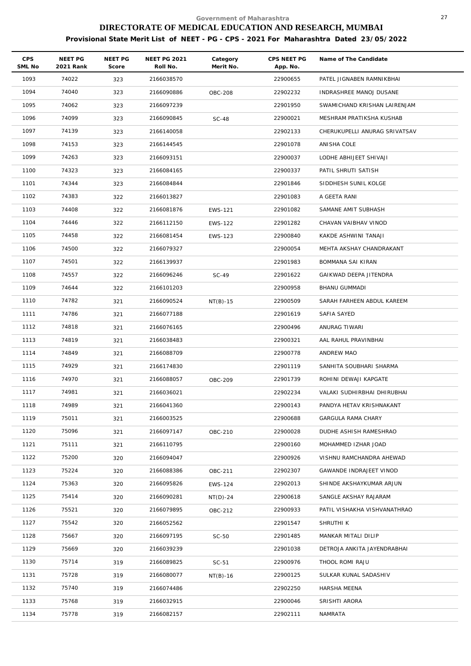| <b>CPS</b><br>SML No | NEET PG<br>2021 Rank | NEET PG<br>Score | <b>NEET PG 2021</b><br>Roll No. | Category<br>Merit No. | CPS NEET PG<br>App. No. | Name of The Candidate         |
|----------------------|----------------------|------------------|---------------------------------|-----------------------|-------------------------|-------------------------------|
| 1093                 | 74022                | 323              | 2166038570                      |                       | 22900655                | PATEL JIGNABEN RAMNIKBHAI     |
| 1094                 | 74040                | 323              | 2166090886                      | <b>OBC-208</b>        | 22902232                | INDRASHREE MANOJ DUSANE       |
| 1095                 | 74062                | 323              | 2166097239                      |                       | 22901950                | SWAMICHAND KRISHAN LAIRENJAM  |
| 1096                 | 74099                | 323              | 2166090845                      | <b>SC-48</b>          | 22900021                | MESHRAM PRATIKSHA KUSHAB      |
| 1097                 | 74139                | 323              | 2166140058                      |                       | 22902133                | CHERUKUPELLI ANURAG SRIVATSAV |
| 1098                 | 74153                | 323              | 2166144545                      |                       | 22901078                | ANISHA COLE                   |
| 1099                 | 74263                | 323              | 2166093151                      |                       | 22900037                | LODHE ABHIJEET SHIVAJI        |
| 1100                 | 74323                | 323              | 2166084165                      |                       | 22900337                | PATIL SHRUTI SATISH           |
| 1101                 | 74344                | 323              | 2166084844                      |                       | 22901846                | SIDDHESH SUNIL KOLGE          |
| 1102                 | 74383                | 322              | 2166013827                      |                       | 22901083                | A GEETA RANI                  |
| 1103                 | 74408                | 322              | 2166081876                      | EWS-121               | 22901082                | SAMANE AMIT SUBHASH           |
| 1104                 | 74446                | 322              | 2166112150                      | EWS-122               | 22901282                | CHAVAN VAIBHAV VINOD          |
| 1105                 | 74458                | 322              | 2166081454                      | EWS-123               | 22900840                | KAKDE ASHWINI TANAJI          |
| 1106                 | 74500                | 322              | 2166079327                      |                       | 22900054                | MEHTA AKSHAY CHANDRAKANT      |
| 1107                 | 74501                | 322              | 2166139937                      |                       | 22901983                | BOMMANA SAI KIRAN             |
| 1108                 | 74557                | 322              | 2166096246                      | SC-49                 | 22901622                | GAIKWAD DEEPA JITENDRA        |
| 1109                 | 74644                | 322              | 2166101203                      |                       | 22900958                | BHANU GUMMADI                 |
| 1110                 | 74782                | 321              | 2166090524                      | $NT(B)-15$            | 22900509                | SARAH FARHEEN ABDUL KAREEM    |
| 1111                 | 74786                | 321              | 2166077188                      |                       | 22901619                | SAFIA SAYED                   |
| 1112                 | 74818                | 321              | 2166076165                      |                       | 22900496                | ANURAG TIWARI                 |
| 1113                 | 74819                | 321              | 2166038483                      |                       | 22900321                | AAL RAHUL PRAVINBHAI          |
| 1114                 | 74849                | 321              | 2166088709                      |                       | 22900778                | ANDREW MAO                    |
| 1115                 | 74929                | 321              | 2166174830                      |                       | 22901119                | SANHITA SOUBHARI SHARMA       |
| 1116                 | 74970                | 321              | 2166088057                      | OBC-209               | 22901739                | ROHINI DEWAJI KAPGATE         |
| 1117                 | 74981                | 321              | 2166036021                      |                       | 22902234                | VALAKI SUDHIRBHAI DHIRUBHAI   |
| 1118                 | 74989                | 321              | 2166041360                      |                       | 22900143                | PANDYA HETAV KRISHNAKANT      |
| 1119                 | 75011                | 321              | 2166003525                      |                       | 22900688                | <b>GARGULA RAMA CHARY</b>     |
| 1120                 | 75096                | 321              | 2166097147                      | OBC-210               | 22900028                | DUDHE ASHISH RAMESHRAO        |
| 1121                 | 75111                | 321              | 2166110795                      |                       | 22900160                | MOHAMMED IZHAR JOAD           |
| 1122                 | 75200                | 320              | 2166094047                      |                       | 22900926                | VISHNU RAMCHANDRA AHEWAD      |
| 1123                 | 75224                | 320              | 2166088386                      | OBC-211               | 22902307                | GAWANDE INDRAJEET VINOD       |
| 1124                 | 75363                | 320              | 2166095826                      | <b>EWS-124</b>        | 22902013                | SHINDE AKSHAYKUMAR ARJUN      |
| 1125                 | 75414                | 320              | 2166090281                      | $NT(D)-24$            | 22900618                | SANGLE AKSHAY RAJARAM         |
| 1126                 | 75521                | 320              | 2166079895                      | OBC-212               | 22900933                | PATIL VISHAKHA VISHVANATHRAO  |
| 1127                 | 75542                | 320              | 2166052562                      |                       | 22901547                | SHRUTHI K                     |
| 1128                 | 75667                | 320              | 2166097195                      | SC-50                 | 22901485                | MANKAR MITALI DILIP           |
| 1129                 | 75669                | 320              | 2166039239                      |                       | 22901038                | DETROJA ANKITA JAYENDRABHAI   |
| 1130                 | 75714                | 319              | 2166089825                      | $SC-51$               | 22900976                | THOOL ROMI RAJU               |
| 1131                 | 75728                | 319              | 2166080077                      | $NT(B)-16$            | 22900125                | SULKAR KUNAL SADASHIV         |
| 1132                 | 75740                | 319              | 2166074486                      |                       | 22902250                | HARSHA MEENA                  |
| 1133                 | 75768                | 319              | 2166032915                      |                       | 22900046                | SRISHTI ARORA                 |
| 1134                 | 75778                | 319              | 2166082157                      |                       | 22902111                | NAMRATA                       |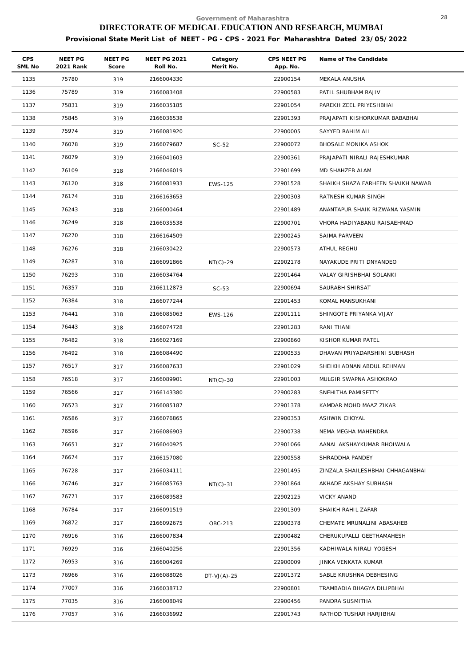| CPS<br>SML No | NEET PG<br>2021 Rank | NEET PG<br>Score | <b>NEET PG 2021</b><br>Roll No. | Category<br>Merit No. | CPS NEET PG<br>App. No. | Name of The Candidate             |
|---------------|----------------------|------------------|---------------------------------|-----------------------|-------------------------|-----------------------------------|
| 1135          | 75780                | 319              | 2166004330                      |                       | 22900154                | MEKALA ANUSHA                     |
| 1136          | 75789                | 319              | 2166083408                      |                       | 22900583                | PATIL SHUBHAM RAJIV               |
| 1137          | 75831                | 319              | 2166035185                      |                       | 22901054                | PAREKH ZEEL PRIYESHBHAI           |
| 1138          | 75845                | 319              | 2166036538                      |                       | 22901393                | PRAJAPATI KISHORKUMAR BABABHAI    |
| 1139          | 75974                | 319              | 2166081920                      |                       | 22900005                | SAYYED RAHIM ALI                  |
| 1140          | 76078                | 319              | 2166079687                      | $SC-52$               | 22900072                | BHOSALE MONIKA ASHOK              |
| 1141          | 76079                | 319              | 2166041603                      |                       | 22900361                | PRAJAPATI NIRALI RAJESHKUMAR      |
| 1142          | 76109                | 318              | 2166046019                      |                       | 22901699                | MD SHAHZEB ALAM                   |
| 1143          | 76120                | 318              | 2166081933                      | EWS-125               | 22901528                | SHAIKH SHAZA FARHEEN SHAIKH NAWAB |
| 1144          | 76174                | 318              | 2166163653                      |                       | 22900303                | RATNESH KUMAR SINGH               |
| 1145          | 76243                | 318              | 2166000464                      |                       | 22901489                | ANANTAPUR SHAIK RIZWANA YASMIN    |
| 1146          | 76249                | 318              | 2166035538                      |                       | 22900701                | VHORA HADIYABANU RAISAEHMAD       |
| 1147          | 76270                | 318              | 2166164509                      |                       | 22900245                | SAIMA PARVEEN                     |
| 1148          | 76276                | 318              | 2166030422                      |                       | 22900573                | ATHUL REGHU                       |
| 1149          | 76287                | 318              | 2166091866                      | $NT(C)-29$            | 22902178                | NAYAKUDE PRITI DNYANDEO           |
| 1150          | 76293                | 318              | 2166034764                      |                       | 22901464                | VALAY GIRISHBHAI SOLANKI          |
| 1151          | 76357                | 318              | 2166112873                      | $SC-53$               | 22900694                | SAURABH SHIRSAT                   |
| 1152          | 76384                | 318              | 2166077244                      |                       | 22901453                | KOMAL MANSUKHANI                  |
| 1153          | 76441                | 318              | 2166085063                      | <b>EWS-126</b>        | 22901111                | SHINGOTE PRIYANKA VIJAY           |
| 1154          | 76443                | 318              | 2166074728                      |                       | 22901283                | RANI THANI                        |
| 1155          | 76482                | 318              | 2166027169                      |                       | 22900860                | KISHOR KUMAR PATEL                |
| 1156          | 76492                | 318              | 2166084490                      |                       | 22900535                | DHAVAN PRIYADARSHINI SUBHASH      |
| 1157          | 76517                | 317              | 2166087633                      |                       | 22901029                | SHEIKH ADNAN ABDUL REHMAN         |
| 1158          | 76518                | 317              | 2166089901                      | $NT(C)-30$            | 22901003                | MULGIR SWAPNA ASHOKRAO            |
| 1159          | 76566                | 317              | 2166143380                      |                       | 22900283                | SNEHITHA PAMISETTY                |
| 1160          | 76573                | 317              | 2166085187                      |                       | 22901378                | KAMDAR MOHD MAAZ ZIKAR            |
| 1161          | 76586                | 317              | 2166076865                      |                       | 22900353                | ASHWIN CHOYAL                     |
| 1162          | 76596                | 317              | 2166086903                      |                       | 22900738                | NEMA MEGHA MAHENDRA               |
| 1163          | 76651                | 317              | 2166040925                      |                       | 22901066                | AANAL AKSHAYKUMAR BHOIWALA        |
| 1164          | 76674                | 317              | 2166157080                      |                       | 22900558                | SHRADDHA PANDEY                   |
| 1165          | 76728                | 317              | 2166034111                      |                       | 22901495                | ZINZALA SHAILESHBHAI CHHAGANBHAI  |
| 1166          | 76746                | 317              | 2166085763                      | $NT(C)-31$            | 22901864                | AKHADE AKSHAY SUBHASH             |
| 1167          | 76771                | 317              | 2166089583                      |                       | 22902125                | VICKY ANAND                       |
| 1168          | 76784                | 317              | 2166091519                      |                       | 22901309                | SHAIKH RAHIL ZAFAR                |
| 1169          | 76872                | 317              | 2166092675                      | OBC-213               | 22900378                | CHEMATE MRUNALINI ABASAHEB        |
| 1170          | 76916                | 316              | 2166007834                      |                       | 22900482                | CHERUKUPALLI GEETHAMAHESH         |
| 1171          | 76929                | 316              | 2166040256                      |                       | 22901356                | KADHIWALA NIRALI YOGESH           |
| 1172          | 76953                | 316              | 2166004269                      |                       | 22900009                | JINKA VENKATA KUMAR               |
| 1173          | 76966                | 316              | 2166088026                      | DT-VJ $(A)$ -25       | 22901372                | SABLE KRUSHNA DEBHESING           |
| 1174          | 77007                | 316              | 2166038712                      |                       | 22900801                | TRAMBADIA BHAGYA DILIPBHAI        |
| 1175          | 77035                | 316              | 2166008049                      |                       | 22900456                | PANDRA SUSMITHA                   |
| 1176          | 77057                | 316              | 2166036992                      |                       | 22901743                | RATHOD TUSHAR HARJIBHAI           |
|               |                      |                  |                                 |                       |                         |                                   |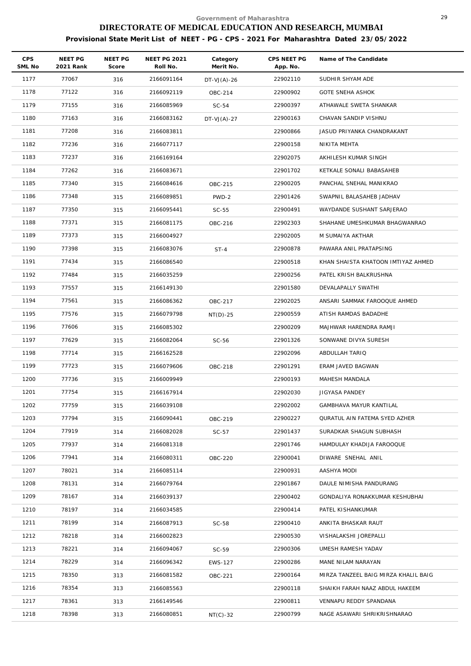| <b>CPS</b><br>SML No | NEET PG<br>2021 Rank | NEET PG<br>Score | <b>NEET PG 2021</b><br>Roll No. | Category<br>Merit No. | CPS NEET PG<br>App. No. | Name of The Candidate                |
|----------------------|----------------------|------------------|---------------------------------|-----------------------|-------------------------|--------------------------------------|
| 1177                 | 77067                | 316              | 2166091164                      | DT-VJ(A)-26           | 22902110                | SUDHIR SHYAM ADE                     |
| 1178                 | 77122                | 316              | 2166092119                      | OBC-214               | 22900902                | <b>GOTE SNEHA ASHOK</b>              |
| 1179                 | 77155                | 316              | 2166085969                      | $SC-54$               | 22900397                | ATHAWALE SWETA SHANKAR               |
| 1180                 | 77163                | 316              | 2166083162                      | $DT-VJ(A)-27$         | 22900163                | CHAVAN SANDIP VISHNU                 |
| 1181                 | 77208                | 316              | 2166083811                      |                       | 22900866                | JASUD PRIYANKA CHANDRAKANT           |
| 1182                 | 77236                | 316              | 2166077117                      |                       | 22900158                | NIKITA MEHTA                         |
| 1183                 | 77237                | 316              | 2166169164                      |                       | 22902075                | AKHILESH KUMAR SINGH                 |
| 1184                 | 77262                | 316              | 2166083671                      |                       | 22901702                | KETKALE SONALI BABASAHEB             |
| 1185                 | 77340                | 315              | 2166084616                      | OBC-215               | 22900205                | PANCHAL SNEHAL MANIKRAO              |
| 1186                 | 77348                | 315              | 2166089851                      | PWD-2                 | 22901426                | SWAPNIL BALASAHEB JADHAV             |
| 1187                 | 77350                | 315              | 2166095441                      | $SC-55$               | 22900491                | WAYDANDE SUSHANT SARJERAO            |
| 1188                 | 77371                | 315              | 2166081175                      | OBC-216               | 22902303                | SHAHANE UMESHKUMAR BHAGWANRAO        |
| 1189                 | 77373                | 315              | 2166004927                      |                       | 22902005                | M SUMAIYA AKTHAR                     |
| 1190                 | 77398                | 315              | 2166083076                      | $ST-4$                | 22900878                | PAWARA ANIL PRATAPSING               |
| 1191                 | 77434                | 315              | 2166086540                      |                       | 22900518                | KHAN SHAISTA KHATOON IMTIYAZ AHMED   |
| 1192                 | 77484                | 315              | 2166035259                      |                       | 22900256                | PATEL KRISH BALKRUSHNA               |
| 1193                 | 77557                | 315              | 2166149130                      |                       | 22901580                | DEVALAPALLY SWATHI                   |
| 1194                 | 77561                | 315              | 2166086362                      | OBC-217               | 22902025                | ANSARI SAMMAK FAROOQUE AHMED         |
| 1195                 | 77576                | 315              | 2166079798                      | $NT(D)-25$            | 22900559                | ATISH RAMDAS BADADHE                 |
| 1196                 | 77606                | 315              | 2166085302                      |                       | 22900209                | MAJHWAR HARENDRA RAMJI               |
| 1197                 | 77629                | 315              | 2166082064                      | $SC-56$               | 22901326                | SONWANE DIVYA SURESH                 |
| 1198                 | 77714                | 315              | 2166162528                      |                       | 22902096                | ABDULLAH TARIQ                       |
| 1199                 | 77723                | 315              | 2166079606                      | OBC-218               | 22901291                | ERAM JAVED BAGWAN                    |
| 1200                 | 77736                | 315              | 2166009949                      |                       | 22900193                | MAHESH MANDALA                       |
| 1201                 | 77754                | 315              | 2166167914                      |                       | 22902030                | JIGYASA PANDEY                       |
| 1202                 | 77759                | 315              | 2166039108                      |                       | 22902002                | <b>GAMBHAVA MAYUR KANTILAL</b>       |
| 1203                 | 77794                | 315              | 2166090441                      | OBC-219               | 22900227                | QURATUL AIN FATEMA SYED AZHER        |
| 1204                 | 77919                | 314              | 2166082028                      | $SC-57$               | 22901437                | SURADKAR SHAGUN SUBHASH              |
| 1205                 | 77937                | 314              | 2166081318                      |                       | 22901746                | HAMDULAY KHADIJA FAROOQUE            |
| 1206                 | 77941                | 314              | 2166080311                      | OBC-220               | 22900041                | DIWARE SNEHAL ANIL                   |
| 1207                 | 78021                | 314              | 2166085114                      |                       | 22900931                | AASHYA MODI                          |
| 1208                 | 78131                | 314              | 2166079764                      |                       | 22901867                | DAULE NIMISHA PANDURANG              |
| 1209                 | 78167                | 314              | 2166039137                      |                       | 22900402                | GONDALIYA RONAKKUMAR KESHUBHAI       |
| 1210                 | 78197                | 314              | 2166034585                      |                       | 22900414                | PATEL KISHANKUMAR                    |
| 1211                 | 78199                | 314              | 2166087913                      | $SC-58$               | 22900410                | ANKITA BHASKAR RAUT                  |
| 1212                 | 78218                | 314              | 2166002823                      |                       | 22900530                | VISHALAKSHI JOREPALLI                |
| 1213                 | 78221                | 314              | 2166094067                      | $SC-59$               | 22900306                | UMESH RAMESH YADAV                   |
| 1214                 | 78229                | 314              | 2166096342                      | <b>EWS-127</b>        | 22900286                | MANE NILAM NARAYAN                   |
| 1215                 | 78350                | 313              | 2166081582                      | OBC-221               | 22900164                | MIRZA TANZEEL BAIG MIRZA KHALIL BAIG |
| 1216                 | 78354                | 313              | 2166085563                      |                       | 22900118                | SHAIKH FARAH NAAZ ABDUL HAKEEM       |
| 1217                 | 78361                | 313              | 2166149546                      |                       | 22900811                | VENNAPU REDDY SPANDANA               |
| 1218                 | 78398                | 313              | 2166080851                      | $NT(C)-32$            | 22900799                | NAGE ASAWARI SHRIKRISHNARAO          |
|                      |                      |                  |                                 |                       |                         |                                      |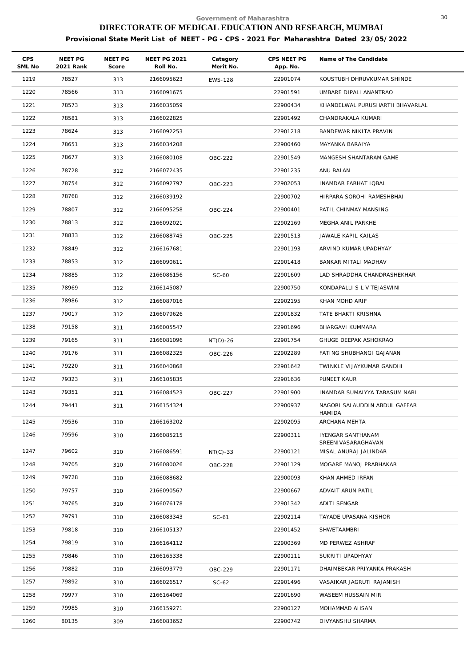| CPS<br>SML No | NEET PG<br>2021 Rank | NEET PG<br>Score | <b>NEET PG 2021</b><br>Roll No. | Category<br>Merit No. | CPS NEET PG<br>App. No. | Name of The Candidate                          |
|---------------|----------------------|------------------|---------------------------------|-----------------------|-------------------------|------------------------------------------------|
| 1219          | 78527                | 313              | 2166095623                      | <b>EWS-128</b>        | 22901074                | KOUSTUBH DHRUVKUMAR SHINDE                     |
| 1220          | 78566                | 313              | 2166091675                      |                       | 22901591                | UMBARE DIPALI ANANTRAO                         |
| 1221          | 78573                | 313              | 2166035059                      |                       | 22900434                | KHANDELWAL PURUSHARTH BHAVARLAL                |
| 1222          | 78581                | 313              | 2166022825                      |                       | 22901492                | CHANDRAKALA KUMARI                             |
| 1223          | 78624                | 313              | 2166092253                      |                       | 22901218                | BANDEWAR NIKITA PRAVIN                         |
| 1224          | 78651                | 313              | 2166034208                      |                       | 22900460                | MAYANKA BARAIYA                                |
| 1225          | 78677                | 313              | 2166080108                      | OBC-222               | 22901549                | MANGESH SHANTARAM GAME                         |
| 1226          | 78728                | 312              | 2166072435                      |                       | 22901235                | ANU BALAN                                      |
| 1227          | 78754                | 312              | 2166092797                      | OBC-223               | 22902053                | INAMDAR FARHAT IQBAL                           |
| 1228          | 78768                | 312              | 2166039192                      |                       | 22900702                | HIRPARA SOROHI RAMESHBHAI                      |
| 1229          | 78807                | 312              | 2166095258                      | OBC-224               | 22900401                | PATIL CHINMAY MANSING                          |
| 1230          | 78813                | 312              | 2166092021                      |                       | 22902169                | MEGHA ANIL PARKHE                              |
| 1231          | 78833                | 312              | 2166088745                      | OBC-225               | 22901513                | JAWALE KAPIL KAILAS                            |
| 1232          | 78849                | 312              | 2166167681                      |                       | 22901193                | ARVIND KUMAR UPADHYAY                          |
| 1233          | 78853                | 312              | 2166090611                      |                       | 22901418                | BANKAR MITALI MADHAV                           |
| 1234          | 78885                | 312              | 2166086156                      | $SC-60$               | 22901609                | LAD SHRADDHA CHANDRASHEKHAR                    |
| 1235          | 78969                | 312              | 2166145087                      |                       | 22900750                | KONDAPALLI S L V TEJASWINI                     |
| 1236          | 78986                | 312              | 2166087016                      |                       | 22902195                | KHAN MOHD ARIF                                 |
| 1237          | 79017                | 312              | 2166079626                      |                       | 22901832                | TATE BHAKTI KRISHNA                            |
| 1238          | 79158                | 311              | 2166005547                      |                       | 22901696                | BHARGAVI KUMMARA                               |
| 1239          | 79165                | 311              | 2166081096                      | $NT(D)-26$            | 22901754                | GHUGE DEEPAK ASHOKRAO                          |
| 1240          | 79176                | 311              | 2166082325                      | OBC-226               | 22902289                | FATING SHUBHANGI GAJANAN                       |
| 1241          | 79220                | 311              | 2166040868                      |                       | 22901642                | TWINKLE VIJAYKUMAR GANDHI                      |
| 1242          | 79323                | 311              | 2166105835                      |                       | 22901636                | PUNEET KAUR                                    |
| 1243          | 79351                | 311              | 2166084523                      | OBC-227               | 22901900                | INAMDAR SUMAIYYA TABASUM NABI                  |
| 1244          | 79441                | 311              | 2166154324                      |                       | 22900937                | NAGORI SALAUDDIN ABDUL GAFFAR<br><b>HAMIDA</b> |
| 1245          | 79536                | 310              | 2166163202                      |                       | 22902095                | ARCHANA MEHTA                                  |
| 1246          | 79596                | 310              | 2166085215                      |                       | 22900311                | IYENGAR SANTHANAM                              |
| 1247          | 79602                | 310              | 2166086591                      | $NT(C)-33$            | 22900121                | SREENIVASARAGHAVAN<br>MISAL ANURAJ JALINDAR    |
| 1248          | 79705                | 310              | 2166080026                      | OBC-228               | 22901129                | MOGARE MANOJ PRABHAKAR                         |
| 1249          | 79728                | 310              | 2166088682                      |                       | 22900093                | KHAN AHMED IRFAN                               |
| 1250          | 79757                | 310              | 2166090567                      |                       | 22900667                | ADVAIT ARUN PATIL                              |
| 1251          | 79765                | 310              | 2166076178                      |                       | 22901342                | ADITI SENGAR                                   |
| 1252          | 79791                | 310              | 2166083343                      | $SC-61$               | 22902114                | TAYADE UPASANA KISHOR                          |
| 1253          | 79818                | 310              | 2166105137                      |                       | 22901452                | SHWETAAMBRI                                    |
| 1254          | 79819                | 310              | 2166164112                      |                       | 22900369                | MD PERWEZ ASHRAF                               |
| 1255          | 79846                | 310              | 2166165338                      |                       | 22900111                | SUKRITI UPADHYAY                               |
| 1256          | 79882                | 310              | 2166093779                      | OBC-229               | 22901171                | DHAIMBEKAR PRIYANKA PRAKASH                    |
| 1257          | 79892                | 310              | 2166026517                      | $SC-62$               | 22901496                | VASAIKAR JAGRUTI RAJANISH                      |
| 1258          | 79977                | 310              | 2166164069                      |                       | 22901690                | WASEEM HUSSAIN MIR                             |
| 1259          | 79985                | 310              | 2166159271                      |                       | 22900127                | MOHAMMAD AHSAN                                 |
| 1260          | 80135                | 309              | 2166083652                      |                       | 22900742                | DIVYANSHU SHARMA                               |
|               |                      |                  |                                 |                       |                         |                                                |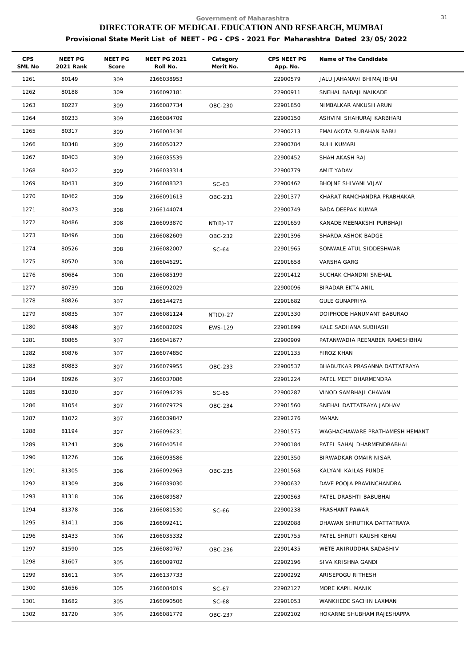| <b>CPS</b><br>SML No | NEET PG<br>2021 Rank | <b>NEET PG</b><br>Score | <b>NEET PG 2021</b><br>Roll No. | Category<br>Merit No. | CPS NEET PG<br>App. No. | Name of The Candidate          |
|----------------------|----------------------|-------------------------|---------------------------------|-----------------------|-------------------------|--------------------------------|
| 1261                 | 80149                | 309                     | 2166038953                      |                       | 22900579                | JALU JAHANAVI BHIMAJIBHAI      |
| 1262                 | 80188                | 309                     | 2166092181                      |                       | 22900911                | SNEHAL BABAJI NAIKADE          |
| 1263                 | 80227                | 309                     | 2166087734                      | OBC-230               | 22901850                | NIMBALKAR ANKUSH ARUN          |
| 1264                 | 80233                | 309                     | 2166084709                      |                       | 22900150                | ASHVINI SHAHURAJ KARBHARI      |
| 1265                 | 80317                | 309                     | 2166003436                      |                       | 22900213                | EMALAKOTA SUBAHAN BABU         |
| 1266                 | 80348                | 309                     | 2166050127                      |                       | 22900784                | RUHI KUMARI                    |
| 1267                 | 80403                | 309                     | 2166035539                      |                       | 22900452                | SHAH AKASH RAJ                 |
| 1268                 | 80422                | 309                     | 2166033314                      |                       | 22900779                | AMIT YADAV                     |
| 1269                 | 80431                | 309                     | 2166088323                      | $SC-63$               | 22900462                | BHOJNE SHIVANI VIJAY           |
| 1270                 | 80462                | 309                     | 2166091613                      | OBC-231               | 22901377                | KHARAT RAMCHANDRA PRABHAKAR    |
| 1271                 | 80473                | 308                     | 2166144074                      |                       | 22900749                | BADA DEEPAK KUMAR              |
| 1272                 | 80486                | 308                     | 2166093870                      | $NT(B)-17$            | 22901659                | KANADE MEENAKSHI PURBHAJI      |
| 1273                 | 80496                | 308                     | 2166082609                      | OBC-232               | 22901396                | SHARDA ASHOK BADGE             |
| 1274                 | 80526                | 308                     | 2166082007                      | $SC-64$               | 22901965                | SONWALE ATUL SIDDESHWAR        |
| 1275                 | 80570                | 308                     | 2166046291                      |                       | 22901658                | VARSHA GARG                    |
| 1276                 | 80684                | 308                     | 2166085199                      |                       | 22901412                | SUCHAK CHANDNI SNEHAL          |
| 1277                 | 80739                | 308                     | 2166092029                      |                       | 22900096                | BIRADAR EKTA ANIL              |
| 1278                 | 80826                | 307                     | 2166144275                      |                       | 22901682                | <b>GULE GUNAPRIYA</b>          |
| 1279                 | 80835                | 307                     | 2166081124                      | $NT(D)-27$            | 22901330                | DOIPHODE HANUMANT BABURAO      |
| 1280                 | 80848                | 307                     | 2166082029                      | <b>EWS-129</b>        | 22901899                | KALE SADHANA SUBHASH           |
| 1281                 | 80865                | 307                     | 2166041677                      |                       | 22900909                | PATANWADIA REENABEN RAMESHBHAI |
| 1282                 | 80876                | 307                     | 2166074850                      |                       | 22901135                | FIROZ KHAN                     |
| 1283                 | 80883                | 307                     | 2166079955                      | OBC-233               | 22900537                | BHABUTKAR PRASANNA DATTATRAYA  |
| 1284                 | 80926                | 307                     | 2166037086                      |                       | 22901224                | PATEL MEET DHARMENDRA          |
| 1285                 | 81030                | 307                     | 2166094239                      | $SC-65$               | 22900287                | VINOD SAMBHAJI CHAVAN          |
| 1286                 | 81054                | 307                     | 2166079729                      | OBC-234               | 22901560                | SNEHAL DATTATRAYA JADHAV       |
| 1287                 | 81072                | 307                     | 2166039847                      |                       | 22901276                | MANAN                          |
| 1288                 | 81194                | 307                     | 2166096231                      |                       | 22901575                | WAGHACHAWARE PRATHAMESH HEMANT |
| 1289                 | 81241                | 306                     | 2166040516                      |                       | 22900184                | PATEL SAHAJ DHARMENDRABHAI     |
| 1290                 | 81276                | 306                     | 2166093586                      |                       | 22901350                | BIRWADKAR OMAIR NISAR          |
| 1291                 | 81305                | 306                     | 2166092963                      | OBC-235               | 22901568                | KALYANI KAILAS PUNDE           |
| 1292                 | 81309                | 306                     | 2166039030                      |                       | 22900632                | DAVE POOJA PRAVINCHANDRA       |
| 1293                 | 81318                | 306                     | 2166089587                      |                       | 22900563                | PATEL DRASHTI BABUBHAI         |
| 1294                 | 81378                | 306                     | 2166081530                      | $SC-66$               | 22900238                | PRASHANT PAWAR                 |
| 1295                 | 81411                | 306                     | 2166092411                      |                       | 22902088                | DHAWAN SHRUTIKA DATTATRAYA     |
| 1296                 | 81433                | 306                     | 2166035332                      |                       | 22901755                | PATEL SHRUTI KAUSHIKBHAI       |
| 1297                 | 81590                | 305                     | 2166080767                      | OBC-236               | 22901435                | WETE ANIRUDDHA SADASHIV        |
| 1298                 | 81607                | 305                     | 2166009702                      |                       | 22902196                | SIVA KRISHNA GANDI             |
| 1299                 | 81611                | 305                     | 2166137733                      |                       | 22900292                | ARISEPOGU RITHESH              |
| 1300                 | 81656                | 305                     | 2166084019                      | $SC-67$               | 22902127                | MORE KAPIL MANIK               |
| 1301                 | 81682                | 305                     | 2166090506                      | $SC-68$               | 22901053                | WANKHEDE SACHIN LAXMAN         |
| 1302                 | 81720                | 305                     | 2166081779                      | OBC-237               | 22902102                | HOKARNE SHUBHAM RAJESHAPPA     |
|                      |                      |                         |                                 |                       |                         |                                |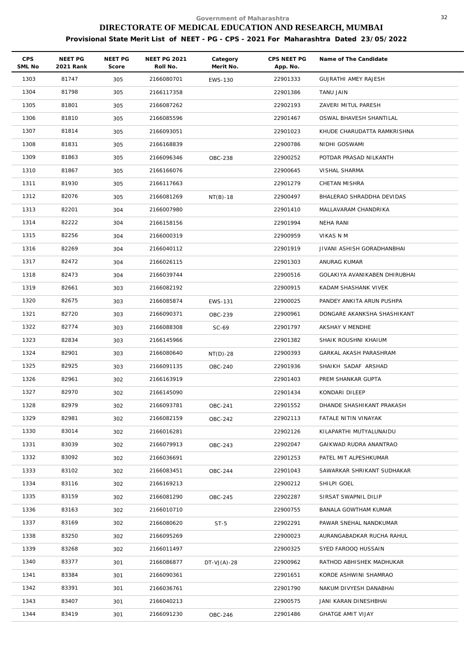| CPS<br>SML No | NEET PG<br>2021 Rank | NEET PG<br>Score | <b>NEET PG 2021</b><br>Roll No. | Category<br>Merit No. | CPS NEET PG<br>App. No. | Name of The Candidate         |
|---------------|----------------------|------------------|---------------------------------|-----------------------|-------------------------|-------------------------------|
| 1303          | 81747                | 305              | 2166080701                      | <b>EWS-130</b>        | 22901333                | GUJRATHI AMEY RAJESH          |
| 1304          | 81798                | 305              | 2166117358                      |                       | 22901386                | TANU JAIN                     |
| 1305          | 81801                | 305              | 2166087262                      |                       | 22902193                | ZAVERI MITUL PARESH           |
| 1306          | 81810                | 305              | 2166085596                      |                       | 22901467                | OSWAL BHAVESH SHANTILAL       |
| 1307          | 81814                | 305              | 2166093051                      |                       | 22901023                | KHUDE CHARUDATTA RAMKRISHNA   |
| 1308          | 81831                | 305              | 2166168839                      |                       | 22900786                | NIDHI GOSWAMI                 |
| 1309          | 81863                | 305              | 2166096346                      | <b>OBC-238</b>        | 22900252                | POTDAR PRASAD NILKANTH        |
| 1310          | 81867                | 305              | 2166166076                      |                       | 22900645                | VISHAL SHARMA                 |
| 1311          | 81930                | 305              | 2166117663                      |                       | 22901279                | CHETAN MISHRA                 |
| 1312          | 82076                | 305              | 2166081269                      | $NT(B)-18$            | 22900497                | BHALERAO SHRADDHA DEVIDAS     |
| 1313          | 82201                | 304              | 2166007980                      |                       | 22901410                | MALLAVARAM CHANDRIKA          |
| 1314          | 82222                | 304              | 2166158156                      |                       | 22901994                | NEHA RANI                     |
| 1315          | 82256                | 304              | 2166000319                      |                       | 22900959                | VIKAS N M                     |
| 1316          | 82269                | 304              | 2166040112                      |                       | 22901919                | JIVANI ASHISH GORADHANBHAI    |
| 1317          | 82472                | 304              | 2166026115                      |                       | 22901303                | ANURAG KUMAR                  |
| 1318          | 82473                | 304              | 2166039744                      |                       | 22900516                | GOLAKIYA AVANIKABEN DHIRUBHAI |
| 1319          | 82661                | 303              | 2166082192                      |                       | 22900915                | KADAM SHASHANK VIVEK          |
| 1320          | 82675                | 303              | 2166085874                      | EWS-131               | 22900025                | PANDEY ANKITA ARUN PUSHPA     |
| 1321          | 82720                | 303              | 2166090371                      | OBC-239               | 22900961                | DONGARE AKANKSHA SHASHIKANT   |
| 1322          | 82774                | 303              | 2166088308                      | $SC-69$               | 22901797                | AKSHAY V MENDHE               |
| 1323          | 82834                | 303              | 2166145966                      |                       | 22901382                | SHAIK ROUSHNI KHAIUM          |
| 1324          | 82901                | 303              | 2166080640                      | $NT(D)-28$            | 22900393                | GARKAL AKASH PARASHRAM        |
| 1325          | 82925                | 303              | 2166091135                      | OBC-240               | 22901936                | SHAIKH SADAF ARSHAD           |
| 1326          | 82961                | 302              | 2166163919                      |                       | 22901403                | PREM SHANKAR GUPTA            |
| 1327          | 82970                | 302              | 2166145090                      |                       | 22901434                | KONDARI DILEEP                |
| 1328          | 82979                | 302              | 2166093781                      | OBC-241               | 22901552                | DHANDE SHASHIKANT PRAKASH     |
| 1329          | 82981                | 302              | 2166082159                      | OBC-242               | 22902113                | FATALE NITIN VINAYAK          |
| 1330          | 83014                | 302              | 2166016281                      |                       | 22902126                | KILAPARTHI MUTYALUNAIDU       |
| 1331          | 83039                | 302              | 2166079913                      | OBC-243               | 22902047                | GAIKWAD RUDRA ANANTRAO        |
| 1332          | 83092                | 302              | 2166036691                      |                       | 22901253                | PATEL MIT ALPESHKUMAR         |
| 1333          | 83102                | 302              | 2166083451                      | OBC-244               | 22901043                | SAWARKAR SHRIKANT SUDHAKAR    |
| 1334          | 83116                | 302              | 2166169213                      |                       | 22900212                | SHILPI GOEL                   |
| 1335          | 83159                | 302              | 2166081290                      | OBC-245               | 22902287                | SIRSAT SWAPNIL DILIP          |
| 1336          | 83163                | 302              | 2166010710                      |                       | 22900755                | BANALA GOWTHAM KUMAR          |
| 1337          | 83169                | 302              | 2166080620                      | $ST-5$                | 22902291                | PAWAR SNEHAL NANDKUMAR        |
| 1338          | 83250                | 302              | 2166095269                      |                       | 22900023                | AURANGABADKAR RUCHA RAHUL     |
| 1339          | 83268                | 302              | 2166011497                      |                       | 22900325                | SYED FAROOQ HUSSAIN           |
| 1340          | 83377                | 301              | 2166086877                      | $DT-VJ(A)-28$         | 22900962                | RATHOD ABHISHEK MADHUKAR      |
| 1341          | 83384                | 301              | 2166090361                      |                       | 22901651                | KORDE ASHWINI SHAMRAO         |
| 1342          | 83391                | 301              | 2166036761                      |                       | 22901790                | NAKUM DIVYESH DANABHAI        |
| 1343          | 83407                | 301              | 2166040213                      |                       | 22900575                | JANI KARAN DINESHBHAI         |
| 1344          | 83419                | 301              | 2166091230                      | OBC-246               | 22901486                | <b>GHATGE AMIT VIJAY</b>      |
|               |                      |                  |                                 |                       |                         |                               |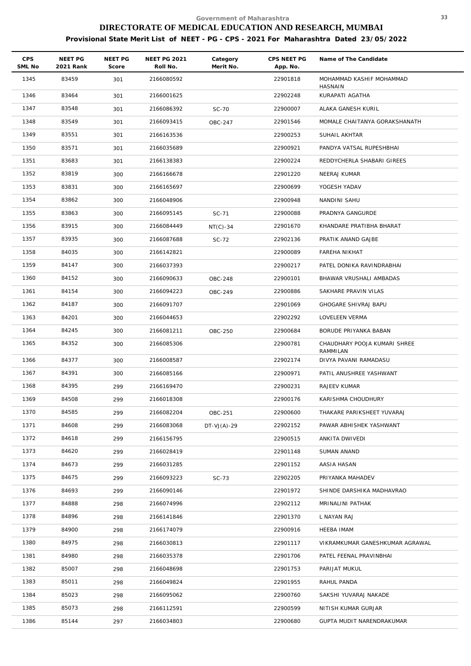| <b>CPS</b><br>SML No | NEET PG<br>2021 Rank | NEET PG<br>Score | <b>NEET PG 2021</b><br>Roll No. | Category<br>Merit No. | CPS NEET PG<br>App. No. | Name of The Candidate               |
|----------------------|----------------------|------------------|---------------------------------|-----------------------|-------------------------|-------------------------------------|
| 1345                 | 83459                | 301              | 2166080592                      |                       | 22901818                | MOHAMMAD KASHIF MOHAMMAD<br>HASNAIN |
| 1346                 | 83464                | 301              | 2166001625                      |                       | 22902248                | KURAPATI AGATHA                     |
| 1347                 | 83548                | 301              | 2166086392                      | SC-70                 | 22900007                | ALAKA GANESH KURIL                  |
| 1348                 | 83549                | 301              | 2166093415                      | OBC-247               | 22901546                | MOMALE CHAITANYA GORAKSHANATH       |
| 1349                 | 83551                | 301              | 2166163536                      |                       | 22900253                | SUHAIL AKHTAR                       |
| 1350                 | 83571                | 301              | 2166035689                      |                       | 22900921                | PANDYA VATSAL RUPESHBHAI            |
| 1351                 | 83683                | 301              | 2166138383                      |                       | 22900224                | REDDYCHERLA SHABARI GIREES          |
| 1352                 | 83819                | 300              | 2166166678                      |                       | 22901220                | NEERAJ KUMAR                        |
| 1353                 | 83831                | 300              | 2166165697                      |                       | 22900699                | YOGESH YADAV                        |
| 1354                 | 83862                | 300              | 2166048906                      |                       | 22900948                | NANDINI SAHU                        |
| 1355                 | 83863                | 300              | 2166095145                      | SC-71                 | 22900088                | PRADNYA GANGURDE                    |
| 1356                 | 83915                | 300              | 2166084449                      | $NT(C)-34$            | 22901670                | KHANDARE PRATIBHA BHARAT            |
| 1357                 | 83935                | 300              | 2166087688                      | SC-72                 | 22902136                | PRATIK ANAND GAJBE                  |
| 1358                 | 84035                | 300              | 2166142821                      |                       | 22900089                | FAREHA NIKHAT                       |
| 1359                 | 84147                | 300              | 2166037393                      |                       | 22900217                | PATEL DONIKA RAVINDRABHAI           |
| 1360                 | 84152                | 300              | 2166090633                      | OBC-248               | 22900101                | BHAWAR VRUSHALI AMBADAS             |
| 1361                 | 84154                | 300              | 2166094223                      | OBC-249               | 22900886                | SAKHARE PRAVIN VILAS                |
| 1362                 | 84187                | 300              | 2166091707                      |                       | 22901069                | GHOGARE SHIVRAJ BAPU                |
| 1363                 | 84201                | 300              | 2166044653                      |                       | 22902292                | LOVELEEN VERMA                      |
| 1364                 | 84245                | 300              | 2166081211                      | OBC-250               | 22900684                | BORUDE PRIYANKA BABAN               |
| 1365                 | 84352                | 300              | 2166085306                      |                       | 22900781                | CHAUDHARY POOJA KUMARI SHREE        |
| 1366                 | 84377                | 300              | 2166008587                      |                       | 22902174                | RAMMILAN<br>DIVYA PAVANI RAMADASU   |
| 1367                 | 84391                | 300              | 2166085166                      |                       | 22900971                | PATIL ANUSHREE YASHWANT             |
| 1368                 | 84395                | 299              | 2166169470                      |                       | 22900231                | RAJEEV KUMAR                        |
| 1369                 | 84508                | 299              | 2166018308                      |                       | 22900176                | KARISHMA CHOUDHURY                  |
| 1370                 | 84585                | 299              | 2166082204                      | OBC-251               | 22900600                | THAKARE PARIKSHEET YUVARAJ          |
| 1371                 | 84608                | 299              | 2166083068                      | $DT-VJ(A)-29$         | 22902152                | PAWAR ABHISHEK YASHWANT             |
| 1372                 | 84618                | 299              | 2166156795                      |                       | 22900515                | ANKITA DWIVEDI                      |
| 1373                 | 84620                | 299              | 2166028419                      |                       | 22901148                | <b>SUMAN ANAND</b>                  |
| 1374                 | 84673                | 299              | 2166031285                      |                       | 22901152                | AASIA HASAN                         |
| 1375                 | 84675                | 299              | 2166093223                      | $SC-73$               | 22902205                | PRIYANKA MAHADEV                    |
| 1376                 | 84693                | 299              | 2166090146                      |                       | 22901972                | SHINDE DARSHIKA MADHAVRAO           |
| 1377                 | 84888                | 298              | 2166074996                      |                       | 22902112                | MRINALINI PATHAK                    |
| 1378                 | 84896                | 298              | 2166141846                      |                       | 22901370                | L NAYAN RAJ                         |
| 1379                 | 84900                | 298              | 2166174079                      |                       | 22900916                | HEEBA IMAM                          |
| 1380                 | 84975                | 298              | 2166030813                      |                       | 22901117                | VIKRAMKUMAR GANESHKUMAR AGRAWAL     |
| 1381                 | 84980                | 298              | 2166035378                      |                       | 22901706                | PATEL FEENAL PRAVINBHAI             |
| 1382                 | 85007                | 298              | 2166048698                      |                       | 22901753                | PARIJAT MUKUL                       |
| 1383                 | 85011                | 298              | 2166049824                      |                       | 22901955                | RAHUL PANDA                         |
| 1384                 | 85023                | 298              | 2166095062                      |                       | 22900760                | SAKSHI YUVARAJ NAKADE               |
| 1385                 | 85073                | 298              | 2166112591                      |                       | 22900599                | NITISH KUMAR GURJAR                 |
| 1386                 | 85144                | 297              | 2166034803                      |                       | 22900680                | GUPTA MUDIT NARENDRAKUMAR           |
|                      |                      |                  |                                 |                       |                         |                                     |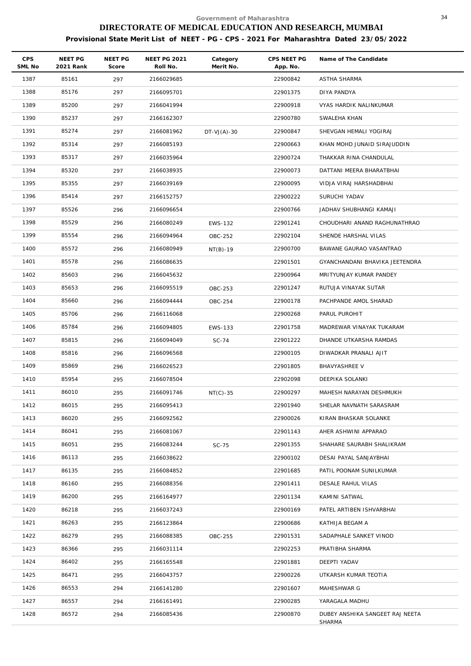| <b>CPS</b><br>SML No | NEET PG<br>2021 Rank | NEET PG<br>Score | <b>NEET PG 2021</b><br>Roll No. | Category<br>Merit No. | CPS NEET PG<br>App. No. | Name of The Candidate           |
|----------------------|----------------------|------------------|---------------------------------|-----------------------|-------------------------|---------------------------------|
| 1387                 | 85161                | 297              | 2166029685                      |                       | 22900842                | ASTHA SHARMA                    |
| 1388                 | 85176                | 297              | 2166095701                      |                       | 22901375                | DIYA PANDYA                     |
| 1389                 | 85200                | 297              | 2166041994                      |                       | 22900918                | VYAS HARDIK NALINKUMAR          |
| 1390                 | 85237                | 297              | 2166162307                      |                       | 22900780                | SWALEHA KHAN                    |
| 1391                 | 85274                | 297              | 2166081962                      | $DT-VJ(A)-30$         | 22900847                | SHEVGAN HEMALI YOGIRAJ          |
| 1392                 | 85314                | 297              | 2166085193                      |                       | 22900663                | KHAN MOHD JUNAID SIRAJUDDIN     |
| 1393                 | 85317                | 297              | 2166035964                      |                       | 22900724                | THAKKAR RINA CHANDULAL          |
| 1394                 | 85320                | 297              | 2166038935                      |                       | 22900073                | DATTANI MEERA BHARATBHAI        |
| 1395                 | 85355                | 297              | 2166039169                      |                       | 22900095                | VIDJA VIRAJ HARSHADBHAI         |
| 1396                 | 85414                | 297              | 2166152757                      |                       | 22900222                | SURUCHI YADAV                   |
| 1397                 | 85526                | 296              | 2166096654                      |                       | 22900766                | JADHAV SHUBHANGI KAMAJI         |
| 1398                 | 85529                | 296              | 2166080249                      | EWS-132               | 22901241                | CHOUDHARI ANAND RAGHUNATHRAO    |
| 1399                 | 85554                | 296              | 2166094964                      | OBC-252               | 22902104                | SHENDE HARSHAL VILAS            |
| 1400                 | 85572                | 296              | 2166080949                      | $NT(B)-19$            | 22900700                | BAWANE GAURAO VASANTRAO         |
| 1401                 | 85578                | 296              | 2166086635                      |                       | 22901501                | GYANCHANDANI BHAVIKA JEETENDRA  |
| 1402                 | 85603                | 296              | 2166045632                      |                       | 22900964                | MRITYUNJAY KUMAR PANDEY         |
| 1403                 | 85653                | 296              | 2166095519                      | OBC-253               | 22901247                | RUTUJA VINAYAK SUTAR            |
| 1404                 | 85660                | 296              | 2166094444                      | OBC-254               | 22900178                | PACHPANDE AMOL SHARAD           |
| 1405                 | 85706                | 296              | 2166116068                      |                       | 22900268                | PARUL PUROHIT                   |
| 1406                 | 85784                | 296              | 2166094805                      | EWS-133               | 22901758                | MADREWAR VINAYAK TUKARAM        |
| 1407                 | 85815                | 296              | 2166094049                      | SC-74                 | 22901222                | DHANDE UTKARSHA RAMDAS          |
| 1408                 | 85816                | 296              | 2166096568                      |                       | 22900105                | DIWADKAR PRANALI AJIT           |
| 1409                 | 85869                | 296              | 2166026523                      |                       | 22901805                | BHAVYASHREE V                   |
| 1410                 | 85954                | 295              | 2166078504                      |                       | 22902098                | DEEPIKA SOLANKI                 |
| 1411                 | 86010                | 295              | 2166091746                      | $NT(C) - 35$          | 22900297                | MAHESH NARAYAN DESHMUKH         |
| 1412                 | 86015                | 295              | 2166095413                      |                       | 22901940                | SHELAR NAVNATH SARASRAM         |
| 1413                 | 86020                | 295              | 2166092562                      |                       | 22900026                | KIRAN BHASKAR SOLANKE           |
| 1414                 | 86041                | 295              | 2166081067                      |                       | 22901143                | AHER ASHWINI APPARAO            |
| 1415                 | 86051                | 295              | 2166083244                      | SC-75                 | 22901355                | SHAHARE SAURABH SHALIKRAM       |
| 1416                 | 86113                | 295              | 2166038622                      |                       | 22900102                | DESAI PAYAL SANJAYBHAI          |
| 1417                 | 86135                | 295              | 2166084852                      |                       | 22901685                | PATIL POONAM SUNILKUMAR         |
| 1418                 | 86160                | 295              | 2166088356                      |                       | 22901411                | DESALE RAHUL VILAS              |
| 1419                 | 86200                | 295              | 2166164977                      |                       | 22901134                | KAMINI SATWAL                   |
| 1420                 | 86218                | 295              | 2166037243                      |                       | 22900169                | PATEL ARTIBEN ISHVARBHAI        |
| 1421                 | 86263                | 295              | 2166123864                      |                       | 22900686                | KATHIJA BEGAM A                 |
| 1422                 | 86279                | 295              | 2166088385                      | OBC-255               | 22901531                | SADAPHALE SANKET VINOD          |
| 1423                 | 86366                | 295              | 2166031114                      |                       | 22902253                | PRATIBHA SHARMA                 |
| 1424                 | 86402                | 295              | 2166165548                      |                       | 22901881                | DEEPTI YADAV                    |
| 1425                 | 86471                | 295              | 2166043757                      |                       | 22900226                | UTKARSH KUMAR TEOTIA            |
| 1426                 | 86553                | 294              | 2166141280                      |                       | 22901607                | MAHESHWAR G                     |
| 1427                 | 86557                | 294              | 2166161491                      |                       | 22900285                | YARAGALA MADHU                  |
| 1428                 | 86572                | 294              | 2166085436                      |                       | 22900870                | DUBEY ANSHIKA SANGEET RAJ NEETA |
|                      |                      |                  |                                 |                       |                         | SHARMA                          |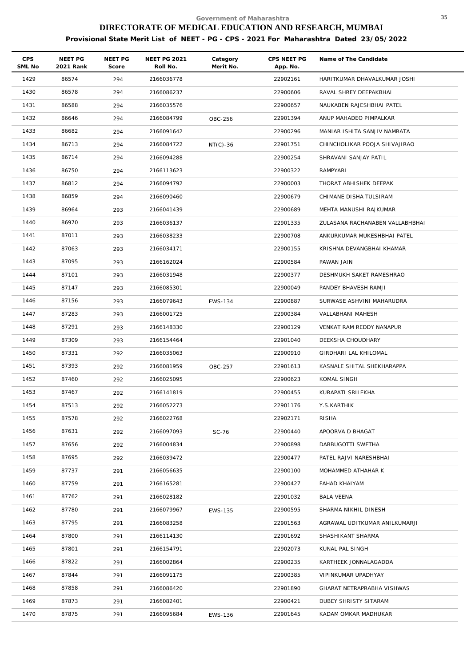| <b>CPS</b><br>SML No | NEET PG<br>2021 Rank | <b>NEET PG</b><br>Score | <b>NEET PG 2021</b><br>Roll No. | Category<br>Merit No. | CPS NEET PG<br>App. No. | Name of The Candidate           |
|----------------------|----------------------|-------------------------|---------------------------------|-----------------------|-------------------------|---------------------------------|
| 1429                 | 86574                | 294                     | 2166036778                      |                       | 22902161                | HARITKUMAR DHAVALKUMAR JOSHI    |
| 1430                 | 86578                | 294                     | 2166086237                      |                       | 22900606                | RAVAL SHREY DEEPAKBHAI          |
| 1431                 | 86588                | 294                     | 2166035576                      |                       | 22900657                | NAUKABEN RAJESHBHAI PATEL       |
| 1432                 | 86646                | 294                     | 2166084799                      | OBC-256               | 22901394                | ANUP MAHADEO PIMPALKAR          |
| 1433                 | 86682                | 294                     | 2166091642                      |                       | 22900296                | MANIAR ISHITA SANJIV NAMRATA    |
| 1434                 | 86713                | 294                     | 2166084722                      | $NT(C)-36$            | 22901751                | CHINCHOLIKAR POOJA SHIVAJIRAO   |
| 1435                 | 86714                | 294                     | 2166094288                      |                       | 22900254                | SHRAVANI SANJAY PATIL           |
| 1436                 | 86750                | 294                     | 2166113623                      |                       | 22900322                | RAMPYARI                        |
| 1437                 | 86812                | 294                     | 2166094792                      |                       | 22900003                | THORAT ABHISHEK DEEPAK          |
| 1438                 | 86859                | 294                     | 2166090460                      |                       | 22900679                | CHIMANE DISHA TULSIRAM          |
| 1439                 | 86964                | 293                     | 2166041439                      |                       | 22900689                | MEHTA MANUSHI RAJKUMAR          |
| 1440                 | 86970                | 293                     | 2166036137                      |                       | 22901335                | ZULASANA RACHANABEN VALLABHBHAI |
| 1441                 | 87011                | 293                     | 2166038233                      |                       | 22900708                | ANKURKUMAR MUKESHBHAI PATEL     |
| 1442                 | 87063                | 293                     | 2166034171                      |                       | 22900155                | KRISHNA DEVANGBHAI KHAMAR       |
| 1443                 | 87095                | 293                     | 2166162024                      |                       | 22900584                | PAWAN JAIN                      |
| 1444                 | 87101                | 293                     | 2166031948                      |                       | 22900377                | DESHMUKH SAKET RAMESHRAO        |
| 1445                 | 87147                | 293                     | 2166085301                      |                       | 22900049                | PANDEY BHAVESH RAMJI            |
| 1446                 | 87156                | 293                     | 2166079643                      | EWS-134               | 22900887                | SURWASE ASHVINI MAHARUDRA       |
| 1447                 | 87283                | 293                     | 2166001725                      |                       | 22900384                | VALLABHANI MAHESH               |
| 1448                 | 87291                | 293                     | 2166148330                      |                       | 22900129                | VENKAT RAM REDDY NANAPUR        |
| 1449                 | 87309                | 293                     | 2166154464                      |                       | 22901040                | DEEKSHA CHOUDHARY               |
| 1450                 | 87331                | 292                     | 2166035063                      |                       | 22900910                | GIRDHARI LAL KHILOMAL           |
| 1451                 | 87393                | 292                     | 2166081959                      | OBC-257               | 22901613                | KASNALE SHITAL SHEKHARAPPA      |
| 1452                 | 87460                | 292                     | 2166025095                      |                       | 22900623                | KOMAL SINGH                     |
| 1453                 | 87467                | 292                     | 2166141819                      |                       | 22900455                | KURAPATI SRILEKHA               |
| 1454                 | 87513                | 292                     | 2166052273                      |                       | 22901176                | Y.S.KARTHIK                     |
| 1455                 | 87578                | 292                     | 2166022768                      |                       | 22902171                | <b>RISHA</b>                    |
| 1456                 | 87631                | 292                     | 2166097093                      | SC-76                 | 22900440                | APOORVA D BHAGAT                |
| 1457                 | 87656                | 292                     | 2166004834                      |                       | 22900898                | DABBUGOTTI SWETHA               |
| 1458                 | 87695                | 292                     | 2166039472                      |                       | 22900477                | PATEL RAJVI NARESHBHAI          |
| 1459                 | 87737                | 291                     | 2166056635                      |                       | 22900100                | MOHAMMED ATHAHAR K              |
| 1460                 | 87759                | 291                     | 2166165281                      |                       | 22900427                | FAHAD KHAIYAM                   |
| 1461                 | 87762                | 291                     | 2166028182                      |                       | 22901032                | <b>BALA VEENA</b>               |
| 1462                 | 87780                | 291                     | 2166079967                      | EWS-135               | 22900595                | SHARMA NIKHIL DINESH            |
| 1463                 | 87795                | 291                     | 2166083258                      |                       | 22901563                | AGRAWAL UDITKUMAR ANILKUMARJI   |
| 1464                 | 87800                | 291                     | 2166114130                      |                       | 22901692                | SHASHIKANT SHARMA               |
| 1465                 | 87801                | 291                     | 2166154791                      |                       | 22902073                | KUNAL PAL SINGH                 |
| 1466                 | 87822                | 291                     | 2166002864                      |                       | 22900235                | KARTHEEK JONNALAGADDA           |
| 1467                 | 87844                | 291                     | 2166091175                      |                       | 22900385                | VIPINKUMAR UPADHYAY             |
| 1468                 | 87858                | 291                     | 2166086420                      |                       | 22901890                | GHARAT NETRAPRABHA VISHWAS      |
| 1469                 | 87873                | 291                     | 2166082401                      |                       | 22900421                | DUBEY SHRISTY SITARAM           |
| 1470                 | 87875                | 291                     | 2166095684                      | EWS-136               | 22901645                | KADAM OMKAR MADHUKAR            |
|                      |                      |                         |                                 |                       |                         |                                 |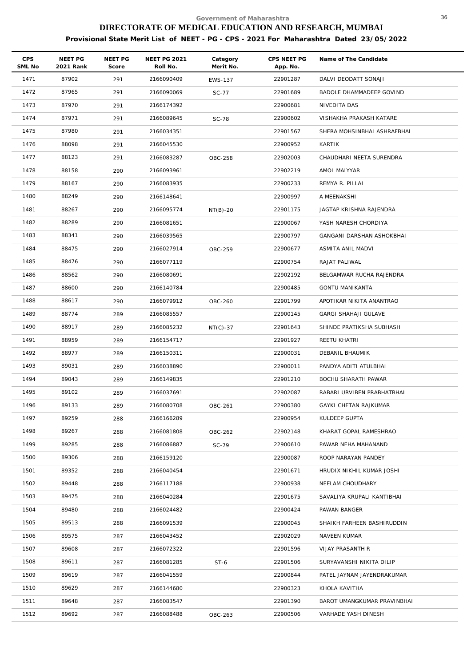| CPS<br>SML No | NEET PG<br>2021 Rank | <b>NEET PG</b><br>Score | <b>NEET PG 2021</b><br>Roll No. | Category<br>Merit No. | CPS NEET PG<br>App. No. | Name of The Candidate       |
|---------------|----------------------|-------------------------|---------------------------------|-----------------------|-------------------------|-----------------------------|
| 1471          | 87902                | 291                     | 2166090409                      | <b>EWS-137</b>        | 22901287                | DALVI DEODATT SONAJI        |
| 1472          | 87965                | 291                     | 2166090069                      | SC-77                 | 22901689                | BADOLE DHAMMADEEP GOVIND    |
| 1473          | 87970                | 291                     | 2166174392                      |                       | 22900681                | NIVEDITA DAS                |
| 1474          | 87971                | 291                     | 2166089645                      | <b>SC-78</b>          | 22900602                | VISHAKHA PRAKASH KATARE     |
| 1475          | 87980                | 291                     | 2166034351                      |                       | 22901567                | SHERA MOHSINBHAI ASHRAFBHAI |
| 1476          | 88098                | 291                     | 2166045530                      |                       | 22900952                | KARTIK                      |
| 1477          | 88123                | 291                     | 2166083287                      | OBC-258               | 22902003                | CHAUDHARI NEETA SURENDRA    |
| 1478          | 88158                | 290                     | 2166093961                      |                       | 22902219                | AMOL MAIYYAR                |
| 1479          | 88167                | 290                     | 2166083935                      |                       | 22900233                | REMYA R. PILLAI             |
| 1480          | 88249                | 290                     | 2166148641                      |                       | 22900997                | A MEENAKSHI                 |
| 1481          | 88267                | 290                     | 2166095774                      | $NT(B)-20$            | 22901175                | JAGTAP KRISHNA RAJENDRA     |
| 1482          | 88289                | 290                     | 2166081651                      |                       | 22900067                | YASH NARESH CHORDIYA        |
| 1483          | 88341                | 290                     | 2166039565                      |                       | 22900797                | GANGANI DARSHAN ASHOKBHAI   |
| 1484          | 88475                | 290                     | 2166027914                      | OBC-259               | 22900677                | ASMITA ANIL MADVI           |
| 1485          | 88476                | 290                     | 2166077119                      |                       | 22900754                | RAJAT PALIWAL               |
| 1486          | 88562                | 290                     | 2166080691                      |                       | 22902192                | BELGAMWAR RUCHA RAJENDRA    |
| 1487          | 88600                | 290                     | 2166140784                      |                       | 22900485                | <b>GONTU MANIKANTA</b>      |
| 1488          | 88617                | 290                     | 2166079912                      | OBC-260               | 22901799                | APOTIKAR NIKITA ANANTRAO    |
| 1489          | 88774                | 289                     | 2166085557                      |                       | 22900145                | <b>GARGI SHAHAJI GULAVE</b> |
| 1490          | 88917                | 289                     | 2166085232                      | $NT(C)-37$            | 22901643                | SHINDE PRATIKSHA SUBHASH    |
| 1491          | 88959                | 289                     | 2166154717                      |                       | 22901927                | REETU KHATRI                |
| 1492          | 88977                | 289                     | 2166150311                      |                       | 22900031                | DEBANIL BHAUMIK             |
| 1493          | 89031                | 289                     | 2166038890                      |                       | 22900011                | PANDYA ADITI ATULBHAI       |
| 1494          | 89043                | 289                     | 2166149835                      |                       | 22901210                | BOCHU SHARATH PAWAR         |
| 1495          | 89102                | 289                     | 2166037691                      |                       | 22902087                | RABARI URVIBEN PRABHATBHAI  |
| 1496          | 89133                | 289                     | 2166080708                      | OBC-261               | 22900380                | GAYKI CHETAN RAJKUMAR       |
| 1497          | 89259                | 288                     | 2166166289                      |                       | 22900954                | KULDEEP GUPTA               |
| 1498          | 89267                | 288                     | 2166081808                      | OBC-262               | 22902148                | KHARAT GOPAL RAMESHRAO      |
| 1499          | 89285                | 288                     | 2166086887                      | SC-79                 | 22900610                | PAWAR NEHA MAHANAND         |
| 1500          | 89306                | 288                     | 2166159120                      |                       | 22900087                | ROOP NARAYAN PANDEY         |
| 1501          | 89352                | 288                     | 2166040454                      |                       | 22901671                | HRUDIX NIKHIL KUMAR JOSHI   |
| 1502          | 89448                | 288                     | 2166117188                      |                       | 22900938                | NEELAM CHOUDHARY            |
| 1503          | 89475                | 288                     | 2166040284                      |                       | 22901675                | SAVALIYA KRUPALI KANTIBHAI  |
| 1504          | 89480                | 288                     | 2166024482                      |                       | 22900424                | PAWAN BANGER                |
| 1505          | 89513                | 288                     | 2166091539                      |                       | 22900045                | SHAIKH FARHEEN BASHIRUDDIN  |
| 1506          | 89575                | 287                     | 2166043452                      |                       | 22902029                | NAVEEN KUMAR                |
| 1507          | 89608                | 287                     | 2166072322                      |                       | 22901596                | VIJAY PRASANTH R            |
| 1508          | 89611                | 287                     | 2166081285                      | $ST-6$                | 22901506                | SURYAVANSHI NIKITA DILIP    |
| 1509          | 89619                | 287                     | 2166041559                      |                       | 22900844                | PATEL JAYNAM JAYENDRAKUMAR  |
| 1510          | 89629                | 287                     | 2166144680                      |                       | 22900323                | KHOLA KAVITHA               |
| 1511          | 89648                | 287                     | 2166083547                      |                       | 22901390                | BAROT UMANGKUMAR PRAVINBHAI |
| 1512          | 89692                | 287                     | 2166088488                      | OBC-263               | 22900506                | VARHADE YASH DINESH         |
|               |                      |                         |                                 |                       |                         |                             |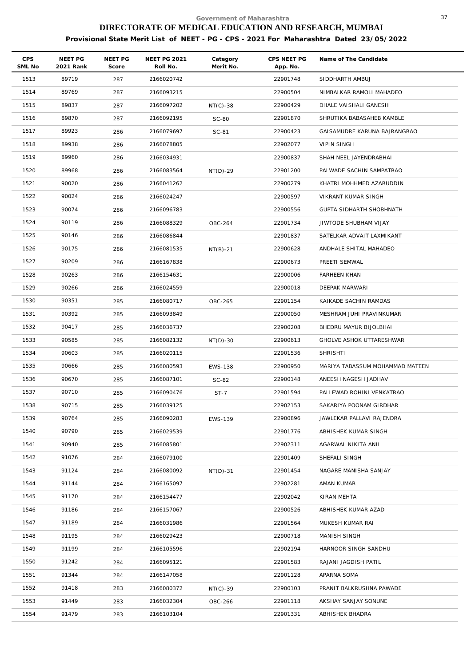| <b>CPS</b><br>SML No | NEET PG<br>2021 Rank | NEET PG<br>Score | <b>NEET PG 2021</b><br>Roll No. | Category<br>Merit No. | CPS NEET PG<br>App. No. | Name of The Candidate           |
|----------------------|----------------------|------------------|---------------------------------|-----------------------|-------------------------|---------------------------------|
| 1513                 | 89719                | 287              | 2166020742                      |                       | 22901748                | SIDDHARTH AMBUJ                 |
| 1514                 | 89769                | 287              | 2166093215                      |                       | 22900504                | NIMBALKAR RAMOLI MAHADEO        |
| 1515                 | 89837                | 287              | 2166097202                      | $NT(C)-38$            | 22900429                | DHALE VAISHALI GANESH           |
| 1516                 | 89870                | 287              | 2166092195                      | <b>SC-80</b>          | 22901870                | SHRUTIKA BABASAHEB KAMBLE       |
| 1517                 | 89923                | 286              | 2166079697                      | SC-81                 | 22900423                | GAISAMUDRE KARUNA BAJRANGRAO    |
| 1518                 | 89938                | 286              | 2166078805                      |                       | 22902077                | <b>VIPIN SINGH</b>              |
| 1519                 | 89960                | 286              | 2166034931                      |                       | 22900837                | SHAH NEEL JAYENDRABHAI          |
| 1520                 | 89968                | 286              | 2166083564                      | $NT(D)-29$            | 22901200                | PALWADE SACHIN SAMPATRAO        |
| 1521                 | 90020                | 286              | 2166041262                      |                       | 22900279                | KHATRI MOHHMED AZARUDDIN        |
| 1522                 | 90024                | 286              | 2166024247                      |                       | 22900597                | VIKRANT KUMAR SINGH             |
| 1523                 | 90074                | 286              | 2166096783                      |                       | 22900556                | GUPTA SIDHARTH SHOBHNATH        |
| 1524                 | 90119                | 286              | 2166088329                      | OBC-264               | 22901734                | JIWTODE SHUBHAM VIJAY           |
| 1525                 | 90146                | 286              | 2166086844                      |                       | 22901837                | SATELKAR ADVAIT LAXMIKANT       |
| 1526                 | 90175                | 286              | 2166081535                      | $NT(B)-21$            | 22900628                | ANDHALE SHITAL MAHADEO          |
| 1527                 | 90209                | 286              | 2166167838                      |                       | 22900673                | PREETI SEMWAL                   |
| 1528                 | 90263                | 286              | 2166154631                      |                       | 22900006                | <b>FARHEEN KHAN</b>             |
| 1529                 | 90266                | 286              | 2166024559                      |                       | 22900018                | DEEPAK MARWARI                  |
| 1530                 | 90351                | 285              | 2166080717                      | OBC-265               | 22901154                | KAIKADE SACHIN RAMDAS           |
| 1531                 | 90392                | 285              | 2166093849                      |                       | 22900050                | MESHRAM JUHI PRAVINKUMAR        |
| 1532                 | 90417                | 285              | 2166036737                      |                       | 22900208                | BHEDRU MAYUR BIJOLBHAI          |
| 1533                 | 90585                | 285              | 2166082132                      | $NT(D)-30$            | 22900613                | GHOLVE ASHOK UTTARESHWAR        |
| 1534                 | 90603                | 285              | 2166020115                      |                       | 22901536                | <b>SHRISHTI</b>                 |
| 1535                 | 90666                | 285              | 2166080593                      | EWS-138               | 22900950                | MARIYA TABASSUM MOHAMMAD MATEEN |
| 1536                 | 90670                | 285              | 2166087101                      | SC-82                 | 22900148                | ANEESH NAGESH JADHAV            |
| 1537                 | 90710                | 285              | 2166090476                      | $ST-7$                | 22901594                | PALLEWAD ROHINI VENKATRAO       |
| 1538                 | 90715                | 285              | 2166039125                      |                       | 22902153                | SAKARIYA POONAM GIRDHAR         |
| 1539                 | 90764                | 285              | 2166090283                      | EWS-139               | 22900896                | JAWLEKAR PALLAVI RAJENDRA       |
| 1540                 | 90790                | 285              | 2166029539                      |                       | 22901776                | ABHISHEK KUMAR SINGH            |
| 1541                 | 90940                | 285              | 2166085801                      |                       | 22902311                | AGARWAL NIKITA ANIL             |
| 1542                 | 91076                | 284              | 2166079100                      |                       | 22901409                | SHEFALI SINGH                   |
| 1543                 | 91124                | 284              | 2166080092                      | $NT(D)-31$            | 22901454                | NAGARE MANISHA SANJAY           |
| 1544                 | 91144                | 284              | 2166165097                      |                       | 22902281                | AMAN KUMAR                      |
| 1545                 | 91170                | 284              | 2166154477                      |                       | 22902042                | KIRAN MEHTA                     |
| 1546                 | 91186                | 284              | 2166157067                      |                       | 22900526                | ABHISHEK KUMAR AZAD             |
| 1547                 | 91189                | 284              | 2166031986                      |                       | 22901564                | MUKESH KUMAR RAI                |
| 1548                 | 91195                | 284              | 2166029423                      |                       | 22900718                | MANISH SINGH                    |
| 1549                 | 91199                | 284              | 2166105596                      |                       | 22902194                | HARNOOR SINGH SANDHU            |
| 1550                 | 91242                | 284              | 2166095121                      |                       | 22901583                | RAJANI JAGDISH PATIL            |
| 1551                 | 91344                | 284              | 2166147058                      |                       | 22901128                | APARNA SOMA                     |
| 1552                 | 91418                | 283              | 2166080372                      | $NT(C)-39$            | 22900103                | PRANIT BALKRUSHNA PAWADE        |
| 1553                 | 91449                | 283              | 2166032304                      | OBC-266               | 22901118                | AKSHAY SANJAY SONUNE            |
| 1554                 | 91479                | 283              | 2166103104                      |                       | 22901331                | ABHISHEK BHADRA                 |
|                      |                      |                  |                                 |                       |                         |                                 |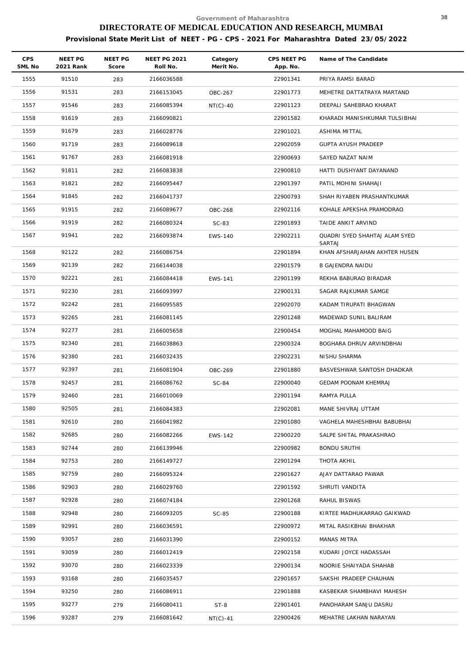| <b>CPS</b><br>SML No | NEET PG<br>2021 Rank | NEET PG<br>Score | <b>NEET PG 2021</b><br>Roll No. | Category<br>Merit No. | CPS NEET PG<br>App. No. | Name of The Candidate                          |
|----------------------|----------------------|------------------|---------------------------------|-----------------------|-------------------------|------------------------------------------------|
| 1555                 | 91510                | 283              | 2166036588                      |                       | 22901341                | PRIYA RAMSI BARAD                              |
| 1556                 | 91531                | 283              | 2166153045                      | OBC-267               | 22901773                | MEHETRE DATTATRAYA MARTAND                     |
| 1557                 | 91546                | 283              | 2166085394                      | $NT(C)-40$            | 22901123                | DEEPALI SAHEBRAO KHARAT                        |
| 1558                 | 91619                | 283              | 2166090821                      |                       | 22901582                | KHARADI MANISHKUMAR TULSIBHAI                  |
| 1559                 | 91679                | 283              | 2166028776                      |                       | 22901021                | ASHIMA MITTAL                                  |
| 1560                 | 91719                | 283              | 2166089618                      |                       | 22902059                | GUPTA AYUSH PRADEEP                            |
| 1561                 | 91767                | 283              | 2166081918                      |                       | 22900693                | SAYED NAZAT NAIM                               |
| 1562                 | 91811                | 282              | 2166083838                      |                       | 22900810                | HATTI DUSHYANT DAYANAND                        |
| 1563                 | 91821                | 282              | 2166095447                      |                       | 22901397                | PATIL MOHINI SHAHAJI                           |
| 1564                 | 91845                | 282              | 2166041737                      |                       | 22900793                | SHAH RIYABEN PRASHANTKUMAR                     |
| 1565                 | 91915                | 282              | 2166089677                      | OBC-268               | 22902116                | KOHALE APEKSHA PRAMODRAO                       |
| 1566                 | 91919                | 282              | 2166080324                      | $SC-83$               | 22901893                | TAIDE ANKIT ARVIND                             |
| 1567                 | 91941                | 282              | 2166093874                      | <b>EWS-140</b>        | 22902211                | QUADRI SYED SHAHTAJ ALAM SYED                  |
| 1568                 | 92122                | 282              | 2166086754                      |                       | 22901894                | <b>SARTAJ</b><br>KHAN AFSHARJAHAN AKHTER HUSEN |
| 1569                 | 92139                | 282              | 2166144038                      |                       | 22901579                | B GAJENDRA NAIDU                               |
| 1570                 | 92221                | 281              | 2166084418                      | EWS-141               | 22901199                | REKHA BABURAO BIRADAR                          |
| 1571                 | 92230                | 281              | 2166093997                      |                       | 22900131                | SAGAR RAJKUMAR SAMGE                           |
| 1572                 | 92242                | 281              | 2166095585                      |                       | 22902070                | KADAM TIRUPATI BHAGWAN                         |
| 1573                 | 92265                | 281              | 2166081145                      |                       | 22901248                | MADEWAD SUNIL BALIRAM                          |
| 1574                 | 92277                | 281              | 2166005658                      |                       | 22900454                | MOGHAL MAHAMOOD BAIG                           |
| 1575                 | 92340                | 281              | 2166038863                      |                       | 22900324                | BOGHARA DHRUV ARVINDBHAI                       |
| 1576                 | 92380                | 281              | 2166032435                      |                       | 22902231                | NISHU SHARMA                                   |
| 1577                 | 92397                | 281              | 2166081904                      | OBC-269               | 22901880                | BASVESHWAR SANTOSH DHADKAR                     |
| 1578                 | 92457                | 281              | 2166086762                      | SC-84                 | 22900040                | <b>GEDAM POONAM KHEMRAJ</b>                    |
| 1579                 | 92460                | 281              | 2166010069                      |                       | 22901194                | RAMYA PULLA                                    |
| 1580                 | 92505                | 281              | 2166084383                      |                       | 22902081                | MANE SHIVRAJ UTTAM                             |
| 1581                 | 92610                | 280              | 2166041982                      |                       | 22901080                | VAGHELA MAHESHBHAI BABUBHAI                    |
| 1582                 | 92685                | 280              | 2166082266                      | EWS-142               | 22900220                | SALPE SHITAL PRAKASHRAO                        |
| 1583                 | 92744                | 280              | 2166139946                      |                       | 22900982                | BONDU SRUTHI                                   |
| 1584                 | 92753                | 280              | 2166149727                      |                       | 22901294                | THOTA AKHIL                                    |
| 1585                 | 92759                | 280              | 2166095324                      |                       | 22901627                | AJAY DATTARAO PAWAR                            |
| 1586                 | 92903                | 280              | 2166029760                      |                       | 22901592                | SHRUTI VANDITA                                 |
| 1587                 | 92928                | 280              | 2166074184                      |                       | 22901268                | RAHUL BISWAS                                   |
| 1588                 | 92948                | 280              | 2166093205                      | SC-85                 | 22900188                | KIRTEE MADHUKARRAO GAIKWAD                     |
| 1589                 | 92991                | 280              | 2166036591                      |                       | 22900972                | MITAL RASIKBHAI BHAKHAR                        |
| 1590                 | 93057                | 280              | 2166031390                      |                       | 22900152                | MANAS MITRA                                    |
| 1591                 | 93059                | 280              | 2166012419                      |                       | 22902158                | KUDARI JOYCE HADASSAH                          |
| 1592                 | 93070                | 280              | 2166023339                      |                       | 22900134                | NOORIE SHAIYADA SHAHAB                         |
| 1593                 | 93168                | 280              | 2166035457                      |                       | 22901657                | SAKSHI PRADEEP CHAUHAN                         |
| 1594                 | 93250                | 280              | 2166086911                      |                       | 22901888                | KASBEKAR SHAMBHAVI MAHESH                      |
| 1595                 | 93277                | 279              | 2166080411                      | $ST-8$                | 22901401                | PANDHARAM SANJU DASRU                          |
| 1596                 | 93287                | 279              | 2166081642                      | $NT(C)-41$            | 22900426                | MEHATRE LAKHAN NARAYAN                         |
|                      |                      |                  |                                 |                       |                         |                                                |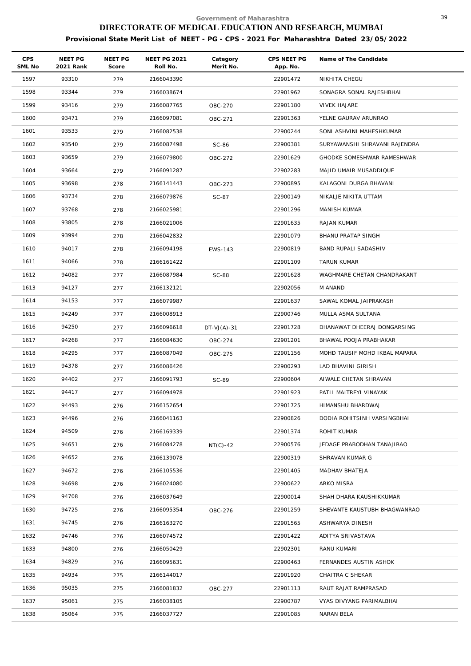| <b>CPS</b><br>SML No | <b>NEET PG</b><br>2021 Rank | NEET PG<br>Score | <b>NEET PG 2021</b><br>Roll No. | Category<br>Merit No. | CPS NEET PG<br>App. No. | Name of The Candidate         |
|----------------------|-----------------------------|------------------|---------------------------------|-----------------------|-------------------------|-------------------------------|
| 1597                 | 93310                       | 279              | 2166043390                      |                       | 22901472                | NIKHITA CHEGU                 |
| 1598                 | 93344                       | 279              | 2166038674                      |                       | 22901962                | SONAGRA SONAL RAJESHBHAI      |
| 1599                 | 93416                       | 279              | 2166087765                      | OBC-270               | 22901180                | <b>VIVEK HAJARE</b>           |
| 1600                 | 93471                       | 279              | 2166097081                      | OBC-271               | 22901363                | YELNE GAURAV ARUNRAO          |
| 1601                 | 93533                       | 279              | 2166082538                      |                       | 22900244                | SONI ASHVINI MAHESHKUMAR      |
| 1602                 | 93540                       | 279              | 2166087498                      | SC-86                 | 22900381                | SURYAWANSHI SHRAVANI RAJENDRA |
| 1603                 | 93659                       | 279              | 2166079800                      | OBC-272               | 22901629                | GHODKE SOMESHWAR RAMESHWAR    |
| 1604                 | 93664                       | 279              | 2166091287                      |                       | 22902283                | MAJID UMAIR MUSADDIQUE        |
| 1605                 | 93698                       | 278              | 2166141443                      | OBC-273               | 22900895                | KALAGONI DURGA BHAVANI        |
| 1606                 | 93734                       | 278              | 2166079876                      | SC-87                 | 22900149                | NIKALJE NIKITA UTTAM          |
| 1607                 | 93768                       | 278              | 2166025981                      |                       | 22901296                | MANISH KUMAR                  |
| 1608                 | 93805                       | 278              | 2166021006                      |                       | 22901635                | RAJAN KUMAR                   |
| 1609                 | 93994                       | 278              | 2166042832                      |                       | 22901079                | BHANU PRATAP SINGH            |
| 1610                 | 94017                       | 278              | 2166094198                      | EWS-143               | 22900819                | BAND RUPALI SADASHIV          |
| 1611                 | 94066                       | 278              | 2166161422                      |                       | 22901109                | TARUN KUMAR                   |
| 1612                 | 94082                       | 277              | 2166087984                      | <b>SC-88</b>          | 22901628                | WAGHMARE CHETAN CHANDRAKANT   |
| 1613                 | 94127                       | 277              | 2166132121                      |                       | 22902056                | M ANAND                       |
| 1614                 | 94153                       | 277              | 2166079987                      |                       | 22901637                | SAWAL KOMAL JAIPRAKASH        |
| 1615                 | 94249                       | 277              | 2166008913                      |                       | 22900746                | MULLA ASMA SULTANA            |
| 1616                 | 94250                       | 277              | 2166096618                      | $DT-VJ(A)-31$         | 22901728                | DHANAWAT DHEERAJ DONGARSING   |
| 1617                 | 94268                       | 277              | 2166084630                      | OBC-274               | 22901201                | BHAWAL POOJA PRABHAKAR        |
| 1618                 | 94295                       | 277              | 2166087049                      | OBC-275               | 22901156                | MOHD TAUSIF MOHD IKBAL MAPARA |
| 1619                 | 94378                       | 277              | 2166086426                      |                       | 22900293                | LAD BHAVINI GIRISH            |
| 1620                 | 94402                       | 277              | 2166091793                      | SC-89                 | 22900604                | AIWALE CHETAN SHRAVAN         |
| 1621                 | 94417                       | 277              | 2166094978                      |                       | 22901923                | PATIL MAITREYI VINAYAK        |
| 1622                 | 94493                       | 276              | 2166152654                      |                       | 22901725                | HIMANSHU BHARDWAJ             |
| 1623                 | 94496                       | 276              | 2166041163                      |                       | 22900826                | DODIA ROHITSINH VARSINGBHAI   |
| 1624                 | 94509                       | 276              | 2166169339                      |                       | 22901374                | ROHIT KUMAR                   |
| 1625                 | 94651                       | 276              | 2166084278                      | $NT(C)-42$            | 22900576                | JEDAGE PRABODHAN TANAJIRAO    |
| 1626                 | 94652                       | 276              | 2166139078                      |                       | 22900319                | SHRAVAN KUMAR G               |
| 1627                 | 94672                       | 276              | 2166105536                      |                       | 22901405                | MADHAV BHATEJA                |
| 1628                 | 94698                       | 276              | 2166024080                      |                       | 22900622                | ARKO MISRA                    |
| 1629                 | 94708                       | 276              | 2166037649                      |                       | 22900014                | SHAH DHARA KAUSHIKKUMAR       |
| 1630                 | 94725                       | 276              | 2166095354                      | OBC-276               | 22901259                | SHEVANTE KAUSTUBH BHAGWANRAO  |
| 1631                 | 94745                       | 276              | 2166163270                      |                       | 22901565                | ASHWARYA DINESH               |
| 1632                 | 94746                       | 276              | 2166074572                      |                       | 22901422                | ADITYA SRIVASTAVA             |
| 1633                 | 94800                       | 276              | 2166050429                      |                       | 22902301                | RANU KUMARI                   |
| 1634                 | 94829                       | 276              | 2166095631                      |                       | 22900463                | FERNANDES AUSTIN ASHOK        |
| 1635                 | 94934                       | 275              | 2166144017                      |                       | 22901920                | CHAITRA C SHEKAR              |
| 1636                 | 95035                       | 275              | 2166081832                      | OBC-277               | 22901113                | RAUT RAJAT RAMPRASAD          |
| 1637                 | 95061                       | 275              | 2166038105                      |                       | 22900787                | VYAS DIVYANG PARIMALBHAI      |
| 1638                 | 95064                       | 275              | 2166037727                      |                       | 22901085                | NARAN BELA                    |
|                      |                             |                  |                                 |                       |                         |                               |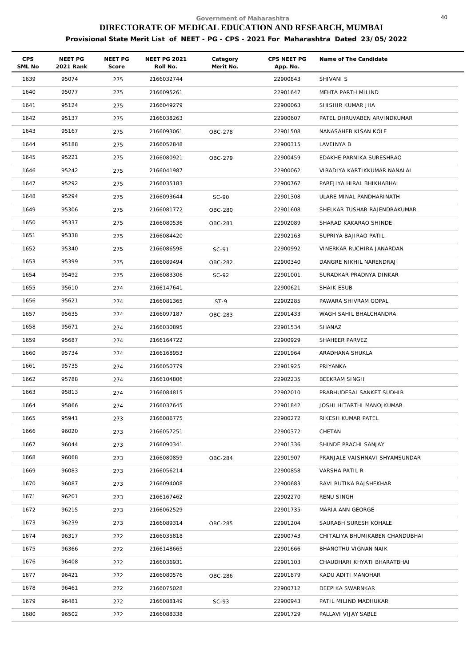| CPS<br>SML No | NEET PG<br>2021 Rank | NEET PG<br>Score | <b>NEET PG 2021</b><br>Roll No. | Category<br>Merit No. | CPS NEET PG<br>App. No. | Name of The Candidate           |
|---------------|----------------------|------------------|---------------------------------|-----------------------|-------------------------|---------------------------------|
| 1639          | 95074                | 275              | 2166032744                      |                       | 22900843                | SHIVANI S                       |
| 1640          | 95077                | 275              | 2166095261                      |                       | 22901647                | MEHTA PARTH MILIND              |
| 1641          | 95124                | 275              | 2166049279                      |                       | 22900063                | SHISHIR KUMAR JHA               |
| 1642          | 95137                | 275              | 2166038263                      |                       | 22900607                | PATEL DHRUVABEN ARVINDKUMAR     |
| 1643          | 95167                | 275              | 2166093061                      | OBC-278               | 22901508                | NANASAHEB KISAN KOLE            |
| 1644          | 95188                | 275              | 2166052848                      |                       | 22900315                | LAVEINYA B                      |
| 1645          | 95221                | 275              | 2166080921                      | OBC-279               | 22900459                | EDAKHE PARNIKA SURESHRAO        |
| 1646          | 95242                | 275              | 2166041987                      |                       | 22900062                | VIRADIYA KARTIKKUMAR NANALAL    |
| 1647          | 95292                | 275              | 2166035183                      |                       | 22900767                | PAREJIYA HIRAL BHIKHABHAI       |
| 1648          | 95294                | 275              | 2166093644                      | SC-90                 | 22901308                | ULARE MINAL PANDHARINATH        |
| 1649          | 95306                | 275              | 2166081772                      | OBC-280               | 22901608                | SHELKAR TUSHAR RAJENDRAKUMAR    |
| 1650          | 95337                | 275              | 2166080536                      | OBC-281               | 22902089                | SHARAD KAKARAO SHINDE           |
| 1651          | 95338                | 275              | 2166084420                      |                       | 22902163                | SUPRIYA BAJIRAO PATIL           |
| 1652          | 95340                | 275              | 2166086598                      | SC-91                 | 22900992                | VINERKAR RUCHIRA JANARDAN       |
| 1653          | 95399                | 275              | 2166089494                      | OBC-282               | 22900340                | DANGRE NIKHIL NARENDRAJI        |
| 1654          | 95492                | 275              | 2166083306                      | $SC-92$               | 22901001                | SURADKAR PRADNYA DINKAR         |
| 1655          | 95610                | 274              | 2166147641                      |                       | 22900621                | SHAIK ESUB                      |
| 1656          | 95621                | 274              | 2166081365                      | $ST-9$                | 22902285                | PAWARA SHIVRAM GOPAL            |
| 1657          | 95635                | 274              | 2166097187                      | OBC-283               | 22901433                | WAGH SAHIL BHALCHANDRA          |
| 1658          | 95671                | 274              | 2166030895                      |                       | 22901534                | SHANAZ                          |
| 1659          | 95687                | 274              | 2166164722                      |                       | 22900929                | SHAHEER PARVEZ                  |
| 1660          | 95734                | 274              | 2166168953                      |                       | 22901964                | ARADHANA SHUKLA                 |
| 1661          | 95735                | 274              | 2166050779                      |                       | 22901925                | PRIYANKA                        |
| 1662          | 95788                | 274              | 2166104806                      |                       | 22902235                | BEEKRAM SINGH                   |
| 1663          | 95813                | 274              | 2166084815                      |                       | 22902010                | PRABHUDESAI SANKET SUDHIR       |
| 1664          | 95866                | 274              | 2166037645                      |                       | 22901842                | JOSHI HITARTHI MANOJKUMAR       |
| 1665          | 95941                | 273              | 2166086775                      |                       | 22900272                | RIKESH KUMAR PATEL              |
| 1666          | 96020                | 273              | 2166057251                      |                       | 22900372                | CHETAN                          |
| 1667          | 96044                | 273              | 2166090341                      |                       | 22901336                | SHINDE PRACHI SANJAY            |
| 1668          | 96068                | 273              | 2166080859                      | <b>OBC-284</b>        | 22901907                | PRANJALE VAISHNAVI SHYAMSUNDAR  |
| 1669          | 96083                | 273              | 2166056214                      |                       | 22900858                | VARSHA PATIL R                  |
| 1670          | 96087                | 273              | 2166094008                      |                       | 22900683                | RAVI RUTIKA RAJSHEKHAR          |
| 1671          | 96201                | 273              | 2166167462                      |                       | 22902270                | RENU SINGH                      |
| 1672          | 96215                | 273              | 2166062529                      |                       | 22901735                | MARIA ANN GEORGE                |
| 1673          | 96239                | 273              | 2166089314                      | OBC-285               | 22901204                | SAURABH SURESH KOHALE           |
| 1674          | 96317                | 272              | 2166035818                      |                       | 22900743                | CHITALIYA BHUMIKABEN CHANDUBHAI |
| 1675          | 96366                | 272              | 2166148665                      |                       | 22901666                | BHANOTHU VIGNAN NAIK            |
| 1676          | 96408                | 272              | 2166036931                      |                       | 22901103                | CHAUDHARI KHYATI BHARATBHAI     |
| 1677          | 96421                | 272              | 2166080576                      | OBC-286               | 22901879                | KADU ADITI MANOHAR              |
| 1678          | 96461                | 272              | 2166075028                      |                       | 22900712                | DEEPIKA SWARNKAR                |
| 1679          | 96481                | 272              | 2166088149                      | $SC-93$               | 22900943                | PATIL MILIND MADHUKAR           |
| 1680          | 96502                | 272              | 2166088338                      |                       | 22901729                | PALLAVI VIJAY SABLE             |
|               |                      |                  |                                 |                       |                         |                                 |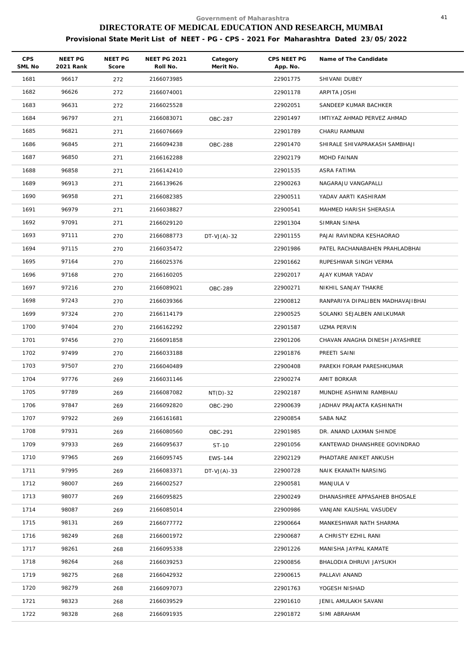| <b>CPS</b><br>SML No | <b>NEET PG</b><br>2021 Rank | NEET PG<br>Score | <b>NEET PG 2021</b><br>Roll No. | Category<br>Merit No. | CPS NEET PG<br>App. No. | Name of The Candidate             |
|----------------------|-----------------------------|------------------|---------------------------------|-----------------------|-------------------------|-----------------------------------|
| 1681                 | 96617                       | 272              | 2166073985                      |                       | 22901775                | SHIVANI DUBEY                     |
| 1682                 | 96626                       | 272              | 2166074001                      |                       | 22901178                | ARPITA JOSHI                      |
| 1683                 | 96631                       | 272              | 2166025528                      |                       | 22902051                | SANDEEP KUMAR BACHKER             |
| 1684                 | 96797                       | 271              | 2166083071                      | OBC-287               | 22901497                | IMTIYAZ AHMAD PERVEZ AHMAD        |
| 1685                 | 96821                       | 271              | 2166076669                      |                       | 22901789                | CHARU RAMNANI                     |
| 1686                 | 96845                       | 271              | 2166094238                      | <b>OBC-288</b>        | 22901470                | SHIRALE SHIVAPRAKASH SAMBHAJI     |
| 1687                 | 96850                       | 271              | 2166162288                      |                       | 22902179                | MOHD FAINAN                       |
| 1688                 | 96858                       | 271              | 2166142410                      |                       | 22901535                | ASRA FATIMA                       |
| 1689                 | 96913                       | 271              | 2166139626                      |                       | 22900263                | NAGARAJU VANGAPALLI               |
| 1690                 | 96958                       | 271              | 2166082385                      |                       | 22900511                | YADAV AARTI KASHIRAM              |
| 1691                 | 96979                       | 271              | 2166038827                      |                       | 22900541                | MAHMED HARISH SHERASIA            |
| 1692                 | 97091                       | 271              | 2166029120                      |                       | 22901304                | SIMRAN SINHA                      |
| 1693                 | 97111                       | 270              | 2166088773                      | $DT-VJ(A)-32$         | 22901155                | PAJAI RAVINDRA KESHAORAO          |
| 1694                 | 97115                       | 270              | 2166035472                      |                       | 22901986                | PATEL RACHANABAHEN PRAHLADBHAI    |
| 1695                 | 97164                       | 270              | 2166025376                      |                       | 22901662                | RUPESHWAR SINGH VERMA             |
| 1696                 | 97168                       | 270              | 2166160205                      |                       | 22902017                | AJAY KUMAR YADAV                  |
| 1697                 | 97216                       | 270              | 2166089021                      | OBC-289               | 22900271                | NIKHIL SANJAY THAKRE              |
| 1698                 | 97243                       | 270              | 2166039366                      |                       | 22900812                | RANPARIYA DIPALIBEN MADHAVAJIBHAI |
| 1699                 | 97324                       | 270              | 2166114179                      |                       | 22900525                | SOLANKI SEJALBEN ANILKUMAR        |
| 1700                 | 97404                       | 270              | 2166162292                      |                       | 22901587                | UZMA PERVIN                       |
| 1701                 | 97456                       | 270              | 2166091858                      |                       | 22901206                | CHAVAN ANAGHA DINESH JAYASHREE    |
| 1702                 | 97499                       | 270              | 2166033188                      |                       | 22901876                | PREETI SAINI                      |
| 1703                 | 97507                       | 270              | 2166040489                      |                       | 22900408                | PAREKH FORAM PARESHKUMAR          |
| 1704                 | 97776                       | 269              | 2166031146                      |                       | 22900274                | AMIT BORKAR                       |
| 1705                 | 97789                       | 269              | 2166087082                      | $NT(D)-32$            | 22902187                | MUNDHE ASHWINI RAMBHAU            |
| 1706                 | 97847                       | 269              | 2166092820                      | OBC-290               | 22900639                | JADHAV PRAJAKTA KASHINATH         |
| 1707                 | 97922                       | 269              | 2166161681                      |                       | 22900854                | SABA NAZ                          |
| 1708                 | 97931                       | 269              | 2166080560                      | OBC-291               | 22901985                | DR. ANAND LAXMAN SHINDE           |
| 1709                 | 97933                       | 269              | 2166095637                      | ST-10                 | 22901056                | KANTEWAD DHANSHREE GOVINDRAO      |
| 1710                 | 97965                       | 269              | 2166095745                      | EWS-144               | 22902129                | PHADTARE ANIKET ANKUSH            |
| 1711                 | 97995                       | 269              | 2166083371                      | $DT-VJ(A)-33$         | 22900728                | NAIK EKANATH NARSING              |
| 1712                 | 98007                       | 269              | 2166002527                      |                       | 22900581                | MANJULA V                         |
| 1713                 | 98077                       | 269              | 2166095825                      |                       | 22900249                | DHANASHREE APPASAHEB BHOSALE      |
| 1714                 | 98087                       | 269              | 2166085014                      |                       | 22900986                | VANJANI KAUSHAL VASUDEV           |
| 1715                 | 98131                       | 269              | 2166077772                      |                       | 22900664                | MANKESHWAR NATH SHARMA            |
| 1716                 | 98249                       | 268              | 2166001972                      |                       | 22900687                | A CHRISTY EZHIL RANI              |
| 1717                 | 98261                       | 268              | 2166095338                      |                       | 22901226                | MANISHA JAYPAL KAMATE             |
| 1718                 | 98264                       | 268              | 2166039253                      |                       | 22900856                | BHALODIA DHRUVI JAYSUKH           |
| 1719                 | 98275                       | 268              | 2166042932                      |                       | 22900615                | PALLAVI ANAND                     |
| 1720                 | 98279                       | 268              | 2166097073                      |                       | 22901763                | YOGESH NISHAD                     |
| 1721                 | 98323                       | 268              | 2166039529                      |                       | 22901610                | JENIL AMULAKH SAVANI              |
| 1722                 | 98328                       | 268              | 2166091935                      |                       | 22901872                | SIMI ABRAHAM                      |
|                      |                             |                  |                                 |                       |                         |                                   |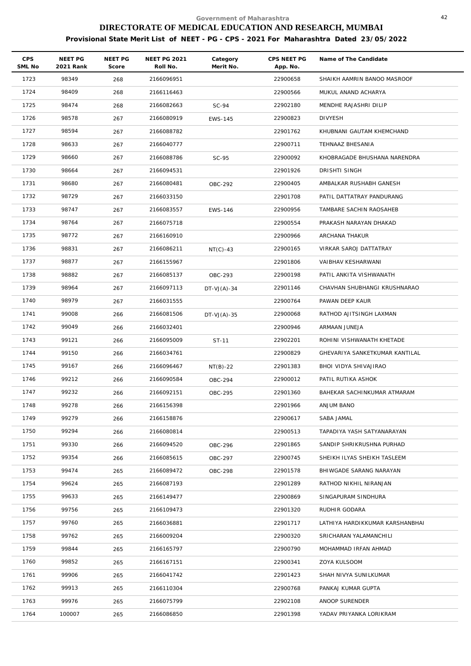| CPS<br>SML No | NEET PG<br>2021 Rank | NEET PG<br>Score | <b>NEET PG 2021</b><br>Roll No. | Category<br>Merit No. | CPS NEET PG<br>App. No. | Name of The Candidate           |
|---------------|----------------------|------------------|---------------------------------|-----------------------|-------------------------|---------------------------------|
| 1723          | 98349                | 268              | 2166096951                      |                       | 22900658                | SHAIKH AAMRIN BANOO MASROOF     |
| 1724          | 98409                | 268              | 2166116463                      |                       | 22900566                | MUKUL ANAND ACHARYA             |
| 1725          | 98474                | 268              | 2166082663                      | $SC-94$               | 22902180                | MENDHE RAJASHRI DILIP           |
| 1726          | 98578                | 267              | 2166080919                      | EWS-145               | 22900823                | <b>DIVYESH</b>                  |
| 1727          | 98594                | 267              | 2166088782                      |                       | 22901762                | KHUBNANI GAUTAM KHEMCHAND       |
| 1728          | 98633                | 267              | 2166040777                      |                       | 22900711                | TEHNAAZ BHESANIA                |
| 1729          | 98660                | 267              | 2166088786                      | SC-95                 | 22900092                | KHOBRAGADE BHUSHANA NARENDRA    |
| 1730          | 98664                | 267              | 2166094531                      |                       | 22901926                | DRISHTI SINGH                   |
| 1731          | 98680                | 267              | 2166080481                      | OBC-292               | 22900405                | AMBALKAR RUSHABH GANESH         |
| 1732          | 98729                | 267              | 2166033150                      |                       | 22901708                | PATIL DATTATRAY PANDURANG       |
| 1733          | 98747                | 267              | 2166083557                      | EWS-146               | 22900956                | TAMBARE SACHIN RAOSAHEB         |
| 1734          | 98764                | 267              | 2166075718                      |                       | 22900554                | PRAKASH NARAYAN DHAKAD          |
| 1735          | 98772                | 267              | 2166160910                      |                       | 22900966                | ARCHANA THAKUR                  |
| 1736          | 98831                | 267              | 2166086211                      | $NT(C)-43$            | 22900165                | VIRKAR SAROJ DATTATRAY          |
| 1737          | 98877                | 267              | 2166155967                      |                       | 22901806                | VAIBHAV KESHARWANI              |
| 1738          | 98882                | 267              | 2166085137                      | OBC-293               | 22900198                | PATIL ANKITA VISHWANATH         |
| 1739          | 98964                | 267              | 2166097113                      | $DT-VJ(A)-34$         | 22901146                | CHAVHAN SHUBHANGI KRUSHNARAO    |
| 1740          | 98979                | 267              | 2166031555                      |                       | 22900764                | PAWAN DEEP KAUR                 |
| 1741          | 99008                | 266              | 2166081506                      | $DT-VJ(A)-35$         | 22900068                | RATHOD AJITSINGH LAXMAN         |
| 1742          | 99049                | 266              | 2166032401                      |                       | 22900946                | ARMAAN JUNEJA                   |
| 1743          | 99121                | 266              | 2166095009                      | ST-11                 | 22902201                | ROHINI VISHWANATH KHETADE       |
| 1744          | 99150                | 266              | 2166034761                      |                       | 22900829                | GHEVARIYA SANKETKUMAR KANTILAL  |
| 1745          | 99167                | 266              | 2166096467                      | $NT(B)-22$            | 22901383                | BHOI VIDYA SHIVAJIRAO           |
| 1746          | 99212                | 266              | 2166090584                      | OBC-294               | 22900012                | PATIL RUTIKA ASHOK              |
| 1747          | 99232                | 266              | 2166092151                      | OBC-295               | 22901360                | BAHEKAR SACHINKUMAR ATMARAM     |
| 1748          | 99278                | 266              | 2166156398                      |                       | 22901966                | ANJUM BANO                      |
| 1749          | 99279                | 266              | 2166158876                      |                       | 22900617                | SABA JAMAL                      |
| 1750          | 99294                | 266              | 2166080814                      |                       | 22900513                | TAPADIYA YASH SATYANARAYAN      |
| 1751          | 99330                | 266              | 2166094520                      | OBC-296               | 22901865                | SANDIP SHRIKRUSHNA PURHAD       |
| 1752          | 99354                | 266              | 2166085615                      | OBC-297               | 22900745                | SHEIKH ILYAS SHEIKH TASLEEM     |
| 1753          | 99474                | 265              | 2166089472                      | OBC-298               | 22901578                | BHIWGADE SARANG NARAYAN         |
| 1754          | 99624                | 265              | 2166087193                      |                       | 22901289                | RATHOD NIKHIL NIRANJAN          |
| 1755          | 99633                | 265              | 2166149477                      |                       | 22900869                | SINGAPURAM SINDHURA             |
| 1756          | 99756                | 265              | 2166109473                      |                       | 22901320                | RUDHIR GODARA                   |
| 1757          | 99760                | 265              | 2166036881                      |                       | 22901717                | LATHIYA HARDIKKUMAR KARSHANBHAI |
| 1758          | 99762                | 265              | 2166009204                      |                       | 22900320                | SRICHARAN YALAMANCHILI          |
| 1759          | 99844                | 265              | 2166165797                      |                       | 22900790                | MOHAMMAD IRFAN AHMAD            |
| 1760          | 99852                | 265              | 2166167151                      |                       | 22900341                | ZOYA KULSOOM                    |
| 1761          | 99906                | 265              | 2166041742                      |                       | 22901423                | SHAH NIVYA SUNILKUMAR           |
| 1762          | 99913                | 265              | 2166110304                      |                       | 22900768                | PANKAJ KUMAR GUPTA              |
| 1763          | 99976                | 265              | 2166075799                      |                       | 22902108                | ANOOP SURENDER                  |
| 1764          | 100007               | 265              | 2166086850                      |                       | 22901398                | YADAV PRIYANKA LORIKRAM         |
|               |                      |                  |                                 |                       |                         |                                 |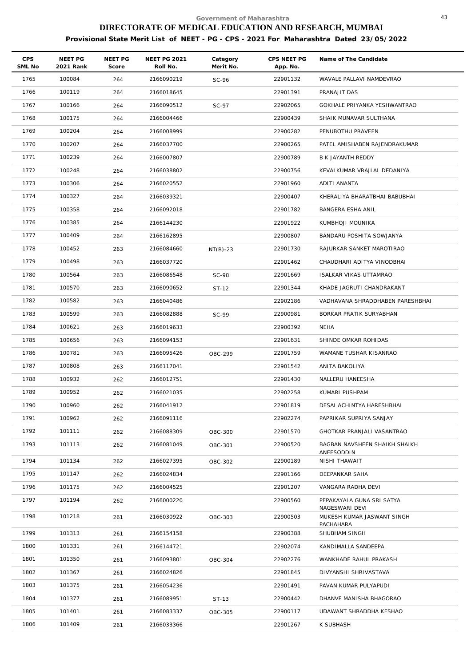| <b>CPS</b><br>SML No | NEET PG<br>2021 Rank | NEET PG<br>Score | <b>NEET PG 2021</b><br>Roll No. | Category<br>Merit No. | CPS NEET PG<br>App. No. | Name of The Candidate                       |
|----------------------|----------------------|------------------|---------------------------------|-----------------------|-------------------------|---------------------------------------------|
| 1765                 | 100084               | 264              | 2166090219                      | $SC-96$               | 22901132                | WAVALE PALLAVI NAMDEVRAO                    |
| 1766                 | 100119               | 264              | 2166018645                      |                       | 22901391                | PRANAJIT DAS                                |
| 1767                 | 100166               | 264              | 2166090512                      | SC-97                 | 22902065                | GOKHALE PRIYANKA YESHWANTRAO                |
| 1768                 | 100175               | 264              | 2166004466                      |                       | 22900439                | SHAIK MUNAVAR SULTHANA                      |
| 1769                 | 100204               | 264              | 2166008999                      |                       | 22900282                | PENUBOTHU PRAVEEN                           |
| 1770                 | 100207               | 264              | 2166037700                      |                       | 22900265                | PATEL AMISHABEN RAJENDRAKUMAR               |
| 1771                 | 100239               | 264              | 2166007807                      |                       | 22900789                | B K JAYANTH REDDY                           |
| 1772                 | 100248               | 264              | 2166038802                      |                       | 22900756                | KEVALKUMAR VRAJLAL DEDANIYA                 |
| 1773                 | 100306               | 264              | 2166020552                      |                       | 22901960                | ADITI ANANTA                                |
| 1774                 | 100327               | 264              | 2166039321                      |                       | 22900407                | KHERALIYA BHARATBHAI BABUBHAI               |
| 1775                 | 100358               | 264              | 2166092018                      |                       | 22901782                | BANGERA ESHA ANIL                           |
| 1776                 | 100385               | 264              | 2166144230                      |                       | 22901922                | KUMBHOJI MOUNIKA                            |
| 1777                 | 100409               | 264              | 2166162895                      |                       | 22900807                | BANDARU POSHITA SOWJANYA                    |
| 1778                 | 100452               | 263              | 2166084660                      | $NT(B)-23$            | 22901730                | RAJURKAR SANKET MAROTIRAO                   |
| 1779                 | 100498               | 263              | 2166037720                      |                       | 22901462                | CHAUDHARI ADITYA VINODBHAI                  |
| 1780                 | 100564               | 263              | 2166086548                      | SC-98                 | 22901669                | ISALKAR VIKAS UTTAMRAO                      |
| 1781                 | 100570               | 263              | 2166090652                      | ST-12                 | 22901344                | KHADE JAGRUTI CHANDRAKANT                   |
| 1782                 | 100582               | 263              | 2166040486                      |                       | 22902186                | VADHAVANA SHRADDHABEN PARESHBHAI            |
| 1783                 | 100599               | 263              | 2166082888                      | SC-99                 | 22900981                | BORKAR PRATIK SURYABHAN                     |
| 1784                 | 100621               | 263              | 2166019633                      |                       | 22900392                | NEHA                                        |
| 1785                 | 100656               | 263              | 2166094153                      |                       | 22901631                | SHINDE OMKAR ROHIDAS                        |
| 1786                 | 100781               | 263              | 2166095426                      | OBC-299               | 22901759                | WAMANE TUSHAR KISANRAO                      |
| 1787                 | 100808               | 263              | 2166117041                      |                       | 22901542                | ANITA BAKOLIYA                              |
| 1788                 | 100932               | 262              | 2166012751                      |                       | 22901430                | NALLERU HANEESHA                            |
| 1789                 | 100952               | 262              | 2166021035                      |                       | 22902258                | KUMARI PUSHPAM                              |
| 1790                 | 100960               | 262              | 2166041912                      |                       | 22901819                | DESAI ACHINTYA HARESHBHAI                   |
| 1791                 | 100962               | 262              | 2166091116                      |                       | 22902274                | PAPRIKAR SUPRIYA SANJAY                     |
| 1792                 | 101111               | 262              | 2166088309                      | <b>OBC-300</b>        | 22901570                | GHOTKAR PRANJALI VASANTRAO                  |
| 1793                 | 101113               | 262              | 2166081049                      | OBC-301               | 22900520                | BAGBAN NAVSHEEN SHAIKH SHAIKH<br>ANEESODDIN |
| 1794                 | 101134               | 262              | 2166027395                      | OBC-302               | 22900189                | NISHI THAWAIT                               |
| 1795                 | 101147               | 262              | 2166024834                      |                       | 22901166                | DEEPANKAR SAHA                              |
| 1796                 | 101175               | 262              | 2166004525                      |                       | 22901207                | VANGARA RADHA DEVI                          |
| 1797                 | 101194               | 262              | 2166000220                      |                       | 22900560                | PEPAKAYALA GUNA SRI SATYA<br>NAGESWARI DEVI |
| 1798                 | 101218               | 261              | 2166030922                      | OBC-303               | 22900503                | MUKESH KUMAR JASWANT SINGH<br>PACHAHARA     |
| 1799                 | 101313               | 261              | 2166154158                      |                       | 22900388                | SHUBHAM SINGH                               |
| 1800                 | 101331               | 261              | 2166144721                      |                       | 22902074                | KANDIMALLA SANDEEPA                         |
| 1801                 | 101350               | 261              | 2166093801                      | OBC-304               | 22902276                | WANKHADE RAHUL PRAKASH                      |
| 1802                 | 101367               | 261              | 2166024826                      |                       | 22901845                | DIVYANSHI SHRIVASTAVA                       |
| 1803                 | 101375               | 261              | 2166054236                      |                       | 22901491                | PAVAN KUMAR PULYAPUDI                       |
| 1804                 | 101377               | 261              | 2166089951                      | ST-13                 | 22900442                | DHANVE MANISHA BHAGORAO                     |
| 1805                 | 101401               | 261              | 2166083337                      | OBC-305               | 22900117                | UDAWANT SHRADDHA KESHAO                     |
| 1806                 | 101409               | 261              | 2166033366                      |                       | 22901267                | K SUBHASH                                   |
|                      |                      |                  |                                 |                       |                         |                                             |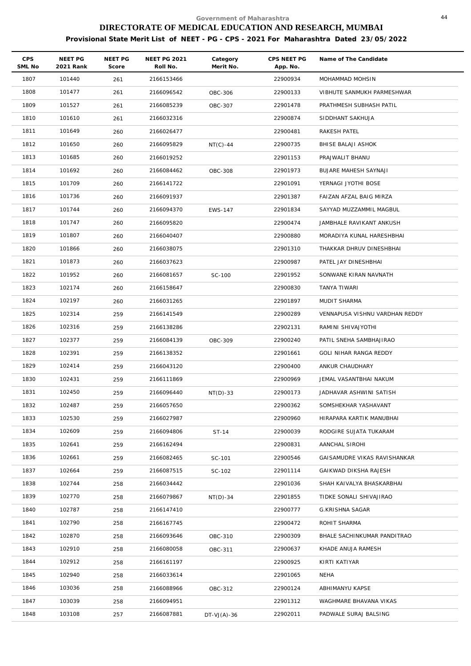| <b>CPS</b><br>SML No | NEET PG<br>2021 Rank | NEET PG<br>Score | <b>NEET PG 2021</b><br>Roll No. | Category<br>Merit No. | CPS NEET PG<br>App. No. | Name of The Candidate          |
|----------------------|----------------------|------------------|---------------------------------|-----------------------|-------------------------|--------------------------------|
| 1807                 | 101440               | 261              | 2166153466                      |                       | 22900934                | MOHAMMAD MOHSIN                |
| 1808                 | 101477               | 261              | 2166096542                      | OBC-306               | 22900133                | VIBHUTE SANMUKH PARMESHWAR     |
| 1809                 | 101527               | 261              | 2166085239                      | OBC-307               | 22901478                | PRATHMESH SUBHASH PATIL        |
| 1810                 | 101610               | 261              | 2166032316                      |                       | 22900874                | SIDDHANT SAKHUJA               |
| 1811                 | 101649               | 260              | 2166026477                      |                       | 22900481                | RAKESH PATEL                   |
| 1812                 | 101650               | 260              | 2166095829                      | $NT(C)-44$            | 22900735                | BHISE BALAJI ASHOK             |
| 1813                 | 101685               | 260              | 2166019252                      |                       | 22901153                | PRAJWALIT BHANU                |
| 1814                 | 101692               | 260              | 2166084462                      | OBC-308               | 22901973                | BUJARE MAHESH SAYNAJI          |
| 1815                 | 101709               | 260              | 2166141722                      |                       | 22901091                | YERNAGI JYOTHI BOSE            |
| 1816                 | 101736               | 260              | 2166091937                      |                       | 22901387                | FAIZAN AFZAL BAIG MIRZA        |
| 1817                 | 101744               | 260              | 2166094370                      | EWS-147               | 22901834                | SAYYAD MUZZAMMIL MAGBUL        |
| 1818                 | 101747               | 260              | 2166095820                      |                       | 22900474                | JAMBHALE RAVIKANT ANKUSH       |
| 1819                 | 101807               | 260              | 2166040407                      |                       | 22900880                | MORADIYA KUNAL HARESHBHAI      |
| 1820                 | 101866               | 260              | 2166038075                      |                       | 22901310                | THAKKAR DHRUV DINESHBHAI       |
| 1821                 | 101873               | 260              | 2166037623                      |                       | 22900987                | PATEL JAY DINESHBHAI           |
| 1822                 | 101952               | 260              | 2166081657                      | SC-100                | 22901952                | SONWANE KIRAN NAVNATH          |
| 1823                 | 102174               | 260              | 2166158647                      |                       | 22900830                | TANYA TIWARI                   |
| 1824                 | 102197               | 260              | 2166031265                      |                       | 22901897                | MUDIT SHARMA                   |
| 1825                 | 102314               | 259              | 2166141549                      |                       | 22900289                | VENNAPUSA VISHNU VARDHAN REDDY |
| 1826                 | 102316               | 259              | 2166138286                      |                       | 22902131                | RAMINI SHIVAJYOTHI             |
| 1827                 | 102377               | 259              | 2166084139                      | OBC-309               | 22900240                | PATIL SNEHA SAMBHAJIRAO        |
| 1828                 | 102391               | 259              | 2166138352                      |                       | 22901661                | GOLI NIHAR RANGA REDDY         |
| 1829                 | 102414               | 259              | 2166043120                      |                       | 22900400                | ANKUR CHAUDHARY                |
| 1830                 | 102431               | 259              | 2166111869                      |                       | 22900969                | JEMAL VASANTBHAI NAKUM         |
| 1831                 | 102450               | 259              | 2166096440                      | $NT(D)-33$            | 22900173                | JADHAVAR ASHWINI SATISH        |
| 1832                 | 102487               | 259              | 2166057650                      |                       | 22900362                | SOMSHEKHAR YASHAVANT           |
| 1833                 | 102530               | 259              | 2166027987                      |                       | 22900960                | HIRAPARA KARTIK MANUBHAI       |
| 1834                 | 102609               | 259              | 2166094806                      | ST-14                 | 22900039                | RODGIRE SUJATA TUKARAM         |
| 1835                 | 102641               | 259              | 2166162494                      |                       | 22900831                | AANCHAL SIROHI                 |
| 1836                 | 102661               | 259              | 2166082465                      | SC-101                | 22900546                | GAISAMUDRE VIKAS RAVISHANKAR   |
| 1837                 | 102664               | 259              | 2166087515                      | SC-102                | 22901114                | GAIKWAD DIKSHA RAJESH          |
| 1838                 | 102744               | 258              | 2166034442                      |                       | 22901036                | SHAH KAIVALYA BHASKARBHAI      |
| 1839                 | 102770               | 258              | 2166079867                      | $NT(D)-34$            | 22901855                | TIDKE SONALI SHIVAJIRAO        |
| 1840                 | 102787               | 258              | 2166147410                      |                       | 22900777                | G.KRISHNA SAGAR                |
| 1841                 | 102790               | 258              | 2166167745                      |                       | 22900472                | ROHIT SHARMA                   |
| 1842                 | 102870               | 258              | 2166093646                      | OBC-310               | 22900309                | BHALE SACHINKUMAR PANDITRAO    |
| 1843                 | 102910               | 258              | 2166080058                      | OBC-311               | 22900637                | KHADE ANUJA RAMESH             |
| 1844                 | 102912               | 258              | 2166161197                      |                       | 22900925                | KIRTI KATIYAR                  |
| 1845                 | 102940               | 258              | 2166033614                      |                       | 22901065                | NEHA                           |
| 1846                 | 103036               | 258              | 2166088966                      | OBC-312               | 22900124                | ABHIMANYU KAPSE                |
| 1847                 | 103039               | 258              | 2166094951                      |                       | 22901312                | WAGHMARE BHAVANA VIKAS         |
| 1848                 | 103108               | 257              | 2166087881                      | $DT-VJ(A)-36$         | 22902011                | PADWALE SURAJ BALSING          |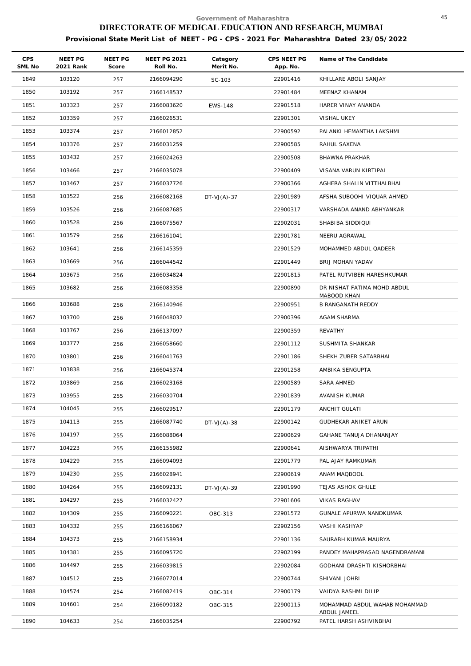| CPS<br>SML No | NEET PG<br>2021 Rank | NEET PG<br>Score | <b>NEET PG 2021</b><br>Roll No. | Category<br>Merit No. | CPS NEET PG<br>App. No. | Name of The Candidate                   |
|---------------|----------------------|------------------|---------------------------------|-----------------------|-------------------------|-----------------------------------------|
| 1849          | 103120               | 257              | 2166094290                      | SC-103                | 22901416                | KHILLARE ABOLI SANJAY                   |
| 1850          | 103192               | 257              | 2166148537                      |                       | 22901484                | MEENAZ KHANAM                           |
| 1851          | 103323               | 257              | 2166083620                      | <b>EWS-148</b>        | 22901518                | HARER VINAY ANANDA                      |
| 1852          | 103359               | 257              | 2166026531                      |                       | 22901301                | VISHAL UKEY                             |
| 1853          | 103374               | 257              | 2166012852                      |                       | 22900592                | PALANKI HEMANTHA LAKSHMI                |
| 1854          | 103376               | 257              | 2166031259                      |                       | 22900585                | RAHUL SAXENA                            |
| 1855          | 103432               | 257              | 2166024263                      |                       | 22900508                | BHAWNA PRAKHAR                          |
| 1856          | 103466               | 257              | 2166035078                      |                       | 22900409                | VISANA VARUN KIRTIPAL                   |
| 1857          | 103467               | 257              | 2166037726                      |                       | 22900366                | AGHERA SHALIN VITTHALBHAI               |
| 1858          | 103522               | 256              | 2166082168                      | $DT-VJ(A)-37$         | 22901989                | AFSHA SUBOOHI VIQUAR AHMED              |
| 1859          | 103526               | 256              | 2166087685                      |                       | 22900317                | VARSHADA ANAND ABHYANKAR                |
| 1860          | 103528               | 256              | 2166075567                      |                       | 22902031                | SHABIBA SIDDIQUI                        |
| 1861          | 103579               | 256              | 2166161041                      |                       | 22901781                | NEERU AGRAWAL                           |
| 1862          | 103641               | 256              | 2166145359                      |                       | 22901529                | MOHAMMED ABDUL QADEER                   |
| 1863          | 103669               | 256              | 2166044542                      |                       | 22901449                | BRIJ MOHAN YADAV                        |
| 1864          | 103675               | 256              | 2166034824                      |                       | 22901815                | PATEL RUTVIBEN HARESHKUMAR              |
| 1865          | 103682               | 256              | 2166083358                      |                       | 22900890                | DR NISHAT FATIMA MOHD ABDUL             |
| 1866          | 103688               | 256              | 2166140946                      |                       | 22900951                | MABOOD KHAN<br><b>B RANGANATH REDDY</b> |
| 1867          | 103700               | 256              | 2166048032                      |                       | 22900396                | AGAM SHARMA                             |
| 1868          | 103767               | 256              | 2166137097                      |                       | 22900359                | REVATHY                                 |
| 1869          | 103777               | 256              | 2166058660                      |                       | 22901112                | SUSHMITA SHANKAR                        |
| 1870          | 103801               | 256              | 2166041763                      |                       | 22901186                | SHEKH ZUBER SATARBHAI                   |
| 1871          | 103838               | 256              | 2166045374                      |                       | 22901258                | AMBIKA SENGUPTA                         |
| 1872          | 103869               | 256              | 2166023168                      |                       | 22900589                | SARA AHMED                              |
| 1873          | 103955               | 255              | 2166030704                      |                       | 22901839                | AVANISH KUMAR                           |
| 1874          | 104045               | 255              | 2166029517                      |                       | 22901179                | ANCHIT GULATI                           |
| 1875          | 104113               | 255              | 2166087740                      | $DT-VJ(A)-38$         | 22900142                | GUDHEKAR ANIKET ARUN                    |
| 1876          | 104197               | 255              | 2166088064                      |                       | 22900629                | GAHANE TANUJA DHANANJAY                 |
| 1877          | 104223               | 255              | 2166155982                      |                       | 22900641                | AISHWARYA TRIPATHI                      |
| 1878          | 104229               | 255              | 2166094093                      |                       | 22901779                | PAL AJAY RAMKUMAR                       |
| 1879          | 104230               | 255              | 2166028941                      |                       | 22900619                | ANAM MAQBOOL                            |
| 1880          | 104264               | 255              | 2166092131                      | $DT-VJ(A)-39$         | 22901990                | TEJAS ASHOK GHULE                       |
| 1881          | 104297               | 255              | 2166032427                      |                       | 22901606                | <b>VIKAS RAGHAV</b>                     |
| 1882          | 104309               | 255              | 2166090221                      | OBC-313               | 22901572                | GUNALE APURWA NANDKUMAR                 |
| 1883          | 104332               | 255              | 2166166067                      |                       | 22902156                | VASHI KASHYAP                           |
| 1884          | 104373               | 255              | 2166158934                      |                       | 22901136                | SAURABH KUMAR MAURYA                    |
| 1885          | 104381               | 255              | 2166095720                      |                       | 22902199                | PANDEY MAHAPRASAD NAGENDRAMANI          |
| 1886          | 104497               | 255              | 2166039815                      |                       | 22902084                | GODHANI DRASHTI KISHORBHAI              |
| 1887          | 104512               | 255              | 2166077014                      |                       | 22900744                | SHIVANI JOHRI                           |
| 1888          | 104574               | 254              | 2166082419                      | OBC-314               | 22900179                | VAIDYA RASHMI DILIP                     |
| 1889          | 104601               | 254              | 2166090182                      | OBC-315               | 22900115                | MOHAMMAD ABDUL WAHAB MOHAMMAD           |
| 1890          | 104633               | 254              | 2166035254                      |                       | 22900792                | ABDUL JAMEEL<br>PATEL HARSH ASHVINBHAI  |
|               |                      |                  |                                 |                       |                         |                                         |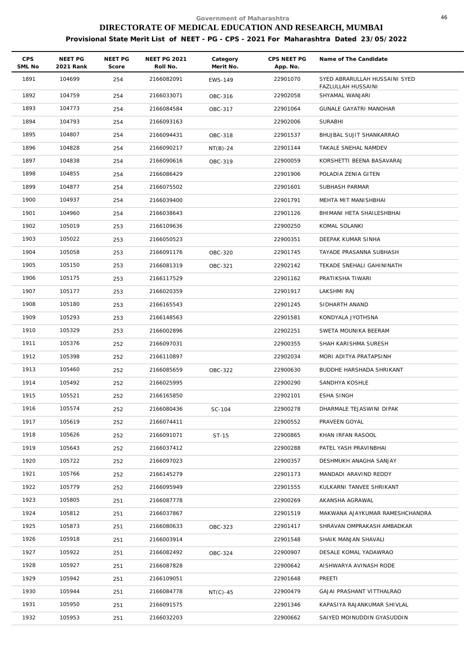| <b>CPS</b><br>SML No | NEET PG<br>2021 Rank | NEET PG<br>Score | <b>NEET PG 2021</b><br>Roll No. | Category<br>Merit No. | CPS NEET PG<br>App. No. | Name of The Candidate                               |
|----------------------|----------------------|------------------|---------------------------------|-----------------------|-------------------------|-----------------------------------------------------|
| 1891                 | 104699               | 254              | 2166082091                      | <b>EWS-149</b>        | 22901070                | SYED ABRARULLAH HUSSAINI SYED<br>FAZLULLAH HUSSAINI |
| 1892                 | 104759               | 254              | 2166033071                      | OBC-316               | 22902058                | SHYAMAL WANJARI                                     |
| 1893                 | 104773               | 254              | 2166084584                      | OBC-317               | 22901064                | <b>GUNALE GAYATRI MANOHAR</b>                       |
| 1894                 | 104793               | 254              | 2166093163                      |                       | 22902006                | SURABHI                                             |
| 1895                 | 104807               | 254              | 2166094431                      | OBC-318               | 22901537                | BHUJBAL SUJIT SHANKARRAO                            |
| 1896                 | 104828               | 254              | 2166090217                      | $NT(B)-24$            | 22901144                | TAKALE SNEHAL NAMDEV                                |
| 1897                 | 104838               | 254              | 2166090616                      | OBC-319               | 22900059                | KORSHETTI BEENA BASAVARAJ                           |
| 1898                 | 104855               | 254              | 2166086429                      |                       | 22901906                | POLADIA ZENIA GITEN                                 |
| 1899                 | 104877               | 254              | 2166075502                      |                       | 22901601                | SUBHASH PARMAR                                      |
| 1900                 | 104937               | 254              | 2166039400                      |                       | 22901791                | MEHTA MIT MANISHBHAI                                |
| 1901                 | 104960               | 254              | 2166038643                      |                       | 22901126                | BHIMANI HETA SHAILESHBHAI                           |
| 1902                 | 105019               | 253              | 2166109636                      |                       | 22900250                | KOMAL SOLANKI                                       |
| 1903                 | 105022               | 253              | 2166050523                      |                       | 22900351                | DEEPAK KUMAR SINHA                                  |
| 1904                 | 105058               | 253              | 2166091176                      | OBC-320               | 22901745                | TAYADE PRASANNA SUBHASH                             |
| 1905                 | 105150               | 253              | 2166081319                      | OBC-321               | 22902142                | TEKADE SNEHALI GAHININATH                           |
| 1906                 | 105175               | 253              | 2166117529                      |                       | 22901162                | PRATIKSHA TIWARI                                    |
| 1907                 | 105177               | 253              | 2166020359                      |                       | 22901917                | LAKSHMI RAJ                                         |
| 1908                 | 105180               | 253              | 2166165543                      |                       | 22901245                | SIDHARTH ANAND                                      |
| 1909                 | 105293               | 253              | 2166148563                      |                       | 22901581                | KONDYALA JYOTHSNA                                   |
| 1910                 | 105329               | 253              | 2166002896                      |                       | 22902251                | SWETA MOUNIKA BEERAM                                |
| 1911                 | 105376               | 252              | 2166097031                      |                       | 22900355                | SHAH KARISHMA SURESH                                |
| 1912                 | 105398               | 252              | 2166110897                      |                       | 22902034                | MORI ADITYA PRATAPSINH                              |
| 1913                 | 105460               | 252              | 2166085659                      | OBC-322               | 22900630                | BUDDHE HARSHADA SHRIKANT                            |
| 1914                 | 105492               | 252              | 2166025995                      |                       | 22900290                | SANDHYA KOSHLE                                      |
| 1915                 | 105521               | 252              | 2166165850                      |                       | 22902101                | <b>ESHA SINGH</b>                                   |
| 1916                 | 105574               | 252              | 2166080436                      | SC-104                | 22900278                | DHARMALE TEJASWINI DIPAK                            |
| 1917                 | 105619               | 252              | 2166074411                      |                       | 22900552                | PRAVEEN GOYAL                                       |
| 1918                 | 105626               | 252              | 2166091071                      | ST-15                 | 22900865                | KHAN IRFAN RASOOL                                   |
| 1919                 | 105643               | 252              | 2166037412                      |                       | 22900288                | PATEL YASH PRAVINBHAI                               |
| 1920                 | 105722               | 252              | 2166097023                      |                       | 22900357                | DESHMUKH ANAGHA SANJAY                              |
| 1921                 | 105766               | 252              | 2166145279                      |                       | 22901173                | MANDADI ARAVIND REDDY                               |
| 1922                 | 105779               | 252              | 2166095949                      |                       | 22901555                | KULKARNI TANVEE SHRIKANT                            |
| 1923                 | 105805               | 251              | 2166087778                      |                       | 22900269                | AKANSHA AGRAWAL                                     |
| 1924                 | 105812               | 251              | 2166037867                      |                       | 22901519                | MAKWANA AJAYKUMAR RAMESHCHANDRA                     |
| 1925                 | 105873               | 251              | 2166080633                      | OBC-323               | 22901417                | SHRAVAN OMPRAKASH AMBADKAR                          |
| 1926                 | 105918               | 251              | 2166003914                      |                       | 22901548                | SHAIK MANJAN SHAVALI                                |
| 1927                 | 105922               | 251              | 2166082492                      | OBC-324               | 22900907                | DESALE KOMAL YADAWRAO                               |
| 1928                 | 105927               | 251              | 2166087828                      |                       | 22900642                | AISHWARYA AVINASH RODE                              |
| 1929                 | 105942               | 251              | 2166109051                      |                       | 22901648                | PREETI                                              |
| 1930                 | 105944               | 251              | 2166084778                      | $NT(C)-45$            | 22900479                | GAJAI PRASHANT VITTHALRAO                           |
| 1931                 | 105950               | 251              | 2166091575                      |                       | 22901346                | KAPASIYA RAJANKUMAR SHIVLAL                         |
| 1932                 | 105953               | 251              | 2166032203                      |                       | 22900662                | SAIYED MOINUDDIN GYASUDDIN                          |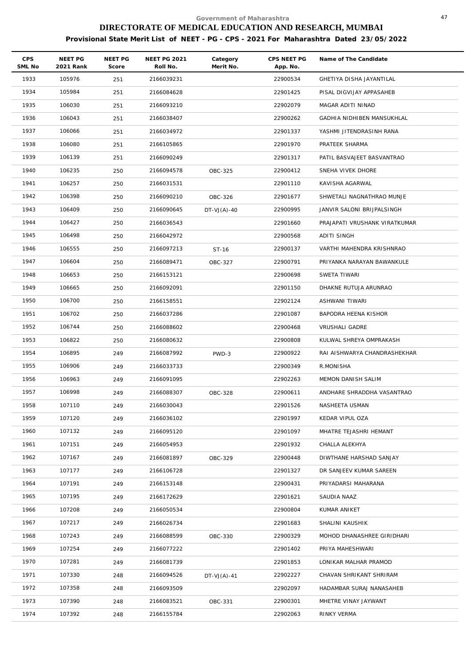| <b>CPS</b><br>SML No | NEET PG<br>2021 Rank | NEET PG<br>Score | <b>NEET PG 2021</b><br>Roll No. | Category<br>Merit No. | CPS NEET PG<br>App. No. | Name of The Candidate         |
|----------------------|----------------------|------------------|---------------------------------|-----------------------|-------------------------|-------------------------------|
| 1933                 | 105976               | 251              | 2166039231                      |                       | 22900534                | GHETIYA DISHA JAYANTILAL      |
| 1934                 | 105984               | 251              | 2166084628                      |                       | 22901425                | PISAL DIGVIJAY APPASAHEB      |
| 1935                 | 106030               | 251              | 2166093210                      |                       | 22902079                | MAGAR ADITI NINAD             |
| 1936                 | 106043               | 251              | 2166038407                      |                       | 22900262                | GADHIA NIDHIBEN MANSUKHLAL    |
| 1937                 | 106066               | 251              | 2166034972                      |                       | 22901337                | YASHMI JITENDRASINH RANA      |
| 1938                 | 106080               | 251              | 2166105865                      |                       | 22901970                | PRATEEK SHARMA                |
| 1939                 | 106139               | 251              | 2166090249                      |                       | 22901317                | PATIL BASVAJEET BASVANTRAO    |
| 1940                 | 106235               | 250              | 2166094578                      | OBC-325               | 22900412                | SNEHA VIVEK DHORE             |
| 1941                 | 106257               | 250              | 2166031531                      |                       | 22901110                | KAVISHA AGARWAL               |
| 1942                 | 106398               | 250              | 2166090210                      | OBC-326               | 22901677                | SHWETALI NAGNATHRAO MUNJE     |
| 1943                 | 106409               | 250              | 2166090645                      | $DT-VJ(A)-40$         | 22900995                | JANVIR SALONI BRIJPALSINGH    |
| 1944                 | 106427               | 250              | 2166036543                      |                       | 22901660                | PRAJAPATI VRUSHANK VIRATKUMAR |
| 1945                 | 106498               | 250              | 2166042972                      |                       | 22900568                | ADITI SINGH                   |
| 1946                 | 106555               | 250              | 2166097213                      | ST-16                 | 22900137                | VARTHI MAHENDRA KRISHNRAO     |
| 1947                 | 106604               | 250              | 2166089471                      | OBC-327               | 22900791                | PRIYANKA NARAYAN BAWANKULE    |
| 1948                 | 106653               | 250              | 2166153121                      |                       | 22900698                | SWETA TIWARI                  |
| 1949                 | 106665               | 250              | 2166092091                      |                       | 22901150                | DHAKNE RUTUJA ARUNRAO         |
| 1950                 | 106700               | 250              | 2166158551                      |                       | 22902124                | ASHWANI TIWARI                |
| 1951                 | 106702               | 250              | 2166037286                      |                       | 22901087                | BAPODRA HEENA KISHOR          |
| 1952                 | 106744               | 250              | 2166088602                      |                       | 22900468                | VRUSHALI GADRE                |
| 1953                 | 106822               | 250              | 2166080632                      |                       | 22900808                | KULWAL SHREYA OMPRAKASH       |
| 1954                 | 106895               | 249              | 2166087992                      | PWD-3                 | 22900922                | RAI AISHWARYA CHANDRASHEKHAR  |
| 1955                 | 106906               | 249              | 2166033733                      |                       | 22900349                | R.MONISHA                     |
| 1956                 | 106963               | 249              | 2166091095                      |                       | 22902263                | MEMON DANISH SALIM            |
| 1957                 | 106998               | 249              | 2166088307                      | OBC-328               | 22900611                | ANDHARE SHRADDHA VASANTRAO    |
| 1958                 | 107110               | 249              | 2166030043                      |                       | 22901526                | NASHEETA USMAN                |
| 1959                 | 107120               | 249              | 2166036102                      |                       | 22901997                | KEDAR VIPUL OZA               |
| 1960                 | 107132               | 249              | 2166095120                      |                       | 22901097                | MHATRE TEJASHRI HEMANT        |
| 1961                 | 107151               | 249              | 2166054953                      |                       | 22901932                | CHALLA ALEKHYA                |
| 1962                 | 107167               | 249              | 2166081897                      | OBC-329               | 22900448                | DIWTHANE HARSHAD SANJAY       |
| 1963                 | 107177               | 249              | 2166106728                      |                       | 22901327                | DR SANJEEV KUMAR SAREEN       |
| 1964                 | 107191               | 249              | 2166153148                      |                       | 22900431                | PRIYADARSI MAHARANA           |
| 1965                 | 107195               | 249              | 2166172629                      |                       | 22901621                | SAUDIA NAAZ                   |
| 1966                 | 107208               | 249              | 2166050534                      |                       | 22900804                | KUMAR ANIKET                  |
| 1967                 | 107217               | 249              | 2166026734                      |                       | 22901683                | SHALINI KAUSHIK               |
| 1968                 | 107243               | 249              | 2166088599                      | OBC-330               | 22900329                | MOHOD DHANASHREE GIRIDHARI    |
| 1969                 | 107254               | 249              | 2166077222                      |                       | 22901402                | PRIYA MAHESHWARI              |
| 1970                 | 107281               | 249              | 2166081739                      |                       | 22901853                | LONIKAR MALHAR PRAMOD         |
| 1971                 | 107330               | 248              | 2166094526                      | $DT-VJ(A)-41$         | 22902227                | CHAVAN SHRIKANT SHRIRAM       |
| 1972                 | 107358               | 248              | 2166093509                      |                       | 22902097                | HADAMBAR SURAJ NANASAHEB      |
| 1973                 | 107390               | 248              | 2166083521                      | OBC-331               | 22900301                | MHETRE VINAY JAYWANT          |
| 1974                 | 107392               | 248              | 2166155784                      |                       | 22902063                | RINKY VERMA                   |
|                      |                      |                  |                                 |                       |                         |                               |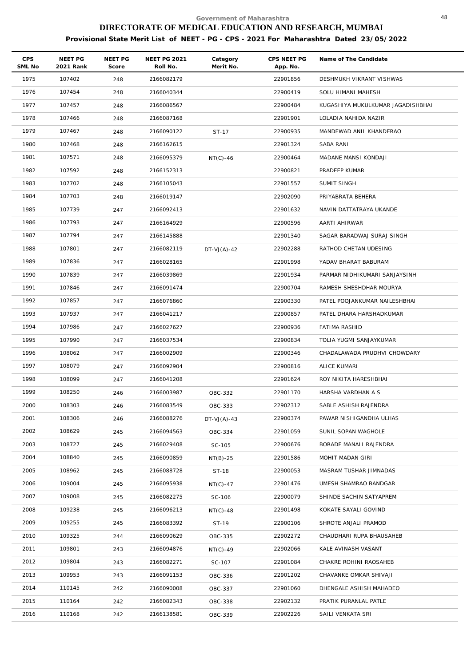| <b>CPS</b><br>SML No | NEET PG<br>2021 Rank | NEET PG<br>Score | <b>NEET PG 2021</b><br>Roll No. | Category<br>Merit No. | CPS NEET PG<br>App. No. | Name of The Candidate             |
|----------------------|----------------------|------------------|---------------------------------|-----------------------|-------------------------|-----------------------------------|
| 1975                 | 107402               | 248              | 2166082179                      |                       | 22901856                | DESHMUKH VIKRANT VISHWAS          |
| 1976                 | 107454               | 248              | 2166040344                      |                       | 22900419                | SOLU HIMANI MAHESH                |
| 1977                 | 107457               | 248              | 2166086567                      |                       | 22900484                | KUGASHIYA MUKULKUMAR JAGADISHBHAI |
| 1978                 | 107466               | 248              | 2166087168                      |                       | 22901901                | LOLADIA NAHIDA NAZIR              |
| 1979                 | 107467               | 248              | 2166090122                      | ST-17                 | 22900935                | MANDEWAD ANIL KHANDERAO           |
| 1980                 | 107468               | 248              | 2166162615                      |                       | 22901324                | SABA RANI                         |
| 1981                 | 107571               | 248              | 2166095379                      | $NT(C)-46$            | 22900464                | MADANE MANSI KONDAJI              |
| 1982                 | 107592               | 248              | 2166152313                      |                       | 22900821                | PRADEEP KUMAR                     |
| 1983                 | 107702               | 248              | 2166105043                      |                       | 22901557                | SUMIT SINGH                       |
| 1984                 | 107703               | 248              | 2166019147                      |                       | 22902090                | PRIYABRATA BEHERA                 |
| 1985                 | 107739               | 247              | 2166092413                      |                       | 22901632                | NAVIN DATTATRAYA UKANDE           |
| 1986                 | 107793               | 247              | 2166164929                      |                       | 22900596                | AARTI AHIRWAR                     |
| 1987                 | 107794               | 247              | 2166145888                      |                       | 22901340                | SAGAR BARADWAJ SURAJ SINGH        |
| 1988                 | 107801               | 247              | 2166082119                      | $DT-VJ(A)-42$         | 22902288                | RATHOD CHETAN UDESING             |
| 1989                 | 107836               | 247              | 2166028165                      |                       | 22901998                | YADAV BHARAT BABURAM              |
| 1990                 | 107839               | 247              | 2166039869                      |                       | 22901934                | PARMAR NIDHIKUMARI SANJAYSINH     |
| 1991                 | 107846               | 247              | 2166091474                      |                       | 22900704                | RAMESH SHESHDHAR MOURYA           |
| 1992                 | 107857               | 247              | 2166076860                      |                       | 22900330                | PATEL POOJANKUMAR NAILESHBHAI     |
| 1993                 | 107937               | 247              | 2166041217                      |                       | 22900857                | PATEL DHARA HARSHADKUMAR          |
| 1994                 | 107986               | 247              | 2166027627                      |                       | 22900936                | FATIMA RASHID                     |
| 1995                 | 107990               | 247              | 2166037534                      |                       | 22900834                | TOLIA YUGMI SANJAYKUMAR           |
| 1996                 | 108062               | 247              | 2166002909                      |                       | 22900346                | CHADALAWADA PRUDHVI CHOWDARY      |
| 1997                 | 108079               | 247              | 2166092904                      |                       | 22900816                | ALICE KUMARI                      |
| 1998                 | 108099               | 247              | 2166041208                      |                       | 22901624                | ROY NIKITA HARESHBHAI             |
| 1999                 | 108250               | 246              | 2166003987                      | OBC-332               | 22901170                | HARSHA VARDHAN A S                |
| 2000                 | 108303               | 246              | 2166083549                      | OBC-333               | 22902312                | SABLE ASHISH RAJENDRA             |
| 2001                 | 108306               | 246              | 2166088276                      | $DT-VJ(A)-43$         | 22900374                | PAWAR NISHIGANDHA ULHAS           |
| 2002                 | 108629               | 245              | 2166094563                      | OBC-334               | 22901059                | SUNIL SOPAN WAGHOLE               |
| 2003                 | 108727               | 245              | 2166029408                      | SC-105                | 22900676                | BORADE MANALI RAJENDRA            |
| 2004                 | 108840               | 245              | 2166090859                      | $NT(B)-25$            | 22901586                | MOHIT MADAN GIRI                  |
| 2005                 | 108962               | 245              | 2166088728                      | ST-18                 | 22900053                | MASRAM TUSHAR JIMNADAS            |
| 2006                 | 109004               | 245              | 2166095938                      | $NT(C)-47$            | 22901476                | UMESH SHAMRAO BANDGAR             |
| 2007                 | 109008               | 245              | 2166082275                      | SC-106                | 22900079                | SHINDE SACHIN SATYAPREM           |
| 2008                 | 109238               | 245              | 2166096213                      | $NT(C) - 48$          | 22901498                | KOKATE SAYALI GOVIND              |
| 2009                 | 109255               | 245              | 2166083392                      | ST-19                 | 22900106                | SHROTE ANJALI PRAMOD              |
| 2010                 | 109325               | 244              | 2166090629                      | OBC-335               | 22902272                | CHAUDHARI RUPA BHAUSAHEB          |
| 2011                 | 109801               | 243              | 2166094876                      | $NT(C)-49$            | 22902066                | KALE AVINASH VASANT               |
| 2012                 | 109804               | 243              | 2166082271                      | SC-107                | 22901084                | CHAKRE ROHINI RAOSAHEB            |
| 2013                 | 109953               | 243              | 2166091153                      | OBC-336               | 22901202                | CHAVANKE OMKAR SHIVAJI            |
| 2014                 | 110145               | 242              | 2166090008                      | OBC-337               | 22901060                | DHENGALE ASHISH MAHADEO           |
| 2015                 | 110164               | 242              | 2166082343                      | OBC-338               | 22902132                | PRATIK PURANLAL PATLE             |
| 2016                 | 110168               | 242              | 2166138581                      | OBC-339               | 22902226                | SAILI VENKATA SRI                 |
|                      |                      |                  |                                 |                       |                         |                                   |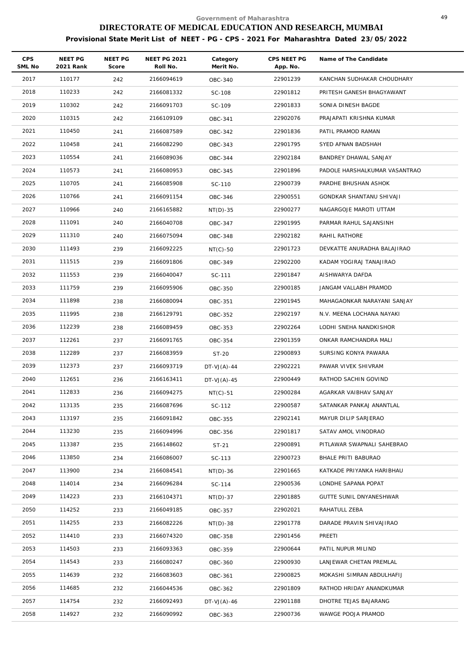| <b>CPS</b><br>SML No | NEET PG<br>2021 Rank | NEET PG<br>Score | <b>NEET PG 2021</b><br>Roll No. | Category<br>Merit No. | CPS NEET PG<br>App. No. | Name of The Candidate         |
|----------------------|----------------------|------------------|---------------------------------|-----------------------|-------------------------|-------------------------------|
| 2017                 | 110177               | 242              | 2166094619                      | OBC-340               | 22901239                | KANCHAN SUDHAKAR CHOUDHARY    |
| 2018                 | 110233               | 242              | 2166081332                      | SC-108                | 22901812                | PRITESH GANESH BHAGYAWANT     |
| 2019                 | 110302               | 242              | 2166091703                      | SC-109                | 22901833                | SONIA DINESH BAGDE            |
| 2020                 | 110315               | 242              | 2166109109                      | OBC-341               | 22902076                | PRAJAPATI KRISHNA KUMAR       |
| 2021                 | 110450               | 241              | 2166087589                      | OBC-342               | 22901836                | PATIL PRAMOD RAMAN            |
| 2022                 | 110458               | 241              | 2166082290                      | OBC-343               | 22901795                | SYED AFNAN BADSHAH            |
| 2023                 | 110554               | 241              | 2166089036                      | OBC-344               | 22902184                | BANDREY DHAWAL SANJAY         |
| 2024                 | 110573               | 241              | 2166080953                      | OBC-345               | 22901896                | PADOLE HARSHALKUMAR VASANTRAO |
| 2025                 | 110705               | 241              | 2166085908                      | SC-110                | 22900739                | PARDHE BHUSHAN ASHOK          |
| 2026                 | 110766               | 241              | 2166091154                      | OBC-346               | 22900551                | GONDKAR SHANTANU SHIVAJI      |
| 2027                 | 110966               | 240              | 2166165882                      | $NT(D)-35$            | 22900277                | NAGARGOJE MAROTI UTTAM        |
| 2028                 | 111091               | 240              | 2166040708                      | OBC-347               | 22901995                | PARMAR RAHUL SAJANSINH        |
| 2029                 | 111310               | 240              | 2166075094                      | OBC-348               | 22902182                | RAHIL RATHORE                 |
| 2030                 | 111493               | 239              | 2166092225                      | $NT(C)-50$            | 22901723                | DEVKATTE ANURADHA BALAJIRAO   |
| 2031                 | 111515               | 239              | 2166091806                      | OBC-349               | 22902200                | KADAM YOGIRAJ TANAJIRAO       |
| 2032                 | 111553               | 239              | 2166040047                      | SC-111                | 22901847                | AISHWARYA DAFDA               |
| 2033                 | 111759               | 239              | 2166095906                      | OBC-350               | 22900185                | JANGAM VALLABH PRAMOD         |
| 2034                 | 111898               | 238              | 2166080094                      | OBC-351               | 22901945                | MAHAGAONKAR NARAYANI SANJAY   |
| 2035                 | 111995               | 238              | 2166129791                      | OBC-352               | 22902197                | N.V. MEENA LOCHANA NAYAKI     |
| 2036                 | 112239               | 238              | 2166089459                      | OBC-353               | 22902264                | LODHI SNEHA NANDKISHOR        |
| 2037                 | 112261               | 237              | 2166091765                      | OBC-354               | 22901359                | ONKAR RAMCHANDRA MALI         |
| 2038                 | 112289               | 237              | 2166083959                      | ST-20                 | 22900893                | SURSING KONYA PAWARA          |
| 2039                 | 112373               | 237              | 2166093719                      | $DT-VJ(A)-44$         | 22902221                | PAWAR VIVEK SHIVRAM           |
| 2040                 | 112651               | 236              | 2166163411                      | $DT-VJ(A)-45$         | 22900449                | RATHOD SACHIN GOVIND          |
| 2041                 | 112833               | 236              | 2166094275                      | $NT(C) - 51$          | 22900284                | AGARKAR VAIBHAV SANJAY        |
| 2042                 | 113135               | 235              | 2166087696                      | SC-112                | 22900587                | SATANKAR PANKAJ ANANTLAL      |
| 2043                 | 113197               | 235              | 2166091842                      | OBC-355               | 22902141                | MAYUR DILIP SARJERAO          |
| 2044                 | 113230               | 235              | 2166094996                      | OBC-356               | 22901817                | SATAV AMOL VINODRAO           |
| 2045                 | 113387               | 235              | 2166148602                      | ST-21                 | 22900891                | PITLAWAR SWAPNALI SAHEBRAO    |
| 2046                 | 113850               | 234              | 2166086007                      | SC-113                | 22900723                | BHALE PRITI BABURAO           |
| 2047                 | 113900               | 234              | 2166084541                      | NT(D)-36              | 22901665                | KATKADE PRIYANKA HARIBHAU     |
| 2048                 | 114014               | 234              | 2166096284                      | SC-114                | 22900536                | LONDHE SAPANA POPAT           |
| 2049                 | 114223               | 233              | 2166104371                      | $NT(D)-37$            | 22901885                | GUTTE SUNIL DNYANESHWAR       |
| 2050                 | 114252               | 233              | 2166049185                      | OBC-357               | 22902021                | RAHATULL ZEBA                 |
| 2051                 | 114255               | 233              | 2166082226                      | $NT(D)-38$            | 22901778                | DARADE PRAVIN SHIVAJIRAO      |
| 2052                 | 114410               | 233              | 2166074320                      | OBC-358               | 22901456                | PREETI                        |
| 2053                 | 114503               | 233              | 2166093363                      | OBC-359               | 22900644                | PATIL NUPUR MILIND            |
| 2054                 | 114543               | 233              | 2166080247                      | OBC-360               | 22900930                | LANJEWAR CHETAN PREMLAL       |
| 2055                 | 114639               | 232              | 2166083603                      | OBC-361               | 22900825                | MOKASHI SIMRAN ABDULHAFIJ     |
| 2056                 | 114685               | 232              | 2166044536                      | OBC-362               | 22901809                | RATHOD HRIDAY ANANDKUMAR      |
| 2057                 | 114754               | 232              | 2166092493                      | $DT-VJ(A)-46$         | 22901188                | DHOTRE TEJAS BAJARANG         |
| 2058                 | 114927               | 232              | 2166090992                      | OBC-363               | 22900736                | WAWGE POOJA PRAMOD            |
|                      |                      |                  |                                 |                       |                         |                               |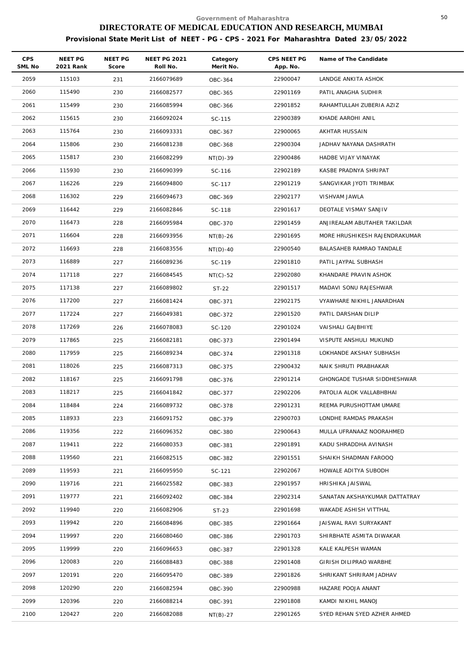| <b>CPS</b><br>SML No | NEET PG<br>2021 Rank | NEET PG<br>Score | <b>NEET PG 2021</b><br>Roll No. | Category<br>Merit No. | CPS NEET PG<br>App. No. | Name of The Candidate         |
|----------------------|----------------------|------------------|---------------------------------|-----------------------|-------------------------|-------------------------------|
| 2059                 | 115103               | 231              | 2166079689                      | OBC-364               | 22900047                | LANDGE ANKITA ASHOK           |
| 2060                 | 115490               | 230              | 2166082577                      | OBC-365               | 22901169                | PATIL ANAGHA SUDHIR           |
| 2061                 | 115499               | 230              | 2166085994                      | OBC-366               | 22901852                | RAHAMTULLAH ZUBERIA AZIZ      |
| 2062                 | 115615               | 230              | 2166092024                      | SC-115                | 22900389                | KHADE AAROHI ANIL             |
| 2063                 | 115764               | 230              | 2166093331                      | OBC-367               | 22900065                | AKHTAR HUSSAIN                |
| 2064                 | 115806               | 230              | 2166081238                      | OBC-368               | 22900304                | JADHAV NAYANA DASHRATH        |
| 2065                 | 115817               | 230              | 2166082299                      | $NT(D)-39$            | 22900486                | HADBE VIJAY VINAYAK           |
| 2066                 | 115930               | 230              | 2166090399                      | SC-116                | 22902189                | KASBE PRADNYA SHRIPAT         |
| 2067                 | 116226               | 229              | 2166094800                      | SC-117                | 22901219                | SANGVIKAR JYOTI TRIMBAK       |
| 2068                 | 116302               | 229              | 2166094673                      | OBC-369               | 22902177                | VISHVAM JAWLA                 |
| 2069                 | 116442               | 229              | 2166082846                      | SC-118                | 22901617                | DEOTALE VISMAY SANJIV         |
| 2070                 | 116473               | 228              | 2166095984                      | OBC-370               | 22901459                | ANJIREALAM ABUTAHER TAKILDAR  |
| 2071                 | 116604               | 228              | 2166093956                      | $NT(B)-26$            | 22901695                | MORE HRUSHIKESH RAJENDRAKUMAR |
| 2072                 | 116693               | 228              | 2166083556                      | $NT(D)-40$            | 22900540                | BALASAHEB RAMRAO TANDALE      |
| 2073                 | 116889               | 227              | 2166089236                      | SC-119                | 22901810                | PATIL JAYPAL SUBHASH          |
| 2074                 | 117118               | 227              | 2166084545                      | $NT(C)-52$            | 22902080                | KHANDARE PRAVIN ASHOK         |
| 2075                 | 117138               | 227              | 2166089802                      | ST-22                 | 22901517                | MADAVI SONU RAJESHWAR         |
| 2076                 | 117200               | 227              | 2166081424                      | OBC-371               | 22902175                | VYAWHARE NIKHIL JANARDHAN     |
| 2077                 | 117224               | 227              | 2166049381                      | OBC-372               | 22901520                | PATIL DARSHAN DILIP           |
| 2078                 | 117269               | 226              | 2166078083                      | SC-120                | 22901024                | VAISHALI GAJBHIYE             |
| 2079                 | 117865               | 225              | 2166082181                      | OBC-373               | 22901494                | VISPUTE ANSHULI MUKUND        |
| 2080                 | 117959               | 225              | 2166089234                      | OBC-374               | 22901318                | LOKHANDE AKSHAY SUBHASH       |
| 2081                 | 118026               | 225              | 2166087313                      | OBC-375               | 22900432                | NAIK SHRUTI PRABHAKAR         |
| 2082                 | 118167               | 225              | 2166091798                      | OBC-376               | 22901214                | GHONGADE TUSHAR SIDDHESHWAR   |
| 2083                 | 118217               | 225              | 2166041842                      | OBC-377               | 22902206                | PATOLIA ALOK VALLABHBHAI      |
| 2084                 | 118484               | 224              | 2166089732                      | OBC-378               | 22901231                | REEMA PURUSHOTTAM UMARE       |
| 2085                 | 118933               | 223              | 2166091752                      | OBC-379               | 22900703                | LONDHE RAMDAS PRAKASH         |
| 2086                 | 119356               | 222              | 2166096352                      | OBC-380               | 22900643                | MULLA UFRANAAZ NOORAHMED      |
| 2087                 | 119411               | 222              | 2166080353                      | OBC-381               | 22901891                | KADU SHRADDHA AVINASH         |
| 2088                 | 119560               | 221              | 2166082515                      | OBC-382               | 22901551                | SHAIKH SHADMAN FAROOQ         |
| 2089                 | 119593               | 221              | 2166095950                      | SC-121                | 22902067                | HOWALE ADITYA SUBODH          |
| 2090                 | 119716               | 221              | 2166025582                      | OBC-383               | 22901957                | HRISHIKA JAISWAL              |
| 2091                 | 119777               | 221              | 2166092402                      | OBC-384               | 22902314                | SANATAN AKSHAYKUMAR DATTATRAY |
| 2092                 | 119940               | 220              | 2166082906                      | $ST-23$               | 22901698                | WAKADE ASHISH VITTHAL         |
| 2093                 | 119942               | 220              | 2166084896                      | OBC-385               | 22901664                | JAISWAL RAVI SURYAKANT        |
| 2094                 | 119997               | 220              | 2166080460                      | OBC-386               | 22901703                | SHIRBHATE ASMITA DIWAKAR      |
| 2095                 | 119999               | 220              | 2166096653                      | OBC-387               | 22901328                | KALE KALPESH WAMAN            |
| 2096                 | 120083               | 220              | 2166088483                      | <b>OBC-388</b>        | 22901408                | GIRISH DILIPRAO WARBHE        |
| 2097                 | 120191               | 220              | 2166095470                      | OBC-389               | 22901826                | SHRIKANT SHRIRAM JADHAV       |
| 2098                 | 120290               | 220              | 2166082594                      | OBC-390               | 22900988                | HAZARE POOJA ANANT            |
| 2099                 | 120396               | 220              | 2166088214                      | OBC-391               | 22901808                | KAMDI NIKHIL MANOJ            |
| 2100                 | 120427               | 220              | 2166082088                      | $NT(B)-27$            | 22901265                | SYED REHAN SYED AZHER AHMED   |
|                      |                      |                  |                                 |                       |                         |                               |